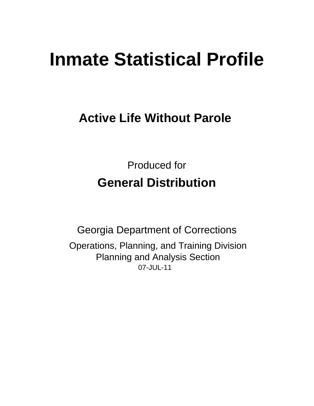# **Inmate Statistical Profile**

## **Active Life Without Parole**

**Produced for General Distribution** 

**Georgia Department of Corrections** Operations, Planning, and Training Division **Planning and Analysis Section** 07-JUL-11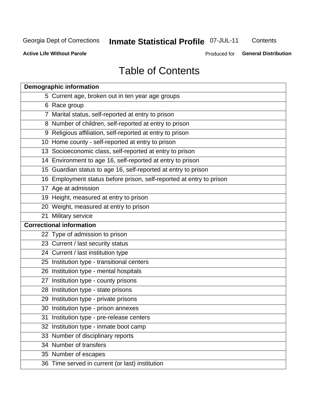## **Inmate Statistical Profile 07-JUL-11**

Contents

**Active Life Without Parole** 

Produced for **General Distribution** 

## **Table of Contents**

|    | <b>Demographic information</b>                                       |
|----|----------------------------------------------------------------------|
|    | 5 Current age, broken out in ten year age groups                     |
|    | 6 Race group                                                         |
|    | 7 Marital status, self-reported at entry to prison                   |
|    | 8 Number of children, self-reported at entry to prison               |
|    | 9 Religious affiliation, self-reported at entry to prison            |
|    | 10 Home county - self-reported at entry to prison                    |
|    | 13 Socioeconomic class, self-reported at entry to prison             |
|    | 14 Environment to age 16, self-reported at entry to prison           |
|    | 15 Guardian status to age 16, self-reported at entry to prison       |
|    | 16 Employment status before prison, self-reported at entry to prison |
|    | 17 Age at admission                                                  |
|    | 19 Height, measured at entry to prison                               |
|    | 20 Weight, measured at entry to prison                               |
|    | 21 Military service                                                  |
|    | <b>Correctional information</b>                                      |
|    | 22 Type of admission to prison                                       |
|    | 23 Current / last security status                                    |
|    | 24 Current / last institution type                                   |
|    | 25 Institution type - transitional centers                           |
|    | 26 Institution type - mental hospitals                               |
|    | 27 Institution type - county prisons                                 |
|    | 28 Institution type - state prisons                                  |
|    | 29 Institution type - private prisons                                |
|    | 30 Institution type - prison annexes                                 |
| 31 | Institution type - pre-release centers                               |
| 32 | Institution type - inmate boot camp                                  |
|    | 33 Number of disciplinary reports                                    |
|    | 34 Number of transfers                                               |
|    | 35 Number of escapes                                                 |
|    | 36 Time served in current (or last) institution                      |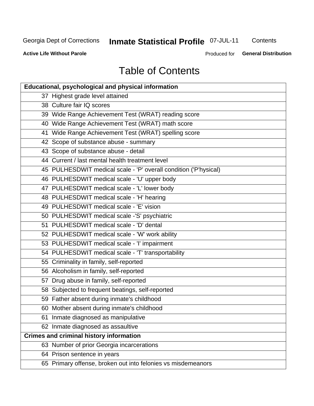## **Inmate Statistical Profile 07-JUL-11**

Contents

**Active Life Without Parole** 

Produced for **General Distribution** 

## **Table of Contents**

| <b>Educational, psychological and physical information</b>       |
|------------------------------------------------------------------|
| 37 Highest grade level attained                                  |
| 38 Culture fair IQ scores                                        |
| 39 Wide Range Achievement Test (WRAT) reading score              |
| 40 Wide Range Achievement Test (WRAT) math score                 |
| 41 Wide Range Achievement Test (WRAT) spelling score             |
| 42 Scope of substance abuse - summary                            |
| 43 Scope of substance abuse - detail                             |
| 44 Current / last mental health treatment level                  |
| 45 PULHESDWIT medical scale - 'P' overall condition ('P'hysical) |
| 46 PULHESDWIT medical scale - 'U' upper body                     |
| 47 PULHESDWIT medical scale - 'L' lower body                     |
| 48 PULHESDWIT medical scale - 'H' hearing                        |
| 49 PULHESDWIT medical scale - 'E' vision                         |
| 50 PULHESDWIT medical scale -'S' psychiatric                     |
| 51 PULHESDWIT medical scale - 'D' dental                         |
| 52 PULHESDWIT medical scale - 'W' work ability                   |
| 53 PULHESDWIT medical scale - 'I' impairment                     |
| 54 PULHESDWIT medical scale - 'T' transportability               |
| 55 Criminality in family, self-reported                          |
| 56 Alcoholism in family, self-reported                           |
| 57 Drug abuse in family, self-reported                           |
| 58 Subjected to frequent beatings, self-reported                 |
| 59 Father absent during inmate's childhood                       |
| 60 Mother absent during inmate's childhood                       |
| 61 Inmate diagnosed as manipulative                              |
| 62 Inmate diagnosed as assaultive                                |
| <b>Crimes and criminal history information</b>                   |
| 63 Number of prior Georgia incarcerations                        |
| 64 Prison sentence in years                                      |
| 65 Primary offense, broken out into felonies vs misdemeanors     |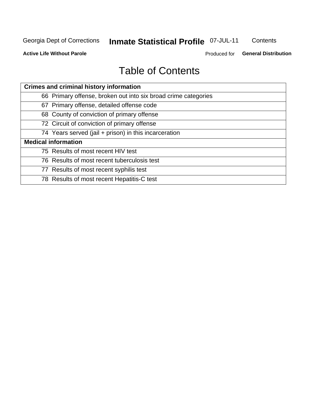## **Inmate Statistical Profile 07-JUL-11**

Contents

**Active Life Without Parole** 

Produced for **General Distribution** 

## **Table of Contents**

| <b>Crimes and criminal history information</b>                 |  |  |  |  |
|----------------------------------------------------------------|--|--|--|--|
| 66 Primary offense, broken out into six broad crime categories |  |  |  |  |
| 67 Primary offense, detailed offense code                      |  |  |  |  |
| 68 County of conviction of primary offense                     |  |  |  |  |
| 72 Circuit of conviction of primary offense                    |  |  |  |  |
| 74 Years served (jail + prison) in this incarceration          |  |  |  |  |
| <b>Medical information</b>                                     |  |  |  |  |
| 75 Results of most recent HIV test                             |  |  |  |  |
| 76 Results of most recent tuberculosis test                    |  |  |  |  |
| 77 Results of most recent syphilis test                        |  |  |  |  |
| 78 Results of most recent Hepatitis-C test                     |  |  |  |  |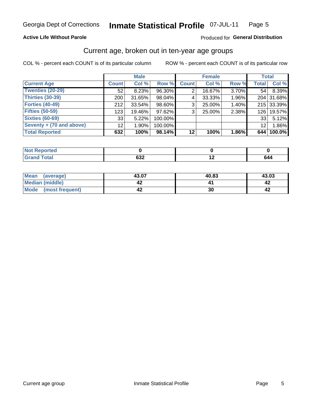#### Inmate Statistical Profile 07-JUL-11 Page 5

#### **Active Life Without Parole**

#### Produced for General Distribution

## Current age, broken out in ten-year age groups

COL % - percent each COUNT is of its particular column

|                          |              | <b>Male</b> |         |              | <b>Female</b> |          |              | <b>Total</b> |
|--------------------------|--------------|-------------|---------|--------------|---------------|----------|--------------|--------------|
| <b>Current Age</b>       | <b>Count</b> | Col %       | Row %   | <b>Count</b> | Col %         | Row %    | <b>Total</b> | Col %        |
| Twenties (20-29)         | 52           | 8.23%       | 96.30%  |              | 16.67%        | 3.70%    | 54 l         | 8.39%        |
| Thirties (30-39)         | 200          | 31.65%      | 98.04%  | 4            | 33.33%        | 1.96%    |              | 204 31.68%   |
| <b>Forties (40-49)</b>   | 212          | $33.54\%$   | 98.60%  | 3            | 25.00%        | 1.40%    |              | 215 33.39%   |
| <b>Fifties (50-59)</b>   | 123          | 19.46%      | 97.62%  | 3            | 25.00%        | 2.38%    | 126          | 19.57%       |
| <b>Sixties (60-69)</b>   | 33           | 5.22%       | 100.00% |              |               |          | 33           | 5.12%        |
| Seventy + (70 and above) | 12           | $1.90\%$    | 100.00% |              |               |          | 12           | 1.86%        |
| <b>Total Reported</b>    | 632          | 100%        | 98.14%  | 12           | 100%          | $1.86\%$ |              | 644 100.0%   |

| eported            |                      |     |
|--------------------|----------------------|-----|
| <b>Grand Total</b> | $\sim$<br><b>OJZ</b> | 644 |

| Mean<br>(average)              | 43.07 | 40.83 | 43.03 |
|--------------------------------|-------|-------|-------|
| Median (middle)                |       |       |       |
| <b>Mode</b><br>(most frequent) |       | 30    |       |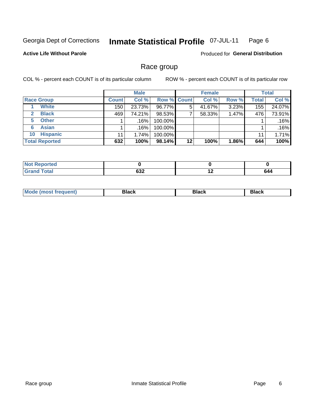#### **Inmate Statistical Profile 07-JUL-11** Page 6

#### **Active Life Without Parole**

**Produced for General Distribution** 

## Race group

COL % - percent each COUNT is of its particular column

|                              |              | <b>Male</b> |                    |    | <b>Female</b> |       |       | <b>Total</b> |
|------------------------------|--------------|-------------|--------------------|----|---------------|-------|-------|--------------|
| <b>Race Group</b>            | <b>Count</b> | Col %       | <b>Row % Count</b> |    | Col %         | Row % | Total | Col %        |
| <b>White</b>                 | 150          | 23.73%      | 96.77%             | 5  | 41.67%        | 3.23% | 155   | 24.07%       |
| <b>Black</b><br>$\mathbf{2}$ | 469          | 74.21%      | 98.53%             |    | 58.33%        | 1.47% | 476   | 73.91%       |
| <b>Other</b><br>5.           |              | .16%        | 100.00%            |    |               |       |       | .16%         |
| <b>Asian</b><br>6            |              | $.16\%$     | 100.00%            |    |               |       |       | .16%         |
| <b>Hispanic</b><br>10        | 11           | 1.74%       | 100.00%            |    |               |       | 11    | 1.71%        |
| <b>Total Reported</b>        | 632          | 100%        | $98.14\%$          | 12 | 100%          | 1.86% | 644   | 100%         |

| Reported     |     |     |     |
|--------------|-----|-----|-----|
| <b>Total</b> | 632 | . . | 644 |

| <b>Mo</b><br><i><b>Trequenti</b></i><br>''P IMOST | יומחי<br>νιαυκ | Black | Black |
|---------------------------------------------------|----------------|-------|-------|
|                                                   |                |       |       |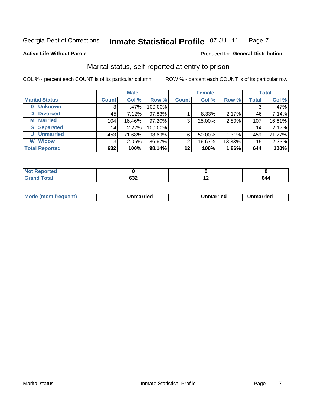#### **Inmate Statistical Profile 07-JUL-11** Page 7

**Active Life Without Parole** 

#### Produced for General Distribution

## Marital status, self-reported at entry to prison

COL % - percent each COUNT is of its particular column

|                            |                 | <b>Male</b> |         |              | <b>Female</b> |        |              | <b>Total</b> |
|----------------------------|-----------------|-------------|---------|--------------|---------------|--------|--------------|--------------|
| <b>Marital Status</b>      | <b>Count</b>    | Col %       | Row %   | <b>Count</b> | Col %         | Row %  | <b>Total</b> | Col %        |
| <b>Unknown</b><br>$\bf{0}$ | 3               | $.47\%$     | 100.00% |              |               |        | 3            | .47%         |
| <b>Divorced</b><br>D       | 45              | 7.12%       | 97.83%  |              | 8.33%         | 2.17%  | 46           | 7.14%        |
| <b>Married</b><br>М        | 104             | 16.46%      | 97.20%  | 3            | 25.00%        | 2.80%  | 107          | 16.61%       |
| <b>Separated</b><br>S      | 14 <sub>1</sub> | 2.22%       | 100.00% |              |               |        | 14           | 2.17%        |
| <b>Unmarried</b><br>U      | 453             | 71.68%      | 98.69%  | 6            | 50.00%        | 1.31%  | 459          | 71.27%       |
| <b>Widow</b><br>W          | 13              | 2.06%       | 86.67%  | 2            | 16.67%        | 13.33% | 15           | 2.33%        |
| <b>Total Reported</b>      | 632             | 100%        | 98.14%  | 12           | 100%          | 1.86%  | 644          | 100%         |

| NOT<br>rtea |            |     |      |
|-------------|------------|-----|------|
|             | cor<br>אטט | . . | -644 |

| Mo | . | Unmarried | າmarried |
|----|---|-----------|----------|
|    |   |           |          |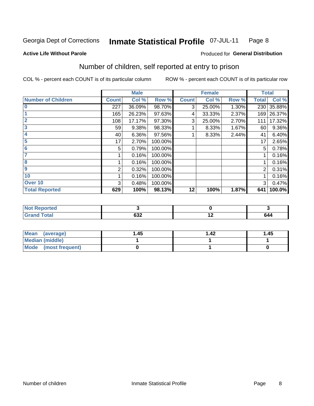#### **Inmate Statistical Profile 07-JUL-11** Page 8

**Active Life Without Parole** 

#### **Produced for General Distribution**

## Number of children, self reported at entry to prison

COL % - percent each COUNT is of its particular column

|                           |              | <b>Male</b> |         |              | <b>Female</b> |       |              | <b>Total</b> |
|---------------------------|--------------|-------------|---------|--------------|---------------|-------|--------------|--------------|
| <b>Number of Children</b> | <b>Count</b> | Col %       | Row %   | <b>Count</b> | Col %         | Row % | <b>Total</b> | Col %        |
| $\bf{0}$                  | 227          | 36.09%      | 98.70%  | 3            | 25.00%        | 1.30% | 230          | 35.88%       |
|                           | 165          | 26.23%      | 97.63%  | 4            | 33.33%        | 2.37% | 169          | 26.37%       |
| $\overline{2}$            | 108          | 17.17%      | 97.30%  | 3            | 25.00%        | 2.70% | 111          | 17.32%       |
| 3                         | 59           | 9.38%       | 98.33%  |              | 8.33%         | 1.67% | 60           | 9.36%        |
| 4                         | 40           | 6.36%       | 97.56%  |              | 8.33%         | 2.44% | 41           | 6.40%        |
| 5                         | 17           | 2.70%       | 100.00% |              |               |       | 17           | 2.65%        |
| 6                         | 5            | 0.79%       | 100.00% |              |               |       | 5            | 0.78%        |
| 7                         |              | 0.16%       | 100.00% |              |               |       |              | 0.16%        |
| 8                         |              | 0.16%       | 100.00% |              |               |       |              | 0.16%        |
| $\boldsymbol{9}$          | 2            | 0.32%       | 100.00% |              |               |       | 2            | 0.31%        |
| 10                        |              | 0.16%       | 100.00% |              |               |       |              | 0.16%        |
| Over 10                   | 3            | 0.48%       | 100.00% |              |               |       | 3            | 0.47%        |
| <b>Total Reported</b>     | 629          | 100%        | 98.13%  | 12           | 100%          | 1.87% | 641          | 100.0%       |

| meo<br>m.                       |                  |     |
|---------------------------------|------------------|-----|
| $f \wedge f \wedge f$<br>$\sim$ | <b>000</b><br>פט | 644 |

| Mean (average)         | 1.45 | $\overline{.42}$ | 1.45 |
|------------------------|------|------------------|------|
| <b>Median (middle)</b> |      |                  |      |
| Mode (most frequent)   |      |                  |      |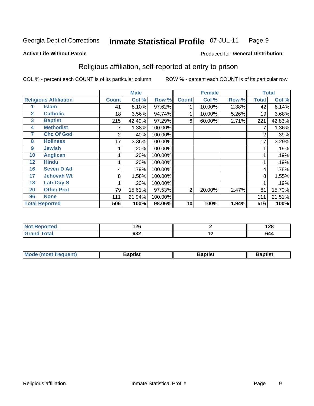#### **Inmate Statistical Profile 07-JUL-11** Page 9

**Active Life Without Parole** 

#### Produced for General Distribution

## Religious affiliation, self-reported at entry to prison

COL % - percent each COUNT is of its particular column

|              |                              |              | <b>Male</b> |         |              | <b>Female</b> |       |                | <b>Total</b> |
|--------------|------------------------------|--------------|-------------|---------|--------------|---------------|-------|----------------|--------------|
|              | <b>Religious Affiliation</b> | <b>Count</b> | Col %       | Row %   | <b>Count</b> | Col %         | Row % | <b>Total</b>   | Col %        |
|              | <b>Islam</b>                 | 41           | 8.10%       | 97.62%  |              | 10.00%        | 2.38% | 42             | 8.14%        |
| $\mathbf{2}$ | <b>Catholic</b>              | 18           | 3.56%       | 94.74%  |              | 10.00%        | 5.26% | 19             | 3.68%        |
| $\mathbf{3}$ | <b>Baptist</b>               | 215          | 42.49%      | 97.29%  | 6            | 60.00%        | 2.71% | 221            | 42.83%       |
| 4            | <b>Methodist</b>             |              | 1.38%       | 100.00% |              |               |       |                | 1.36%        |
| 7            | <b>Chc Of God</b>            | 2            | .40%        | 100.00% |              |               |       | $\overline{2}$ | .39%         |
| 8            | <b>Holiness</b>              | 17           | 3.36%       | 100.00% |              |               |       | 17             | 3.29%        |
| 9            | <b>Jewish</b>                |              | .20%        | 100.00% |              |               |       |                | .19%         |
| 10           | <b>Anglican</b>              |              | .20%        | 100.00% |              |               |       |                | .19%         |
| 12           | <b>Hindu</b>                 |              | .20%        | 100.00% |              |               |       |                | .19%         |
| 16           | <b>Seven D Ad</b>            | 4            | .79%        | 100.00% |              |               |       | 4              | .78%         |
| 17           | <b>Jehovah Wt</b>            | 8            | 1.58%       | 100.00% |              |               |       | 8              | 1.55%        |
| 18           | <b>Latr Day S</b>            |              | .20%        | 100.00% |              |               |       |                | .19%         |
| 20           | <b>Other Prot</b>            | 79           | 15.61%      | 97.53%  | 2            | 20.00%        | 2.47% | 81             | 15.70%       |
| 96           | <b>None</b>                  | 111          | 21.94%      | 100.00% |              |               |       | 111            | 21.51%       |
|              | <b>Total Reported</b>        | 506          | 100%        | 98.06%  | 10           | 100%          | 1.94% | 516            | 100%         |

| rtea  | ィクピ        |                          | 190  |
|-------|------------|--------------------------|------|
| .     | 14 Y       |                          | 170  |
| _____ | coo<br>שטב | $\overline{\phantom{a}}$ | . נו |

| <b>Mode (most frequent)</b> | `aptist | 3aptisเ | laptist |
|-----------------------------|---------|---------|---------|
|                             |         |         |         |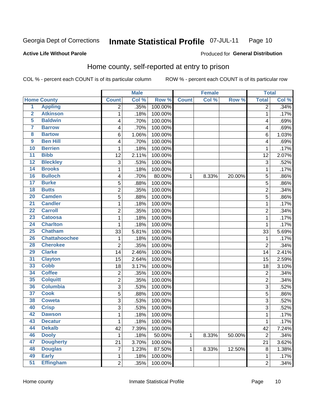#### Inmate Statistical Profile 07-JUL-11 Page 10

#### **Active Life Without Parole**

#### Produced for General Distribution

## Home county, self-reported at entry to prison

COL % - percent each COUNT is of its particular column

|                         |                      |                | <b>Male</b> |         |              | <b>Female</b> |        | <b>Total</b>   |       |
|-------------------------|----------------------|----------------|-------------|---------|--------------|---------------|--------|----------------|-------|
|                         | <b>Home County</b>   | <b>Count</b>   | Col %       | Row %   | <b>Count</b> | Col %         | Row %  | <b>Total</b>   | Col % |
| $\overline{1}$          | <b>Appling</b>       | 2              | .35%        | 100.00% |              |               |        | $\overline{2}$ | .34%  |
| $\overline{2}$          | <b>Atkinson</b>      | 1              | .18%        | 100.00% |              |               |        | 1              | .17%  |
| 5                       | <b>Baldwin</b>       | 4              | .70%        | 100.00% |              |               |        | 4              | .69%  |
| 7                       | <b>Barrow</b>        | 4              | .70%        | 100.00% |              |               |        | 4              | .69%  |
| $\overline{\mathbf{8}}$ | <b>Bartow</b>        | 6              | 1.06%       | 100.00% |              |               |        | 6              | 1.03% |
| 9                       | <b>Ben Hill</b>      | 4              | .70%        | 100.00% |              |               |        | 4              | .69%  |
| 10                      | <b>Berrien</b>       | 1              | .18%        | 100.00% |              |               |        | 1              | .17%  |
| $\overline{11}$         | <b>Bibb</b>          | 12             | 2.11%       | 100.00% |              |               |        | 12             | 2.07% |
| 12                      | <b>Bleckley</b>      | 3              | .53%        | 100.00% |              |               |        | 3              | .52%  |
| 14                      | <b>Brooks</b>        | 1              | .18%        | 100.00% |              |               |        | 1              | .17%  |
| 16                      | <b>Bulloch</b>       | 4              | .70%        | 80.00%  | 1            | 8.33%         | 20.00% | 5              | .86%  |
| 17                      | <b>Burke</b>         | 5              | .88%        | 100.00% |              |               |        | 5              | .86%  |
| 18                      | <b>Butts</b>         | $\overline{2}$ | .35%        | 100.00% |              |               |        | $\overline{2}$ | .34%  |
| 20                      | <b>Camden</b>        | 5              | .88%        | 100.00% |              |               |        | 5              | .86%  |
| $\overline{21}$         | <b>Candler</b>       | 1              | .18%        | 100.00% |              |               |        | 1              | .17%  |
| $\overline{22}$         | <b>Carroll</b>       | 2              | .35%        | 100.00% |              |               |        | $\overline{2}$ | .34%  |
| 23                      | <b>Catoosa</b>       | 1              | .18%        | 100.00% |              |               |        | 1              | .17%  |
| 24                      | <b>Charlton</b>      | 1              | .18%        | 100.00% |              |               |        | 1              | .17%  |
| 25                      | <b>Chatham</b>       | 33             | 5.81%       | 100.00% |              |               |        | 33             | 5.69% |
| 26                      | <b>Chattahoochee</b> | 1              | .18%        | 100.00% |              |               |        | 1              | .17%  |
| 28                      | <b>Cherokee</b>      | $\overline{2}$ | .35%        | 100.00% |              |               |        | $\overline{2}$ | .34%  |
| 29                      | <b>Clarke</b>        | 14             | 2.46%       | 100.00% |              |               |        | 14             | 2.41% |
| 31                      | <b>Clayton</b>       | 15             | 2.64%       | 100.00% |              |               |        | 15             | 2.59% |
| 33                      | <b>Cobb</b>          | 18             | 3.17%       | 100.00% |              |               |        | 18             | 3.10% |
| 34                      | <b>Coffee</b>        | 2              | .35%        | 100.00% |              |               |        | $\overline{2}$ | .34%  |
| 35                      | <b>Colquitt</b>      | 2              | .35%        | 100.00% |              |               |        | $\overline{2}$ | .34%  |
| 36                      | <b>Columbia</b>      | $\overline{3}$ | .53%        | 100.00% |              |               |        | 3              | .52%  |
| 37                      | <b>Cook</b>          | 5              | .88%        | 100.00% |              |               |        | 5              | .86%  |
| 38                      | <b>Coweta</b>        | 3              | .53%        | 100.00% |              |               |        | 3              | .52%  |
| 40                      | <b>Crisp</b>         | 3              | .53%        | 100.00% |              |               |        | 3              | .52%  |
| 42                      | <b>Dawson</b>        | 1              | .18%        | 100.00% |              |               |        | 1              | .17%  |
| 43                      | <b>Decatur</b>       | 1              | .18%        | 100.00% |              |               |        | 1              | .17%  |
| 44                      | <b>Dekalb</b>        | 42             | 7.39%       | 100.00% |              |               |        | 42             | 7.24% |
| 46                      | <b>Dooly</b>         | 1              | .18%        | 50.00%  | $\mathbf{1}$ | 8.33%         | 50.00% | $\overline{2}$ | .34%  |
| 47                      | <b>Dougherty</b>     | 21             | 3.70%       | 100.00% |              |               |        | 21             | 3.62% |
| 48                      | <b>Douglas</b>       | $\overline{7}$ | 1.23%       | 87.50%  | 1            | 8.33%         | 12.50% | 8              | 1.38% |
| 49                      | <b>Early</b>         | 1              | .18%        | 100.00% |              |               |        | 1              | .17%  |
| 51                      | <b>Effingham</b>     | $\overline{2}$ | .35%        | 100.00% |              |               |        | $\overline{2}$ | .34%  |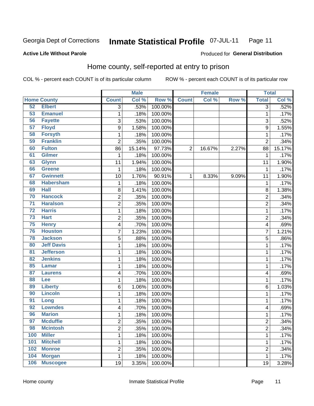#### Inmate Statistical Profile 07-JUL-11 Page 11

#### **Active Life Without Parole**

#### Produced for General Distribution

## Home county, self-reported at entry to prison

COL % - percent each COUNT is of its particular column

|                 |                    |                | <b>Male</b> |         |                | <b>Female</b> |       | <b>Total</b>   |                  |
|-----------------|--------------------|----------------|-------------|---------|----------------|---------------|-------|----------------|------------------|
|                 | <b>Home County</b> | <b>Count</b>   | Col %       | Row %   | <b>Count</b>   | Col %         | Row % | <b>Total</b>   | Col %            |
| 52              | <b>Elbert</b>      | $\overline{3}$ | .53%        | 100.00% |                |               |       | 3              | .52%             |
| 53              | <b>Emanuel</b>     | $\mathbf 1$    | .18%        | 100.00% |                |               |       | 1              | .17%             |
| 56              | <b>Fayette</b>     | 3              | .53%        | 100.00% |                |               |       | 3              | .52%             |
| 57              | <b>Floyd</b>       | 9              | 1.58%       | 100.00% |                |               |       | 9              | 1.55%            |
| 58              | <b>Forsyth</b>     | $\mathbf 1$    | .18%        | 100.00% |                |               |       | 1              | .17%             |
| 59              | <b>Franklin</b>    | $\overline{2}$ | .35%        | 100.00% |                |               |       | $\overline{2}$ | .34%             |
| 60              | <b>Fulton</b>      | 86             | 15.14%      | 97.73%  | $\overline{2}$ | 16.67%        | 2.27% | 88             | 15.17%           |
| 61              | <b>Gilmer</b>      | 1              | .18%        | 100.00% |                |               |       | 1              | $\frac{1}{17}\%$ |
| 63              | <b>Glynn</b>       | 11             | 1.94%       | 100.00% |                |               |       | 11             | 1.90%            |
| 66              | <b>Greene</b>      | $\mathbf 1$    | .18%        | 100.00% |                |               |       | 1              | .17%             |
| 67              | <b>Gwinnett</b>    | 10             | 1.76%       | 90.91%  | 1              | 8.33%         | 9.09% | 11             | 1.90%            |
| 68              | <b>Habersham</b>   | $\mathbf 1$    | .18%        | 100.00% |                |               |       | 1              | .17%             |
| 69              | <b>Hall</b>        | 8              | 1.41%       | 100.00% |                |               |       | 8              | 1.38%            |
| 70              | <b>Hancock</b>     | $\overline{c}$ | .35%        | 100.00% |                |               |       | $\overline{c}$ | .34%             |
| $\overline{71}$ | <b>Haralson</b>    | $\overline{2}$ | .35%        | 100.00% |                |               |       | $\overline{2}$ | .34%             |
| $\overline{72}$ | <b>Harris</b>      | $\mathbf 1$    | .18%        | 100.00% |                |               |       | 1              | .17%             |
| $\overline{73}$ | <b>Hart</b>        | $\overline{2}$ | .35%        | 100.00% |                |               |       | $\overline{2}$ | .34%             |
| 75              | <b>Henry</b>       | 4              | .70%        | 100.00% |                |               |       | 4              | .69%             |
| 76              | <b>Houston</b>     | $\overline{7}$ | 1.23%       | 100.00% |                |               |       | 7              | 1.21%            |
| 78              | <b>Jackson</b>     | 5              | .88%        | 100.00% |                |               |       | 5              | .86%             |
| 80              | <b>Jeff Davis</b>  | $\mathbf 1$    | .18%        | 100.00% |                |               |       | 1              | .17%             |
| 81              | <b>Jefferson</b>   | $\mathbf 1$    | .18%        | 100.00% |                |               |       | 1              | .17%             |
| 82              | <b>Jenkins</b>     | $\mathbf 1$    | .18%        | 100.00% |                |               |       | 1              | .17%             |
| 85              | <b>Lamar</b>       | 1              | .18%        | 100.00% |                |               |       | 1              | .17%             |
| 87              | <b>Laurens</b>     | 4              | .70%        | 100.00% |                |               |       | 4              | .69%             |
| 88              | Lee                | $\mathbf 1$    | .18%        | 100.00% |                |               |       | 1              | .17%             |
| 89              | <b>Liberty</b>     | 6              | 1.06%       | 100.00% |                |               |       | 6              | 1.03%            |
| 90              | <b>Lincoln</b>     | 1              | .18%        | 100.00% |                |               |       | 1              | .17%             |
| 91              | Long               | $\mathbf 1$    | .18%        | 100.00% |                |               |       | 1              | .17%             |
| 92              | <b>Lowndes</b>     | 4              | .70%        | 100.00% |                |               |       | 4              | .69%             |
| 96              | <b>Marion</b>      | $\mathbf 1$    | .18%        | 100.00% |                |               |       | 1              | .17%             |
| 97              | <b>Mcduffie</b>    | 2              | .35%        | 100.00% |                |               |       | $\overline{c}$ | .34%             |
| 98              | <b>Mcintosh</b>    | $\overline{2}$ | .35%        | 100.00% |                |               |       | $\overline{c}$ | .34%             |
| 100             | <b>Miller</b>      | $\mathbf{1}$   | .18%        | 100.00% |                |               |       | $\mathbf{1}$   | .17%             |
| 101             | <b>Mitchell</b>    | $\mathbf 1$    | .18%        | 100.00% |                |               |       | 1              | .17%             |
| 102             | <b>Monroe</b>      | $\overline{2}$ | .35%        | 100.00% |                |               |       | $\overline{2}$ | .34%             |
| 104             | <b>Morgan</b>      | $\mathbf{1}$   | .18%        | 100.00% |                |               |       | 1              | .17%             |
| 106             | <b>Muscogee</b>    | 19             | 3.35%       | 100.00% |                |               |       | 19             | 3.28%            |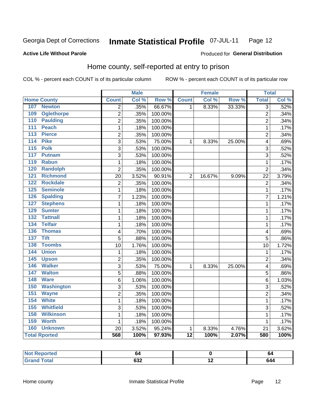#### **Inmate Statistical Profile 07-JUL-11** Page 12

#### **Active Life Without Parole**

#### Produced for General Distribution

## Home county, self-reported at entry to prison

COL % - percent each COUNT is of its particular column

|                                  |                | <b>Male</b> |         |                 | <b>Female</b> |        | <b>Total</b>            |       |
|----------------------------------|----------------|-------------|---------|-----------------|---------------|--------|-------------------------|-------|
| <b>Home County</b>               | <b>Count</b>   | Col %       | Row %   | <b>Count</b>    | Col %         | Row %  | <b>Total</b>            | Col % |
| 107<br><b>Newton</b>             | $\overline{2}$ | .35%        | 66.67%  | 1               | 8.33%         | 33.33% | $\overline{3}$          | .52%  |
| 109<br><b>Oglethorpe</b>         | 2              | .35%        | 100.00% |                 |               |        | $\overline{2}$          | .34%  |
| 110<br><b>Paulding</b>           | $\overline{2}$ | .35%        | 100.00% |                 |               |        | $\overline{2}$          | .34%  |
| <b>Peach</b><br>$\overline{111}$ | $\mathbf 1$    | .18%        | 100.00% |                 |               |        | 1                       | .17%  |
| 113<br><b>Pierce</b>             | $\overline{2}$ | .35%        | 100.00% |                 |               |        | $\overline{2}$          | .34%  |
| <b>Pike</b><br>114               | 3              | .53%        | 75.00%  | 1               | 8.33%         | 25.00% | 4                       | .69%  |
| 115<br><b>Polk</b>               | 3              | .53%        | 100.00% |                 |               |        | 3                       | .52%  |
| 117<br>Putnam                    | $\overline{3}$ | .53%        | 100.00% |                 |               |        | 3                       | .52%  |
| 119<br><b>Rabun</b>              | 1              | .18%        | 100.00% |                 |               |        | 1                       | .17%  |
| 120<br><b>Randolph</b>           | $\overline{2}$ | .35%        | 100.00% |                 |               |        | $\overline{2}$          | .34%  |
| 121<br><b>Richmond</b>           | 20             | 3.52%       | 90.91%  | $\overline{2}$  | 16.67%        | 9.09%  | 22                      | 3.79% |
| <b>Rockdale</b><br>122           | $\overline{c}$ | .35%        | 100.00% |                 |               |        | $\overline{2}$          | .34%  |
| 125<br><b>Seminole</b>           | $\mathbf{1}$   | .18%        | 100.00% |                 |               |        | 1                       | .17%  |
| <b>Spalding</b><br>126           | $\overline{7}$ | 1.23%       | 100.00% |                 |               |        | $\overline{7}$          | 1.21% |
| <b>Stephens</b><br>127           | $\mathbf{1}$   | .18%        | 100.00% |                 |               |        | 1                       | .17%  |
| <b>Sumter</b><br>129             | $\mathbf{1}$   | .18%        | 100.00% |                 |               |        | 1                       | .17%  |
| <b>Tattnall</b><br>132           | $\mathbf{1}$   | .18%        | 100.00% |                 |               |        | 1                       | .17%  |
| <b>Telfair</b><br>134            | $\mathbf 1$    | .18%        | 100.00% |                 |               |        | 1                       | .17%  |
| 136<br><b>Thomas</b>             | 4              | .70%        | 100.00% |                 |               |        | $\overline{4}$          | .69%  |
| <b>Tift</b><br>$\overline{137}$  | 5              | .88%        | 100.00% |                 |               |        | 5                       | .86%  |
| <b>Toombs</b><br>138             | 10             | 1.76%       | 100.00% |                 |               |        | 10                      | 1.72% |
| 144<br><b>Union</b>              | 1              | .18%        | 100.00% |                 |               |        | 1                       | .17%  |
| 145<br><b>Upson</b>              | $\overline{2}$ | .35%        | 100.00% |                 |               |        | $\overline{2}$          | .34%  |
| <b>Walker</b><br>146             | $\overline{3}$ | .53%        | 75.00%  | $\mathbf{1}$    | 8.33%         | 25.00% | $\overline{\mathbf{4}}$ | .69%  |
| 147<br><b>Walton</b>             | $\overline{5}$ | .88%        | 100.00% |                 |               |        | 5                       | .86%  |
| 148<br><b>Ware</b>               | 6              | 1.06%       | 100.00% |                 |               |        | 6                       | 1.03% |
| 150<br><b>Washington</b>         | $\overline{3}$ | .53%        | 100.00% |                 |               |        | 3                       | .52%  |
| 151<br><b>Wayne</b>              | $\overline{2}$ | .35%        | 100.00% |                 |               |        | $\overline{2}$          | .34%  |
| <b>White</b><br>154              | $\mathbf{1}$   | .18%        | 100.00% |                 |               |        | 1                       | .17%  |
| <b>Whitfield</b><br>155          | 3              | .53%        | 100.00% |                 |               |        | 3                       | .52%  |
| <b>Wilkinson</b><br>158          | $\mathbf{1}$   | .18%        | 100.00% |                 |               |        | 1                       | .17%  |
| <b>Worth</b><br>159              | 1              | .18%        | 100.00% |                 |               |        | 1                       | .17%  |
| 160<br><b>Unknown</b>            | 20             | 3.52%       | 95.24%  | $\mathbf{1}$    | 8.33%         | 4.76%  | 21                      | 3.62% |
| <b>Total Rported</b>             | 568            | 100%        | 97.93%  | $\overline{12}$ | 100%          | 2.07%  | 580                     | 100%  |

| Reported<br>$\cdots$ | יי         |                          | 64 |
|----------------------|------------|--------------------------|----|
| $A + \frac{1}{2}$    | coo<br>∪J∠ | $\overline{\phantom{a}}$ |    |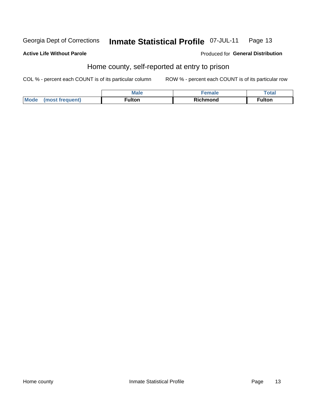#### Inmate Statistical Profile 07-JUL-11 Georgia Dept of Corrections Page 13

#### **Active Life Without Parole**

Produced for General Distribution

## Home county, self-reported at entry to prison

COL % - percent each COUNT is of its particular column

|                                                             | <b>Male</b> | ----<br>. Haiv | Total  |
|-------------------------------------------------------------|-------------|----------------|--------|
| <b>Mode</b><br>$\sim$ ulent) and a<br>net<br><b>Service</b> | ∙ulton      | Richmond       | ≂ulton |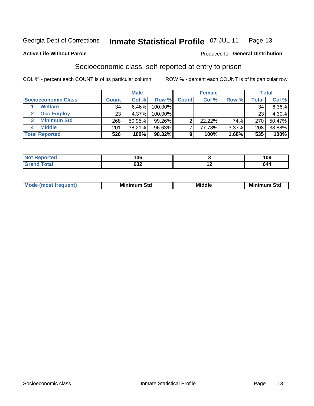#### Inmate Statistical Profile 07-JUL-11 Page 13

#### **Active Life Without Parole**

#### **Produced for General Distribution**

## Socioeconomic class, self-reported at entry to prison

COL % - percent each COUNT is of its particular column

|                       |              | <b>Male</b> |            |              | <b>Female</b> |       |       | <b>Total</b> |
|-----------------------|--------------|-------------|------------|--------------|---------------|-------|-------|--------------|
| Socioeconomic Class   | <b>Count</b> | Col %       | Row %      | <b>Count</b> | Col %         | Row % | Total | Col %        |
| <b>Welfare</b>        | 34           | 6.46%       | 100.00%    |              |               |       | 34    | 6.36%        |
| <b>Occ Employ</b>     | 23           | 4.37%       | $100.00\%$ |              |               |       | 23    | 4.30%        |
| <b>Minimum Std</b>    | 268          | 50.95%      | $99.26\%$  |              | $22.22\%$     | .74%  | 270   | 50.47%       |
| <b>Middle</b>         | 201          | 38.21%      | 96.63%     |              | 77.78%        | 3.37% | 208   | 38.88%       |
| <b>Total Reported</b> | 526          | 100%        | 98.32%     |              | 100%          | 1.68% | 535   | 100%         |

| N | 06                | 109 |
|---|-------------------|-----|
|   | con<br><b>OJZ</b> | 644 |

| ____ |
|------|
|------|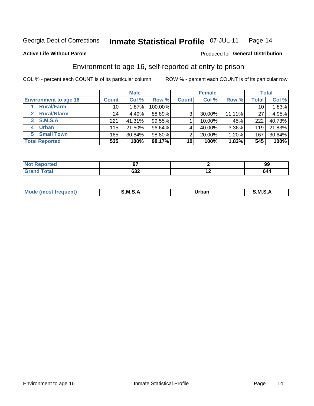#### Inmate Statistical Profile 07-JUL-11 Page 14

#### **Active Life Without Parole**

#### **Produced for General Distribution**

## Environment to age 16, self-reported at entry to prison

COL % - percent each COUNT is of its particular column

|                                      |                 | <b>Male</b> |         |              | <b>Female</b> |        |                 | <b>Total</b> |
|--------------------------------------|-----------------|-------------|---------|--------------|---------------|--------|-----------------|--------------|
| <b>Environment to age 16</b>         | <b>Count</b>    | Col %       | Row %   | <b>Count</b> | Col %         | Row %  | Total           | Col %        |
| <b>Rural/Farm</b>                    | 10              | $1.87\%$    | 100.00% |              |               |        | 10 <sub>1</sub> | 1.83%        |
| <b>Rural/Nfarm</b><br>$\overline{2}$ | 24 <sub>1</sub> | 4.49%       | 88.89%  | 3            | 30.00%        | 11.11% | 27              | 4.95%        |
| 3 S.M.S.A                            | 221             | 41.31%      | 99.55%  |              | 10.00%        | .45%   | 222             | 40.73%       |
| <b>Urban</b><br>4                    | 115             | 21.50%      | 96.64%  |              | 40.00%        | 3.36%  | 119             | 21.83%       |
| 5 Small Town                         | 165             | 30.84%      | 98.80%  | 2            | 20.00%        | 1.20%  | 167             | 30.64%       |
| <b>Total Reported</b>                | 535             | 100%        | 98.17%  | 10           | 100%          | 1.83%  | 545             | 100%         |

| Reported<br>NOT F<br>. |                  |     | ึงะ |
|------------------------|------------------|-----|-----|
| <b>Total</b>           | <b>000</b><br>פט | . . | 644 |

| Mo | M | ----- | M |
|----|---|-------|---|
|    |   | _____ |   |
|    |   |       |   |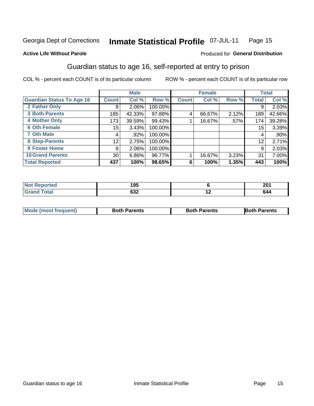#### Inmate Statistical Profile 07-JUL-11 Page 15

#### **Active Life Without Parole**

#### Produced for General Distribution

## Guardian status to age 16, self-reported at entry to prison

COL % - percent each COUNT is of its particular column

|                                  |              | <b>Male</b> |         |              | <b>Female</b> |       |                 | <b>Total</b> |
|----------------------------------|--------------|-------------|---------|--------------|---------------|-------|-----------------|--------------|
| <b>Guardian Status To Age 16</b> | <b>Count</b> | Col %       | Row %   | <b>Count</b> | Col %         | Row % | <b>Total</b>    | Col %        |
| 2 Father Only                    | 9            | $2.06\%$    | 100.00% |              |               |       | 9               | 2.03%        |
| <b>3 Both Parents</b>            | 185          | 42.33%      | 97.88%  | 4            | 66.67%        | 2.12% | 189             | 42.66%       |
| <b>4 Mother Only</b>             | 173          | 39.59%      | 99.43%  |              | 16.67%        | .57%  | 174             | 39.28%       |
| <b>6 Oth Female</b>              | 15           | 3.43%       | 100.00% |              |               |       | 15 <sub>1</sub> | 3.39%        |
| <b>7 Oth Male</b>                | 4            | .92%        | 100.00% |              |               |       | 4               | .90%         |
| 8 Step-Parents                   | 12           | 2.75%       | 100.00% |              |               |       | 12              | 2.71%        |
| <b>9 Foster Home</b>             | 9            | 2.06%       | 100.00% |              |               |       | 9               | 2.03%        |
| <b>10 Grand Parents</b>          | 30           | 6.86%       | 96.77%  |              | 16.67%        | 3.23% | 31              | 7.00%        |
| <b>Total Reported</b>            | 437          | 100%        | 98.65%  | 6            | 100%          | 1.35% | 443             | 100%         |

| Reported | 195<br>נט ו       |     | ኅስ4<br>ZV I |
|----------|-------------------|-----|-------------|
| Total    | <b>000</b><br>৩১∠ | . . | 544         |

| <b>Mode (most frequent)</b> | <b>Both Parents</b> | <b>Both Parents</b> | <b>Both Parents</b> |
|-----------------------------|---------------------|---------------------|---------------------|
|                             |                     |                     |                     |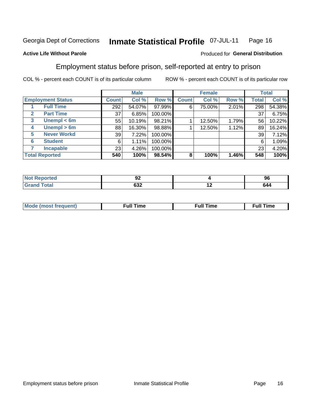#### Inmate Statistical Profile 07-JUL-11 Page 16

#### **Active Life Without Parole**

#### Produced for General Distribution

## Employment status before prison, self-reported at entry to prison

COL % - percent each COUNT is of its particular column

|                                  |              | <b>Male</b> |         |              | <b>Female</b> |       |       | <b>Total</b> |
|----------------------------------|--------------|-------------|---------|--------------|---------------|-------|-------|--------------|
| <b>Employment Status</b>         | <b>Count</b> | Col %       | Row %   | <b>Count</b> | Col %         | Row % | Total | Col %        |
| <b>Full Time</b>                 | 292          | 54.07%      | 97.99%  | 6            | 75.00%        | 2.01% | 298   | 54.38%       |
| <b>Part Time</b><br>$\mathbf{2}$ | 37           | 6.85%       | 100.00% |              |               |       | 37    | 6.75%        |
| Unempl $<$ 6m<br>3               | 55           | 10.19%      | 98.21%  |              | 12.50%        | 1.79% | 56    | 10.22%       |
| Unempl > 6m<br>4                 | 88           | 16.30%      | 98.88%  |              | 12.50%        | 1.12% | 89    | 16.24%       |
| <b>Never Workd</b><br>5          | 39           | 7.22%       | 100.00% |              |               |       | 39    | 7.12%        |
| <b>Student</b><br>6              | 6            | 1.11%       | 100.00% |              |               |       | 6     | 1.09%        |
| <b>Incapable</b>                 | 23           | 4.26%       | 100.00% |              |               |       | 23    | 4.20%        |
| <b>Total Reported</b>            | 540          | 100%        | 98.54%  | 8            | 100%          | 1.46% | 548   | 100%         |

| тес. | JŁ               |     | 96  |
|------|------------------|-----|-----|
|      | <b>000</b><br>פט | . . | ___ |

| Mc | ∴ul! | ----<br>ıme<br>w |
|----|------|------------------|
|    |      |                  |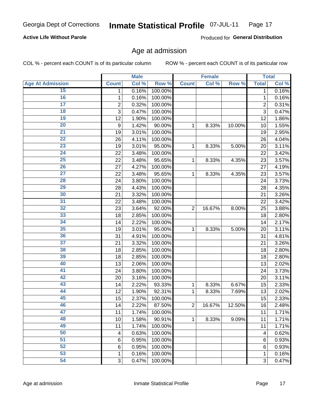#### Inmate Statistical Profile 07-JUL-11 Page 17

#### **Active Life Without Parole**

Produced for General Distribution

## Age at admission

COL % - percent each COUNT is of its particular column

|                         |                 | <b>Male</b> |         |                | <b>Female</b> |        |                | <b>Total</b> |
|-------------------------|-----------------|-------------|---------|----------------|---------------|--------|----------------|--------------|
| <b>Age At Admission</b> | <b>Count</b>    | Col %       | Row %   | <b>Count</b>   | Col %         | Row %  | <b>Total</b>   | Col %        |
| 15                      | 1               | 0.16%       | 100.00% |                |               |        | 1              | 0.16%        |
| 16                      | 1               | 0.16%       | 100.00% |                |               |        | 1              | 0.16%        |
| $\overline{17}$         | $\overline{c}$  | 0.32%       | 100.00% |                |               |        | $\overline{2}$ | 0.31%        |
| 18                      | 3               | 0.47%       | 100.00% |                |               |        | 3              | 0.47%        |
| 19                      | 12              | 1.90%       | 100.00% |                |               |        | 12             | 1.86%        |
| $\overline{20}$         | 9               | 1.42%       | 90.00%  | 1              | 8.33%         | 10.00% | 10             | 1.55%        |
| 21                      | 19              | 3.01%       | 100.00% |                |               |        | 19             | 2.95%        |
| 22                      | 26              | 4.11%       | 100.00% |                |               |        | 26             | 4.04%        |
| 23                      | 19              | 3.01%       | 95.00%  | 1              | 8.33%         | 5.00%  | 20             | 3.11%        |
| 24                      | 22              | 3.48%       | 100.00% |                |               |        | 22             | 3.42%        |
| $\overline{25}$         | 22              | 3.48%       | 95.65%  | 1              | 8.33%         | 4.35%  | 23             | 3.57%        |
| 26                      | 27              | 4.27%       | 100.00% |                |               |        | 27             | 4.19%        |
| $\overline{27}$         | 22              | 3.48%       | 95.65%  | 1              | 8.33%         | 4.35%  | 23             | 3.57%        |
| 28                      | 24              | 3.80%       | 100.00% |                |               |        | 24             | 3.73%        |
| 29                      | 28              | 4.43%       | 100.00% |                |               |        | 28             | 4.35%        |
| 30                      | 21              | 3.32%       | 100.00% |                |               |        | 21             | 3.26%        |
| $\overline{31}$         | 22              | 3.48%       | 100.00% |                |               |        | 22             | 3.42%        |
| 32                      | 23              | 3.64%       | 92.00%  | $\overline{2}$ | 16.67%        | 8.00%  | 25             | 3.88%        |
| 33                      | 18              | 2.85%       | 100.00% |                |               |        | 18             | 2.80%        |
| 34                      | 14              | 2.22%       | 100.00% |                |               |        | 14             | 2.17%        |
| 35                      | 19              | 3.01%       | 95.00%  | 1              | 8.33%         | 5.00%  | 20             | 3.11%        |
| 36                      | 31              | 4.91%       | 100.00% |                |               |        | 31             | 4.81%        |
| $\overline{37}$         | 21              | 3.32%       | 100.00% |                |               |        | 21             | 3.26%        |
| 38                      | 18              | 2.85%       | 100.00% |                |               |        | 18             | 2.80%        |
| 39                      | 18              | 2.85%       | 100.00% |                |               |        | 18             | 2.80%        |
| 40                      | 13              | 2.06%       | 100.00% |                |               |        | 13             | 2.02%        |
| 41                      | 24              | 3.80%       | 100.00% |                |               |        | 24             | 3.73%        |
| 42                      | 20              | 3.16%       | 100.00% |                |               |        | 20             | 3.11%        |
| 43                      | 14              | 2.22%       | 93.33%  | 1              | 8.33%         | 6.67%  | 15             | 2.33%        |
| 44                      | 12              | 1.90%       | 92.31%  | 1              | 8.33%         | 7.69%  | 13             | 2.02%        |
| 45                      | 15              | 2.37%       | 100.00% |                |               |        | 15             | 2.33%        |
| 46                      | 14              | 2.22%       | 87.50%  | $\overline{2}$ | 16.67%        | 12.50% | 16             | 2.48%        |
| 47                      | 11              | 1.74%       | 100.00% |                |               |        | 11             | 1.71%        |
| 48                      | 10              | 1.58%       | 90.91%  | 1              | 8.33%         | 9.09%  | 11             | 1.71%        |
| 49                      | 11              | 1.74%       | 100.00% |                |               |        | 11             | 1.71%        |
| 50                      | 4               | 0.63%       | 100.00% |                |               |        | 4              | 0.62%        |
| $\overline{51}$         | $6\phantom{1}6$ | 0.95%       | 100.00% |                |               |        | 6              | 0.93%        |
| 52                      | 6               | 0.95%       | 100.00% |                |               |        | 6              | 0.93%        |
| 53                      | 1               | 0.16%       | 100.00% |                |               |        | 1              | 0.16%        |
| 54                      | 3               | 0.47%       | 100.00% |                |               |        | 3              | 0.47%        |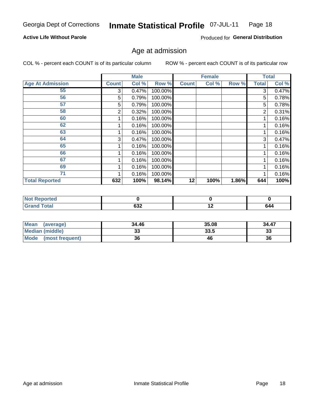#### Inmate Statistical Profile 07-JUL-11 Page 18

#### **Active Life Without Parole**

Produced for General Distribution

### Age at admission

COL % - percent each COUNT is of its particular column

|                         |              | <b>Male</b> |         |              | <b>Female</b> |       |       | <b>Total</b> |
|-------------------------|--------------|-------------|---------|--------------|---------------|-------|-------|--------------|
| <b>Age At Admission</b> | <b>Count</b> | Col %       | Row %   | <b>Count</b> | Col %         | Row % | Total | Col %        |
| 55                      | 3            | 0.47%       | 100.00% |              |               |       | 3     | 0.47%        |
| 56                      | 5            | 0.79%       | 100.00% |              |               |       | 5     | 0.78%        |
| 57                      | 5            | 0.79%       | 100.00% |              |               |       | 5     | 0.78%        |
| 58                      | 2            | 0.32%       | 100.00% |              |               |       | 2     | 0.31%        |
| 60                      |              | 0.16%       | 100.00% |              |               |       |       | 0.16%        |
| 62                      |              | 0.16%       | 100.00% |              |               |       |       | 0.16%        |
| 63                      |              | 0.16%       | 100.00% |              |               |       |       | 0.16%        |
| 64                      | 3            | 0.47%       | 100.00% |              |               |       | 3     | 0.47%        |
| 65                      |              | 0.16%       | 100.00% |              |               |       |       | 0.16%        |
| 66                      |              | 0.16%       | 100.00% |              |               |       |       | 0.16%        |
| 67                      |              | 0.16%       | 100.00% |              |               |       |       | 0.16%        |
| 69                      |              | 0.16%       | 100.00% |              |               |       |       | 0.16%        |
| 71                      |              | 0.16%       | 100.00% |              |               |       |       | 0.16%        |
| <b>Total Reported</b>   | 632          | 100%        | 98.14%  | 12           | 100%          | 1.86% | 644   | 100%         |

| Reported<br>TV 6 |        |     |     |
|------------------|--------|-----|-----|
| <b>Total</b>     | $\sim$ | . . | - - |
| Grand            | שטס    |     | 644 |

| <b>Mean</b><br>(average) | 34.46 | 35.08 | 34.47     |
|--------------------------|-------|-------|-----------|
| <b>Median (middle)</b>   | ູບ    | 33.5  | ^^<br>-55 |
| Mode<br>(most frequent)  | 36    | 46    | 36        |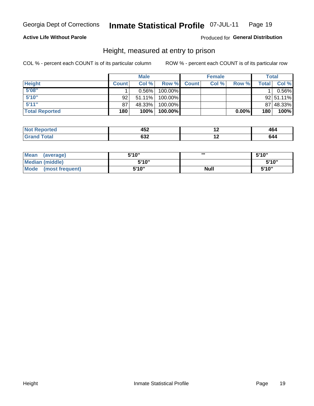#### Inmate Statistical Profile 07-JUL-11 Page 19

#### **Active Life Without Parole**

#### Produced for General Distribution

### Height, measured at entry to prison

COL % - percent each COUNT is of its particular column

|                       |              | <b>Male</b> |         |              | <b>Female</b> |          |              | Total         |
|-----------------------|--------------|-------------|---------|--------------|---------------|----------|--------------|---------------|
| <b>Height</b>         | <b>Count</b> | Col %       | Row %   | <b>Count</b> | Col %         | Row %    | <b>Total</b> | Col %         |
| 5'08''                |              | $0.56\%$    | 100.00% |              |               |          |              | 0.56%         |
| 5'10''                | 92           | $51.11\%$   | 100.00% |              |               |          |              | $92 51.11\% $ |
| 5'11''                | 87           | 48.33%      | 100.00% |              |               |          |              | 87 48.33%     |
| <b>Total Reported</b> | 180          | 100%        | 100.00% |              |               | $0.00\%$ | 180          | 100%          |

| <b>Not</b><br><b>rted</b><br>енн | ィにつ<br>49 Z | $\overline{\phantom{0}}$ | − ∪∙ |
|----------------------------------|-------------|--------------------------|------|
| <b>Total</b><br>' Grand          | ົາ<br>אט    | . .                      | 744. |

| <b>Mean</b><br>(average)       | 5'10'' | ш           | 5'10" |
|--------------------------------|--------|-------------|-------|
| <b>Median (middle)</b>         | 5'10"  |             | 5'10" |
| <b>Mode</b><br>(most frequent) | 5'10'' | <b>Null</b> | 5'10" |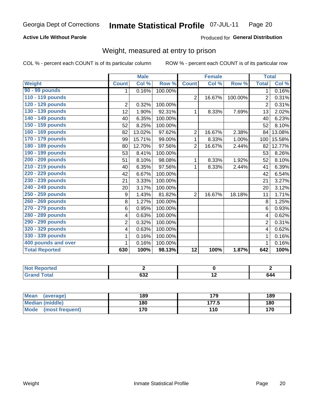#### Inmate Statistical Profile 07-JUL-11 Page 20

#### **Active Life Without Parole**

#### Produced for General Distribution

## Weight, measured at entry to prison

COL % - percent each COUNT is of its particular column

|                       |                | <b>Male</b> |         |                 | <b>Female</b> |         | <b>Total</b>   |        |
|-----------------------|----------------|-------------|---------|-----------------|---------------|---------|----------------|--------|
| <b>Weight</b>         | <b>Count</b>   | Col %       | Row %   | <b>Count</b>    | Col %         | Row %   | <b>Total</b>   | Col %  |
| 90 - 99 pounds        | 1              | 0.16%       | 100.00% |                 |               |         | 1              | 0.16%  |
| 110 - 119 pounds      |                |             |         | $\overline{2}$  | 16.67%        | 100.00% | 2              | 0.31%  |
| 120 - 129 pounds      | $\overline{2}$ | 0.32%       | 100.00% |                 |               |         | $\overline{2}$ | 0.31%  |
| 130 - 139 pounds      | 12             | 1.90%       | 92.31%  | 1               | 8.33%         | 7.69%   | 13             | 2.02%  |
| 140 - 149 pounds      | 40             | 6.35%       | 100.00% |                 |               |         | 40             | 6.23%  |
| 150 - 159 pounds      | 52             | 8.25%       | 100.00% |                 |               |         | 52             | 8.10%  |
| 160 - 169 pounds      | 82             | 13.02%      | 97.62%  | $\overline{2}$  | 16.67%        | 2.38%   | 84             | 13.08% |
| 170 - 179 pounds      | 99             | 15.71%      | 99.00%  | 1               | 8.33%         | 1.00%   | 100            | 15.58% |
| 180 - 189 pounds      | 80             | 12.70%      | 97.56%  | $\overline{2}$  | 16.67%        | 2.44%   | 82             | 12.77% |
| 190 - 199 pounds      | 53             | 8.41%       | 100.00% |                 |               |         | 53             | 8.26%  |
| 200 - 209 pounds      | 51             | 8.10%       | 98.08%  | 1               | 8.33%         | 1.92%   | 52             | 8.10%  |
| 210 - 219 pounds      | 40             | 6.35%       | 97.56%  | 1               | 8.33%         | 2.44%   | 41             | 6.39%  |
| 220 - 229 pounds      | 42             | 6.67%       | 100.00% |                 |               |         | 42             | 6.54%  |
| 230 - 239 pounds      | 21             | 3.33%       | 100.00% |                 |               |         | 21             | 3.27%  |
| 240 - 249 pounds      | 20             | 3.17%       | 100.00% |                 |               |         | 20             | 3.12%  |
| 250 - 259 pounds      | 9              | 1.43%       | 81.82%  | $\overline{2}$  | 16.67%        | 18.18%  | 11             | 1.71%  |
| 260 - 269 pounds      | 8              | 1.27%       | 100.00% |                 |               |         | 8              | 1.25%  |
| 270 - 279 pounds      | 6              | 0.95%       | 100.00% |                 |               |         | 6              | 0.93%  |
| 280 - 289 pounds      | 4              | 0.63%       | 100.00% |                 |               |         | 4              | 0.62%  |
| 290 - 299 pounds      | $\overline{2}$ | 0.32%       | 100.00% |                 |               |         | $\overline{2}$ | 0.31%  |
| 320 - 329 pounds      | 4              | 0.63%       | 100.00% |                 |               |         | 4              | 0.62%  |
| 330 - 339 pounds      | 1              | 0.16%       | 100.00% |                 |               |         |                | 0.16%  |
| 400 pounds and over   |                | 0.16%       | 100.00% |                 |               |         |                | 0.16%  |
| <b>Total Reported</b> | 630            | 100%        | 98.13%  | $\overline{12}$ | 100%          | 1.87%   | 642            | 100%   |

| <b>Not Reported</b>  |           |     |     |
|----------------------|-----------|-----|-----|
| <b>Total</b><br>Gran | coo<br>שט | . . | 644 |

| <b>Mean</b><br>(average) | 189 | 179   | 189 |
|--------------------------|-----|-------|-----|
| <b>Median (middle)</b>   | 180 | 177.5 | 180 |
| Mode<br>(most frequent)  | 170 | 110   | 170 |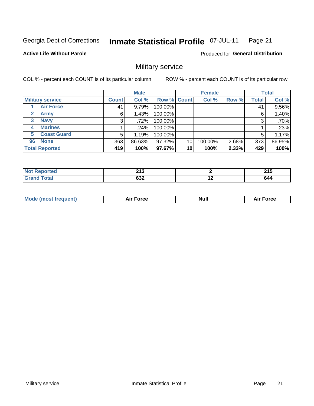#### **Inmate Statistical Profile 07-JUL-11** Page 21

#### **Active Life Without Parole**

**Produced for General Distribution** 

## Military service

COL % - percent each COUNT is of its particular column

|              |                         |              | <b>Male</b> |         |             | <b>Female</b> |       |              | <b>Total</b> |
|--------------|-------------------------|--------------|-------------|---------|-------------|---------------|-------|--------------|--------------|
|              | <b>Military service</b> | <b>Count</b> | Col %       |         | Row % Count | Col %         | Row % | <b>Total</b> | Col %        |
|              | <b>Air Force</b>        | 41           | 9.79%       | 100.00% |             |               |       | 41           | 9.56%        |
| $\mathbf{2}$ | <b>Army</b>             | 6            | 1.43%       | 100.00% |             |               |       | 6            | 1.40%        |
| 3            | <b>Navy</b>             | 3            | .72%        | 100.00% |             |               |       | 3            | .70%         |
| 4            | <b>Marines</b>          |              | .24%        | 100.00% |             |               |       |              | .23%         |
| 5.           | <b>Coast Guard</b>      | 5            | 1.19%       | 100.00% |             |               |       | 5            | 1.17%        |
| 96           | <b>None</b>             | 363          | 86.63%      | 97.32%  | 10          | 100.00%       | 2.68% | 373          | 86.95%       |
|              | <b>Total Reported</b>   | 419          | 100%        | 97.67%  | 10          | 100%          | 2.33% | 429          | 100%         |

| <b>rted</b>                    | 242<br><b>215</b> |     | - - -<br>2 I J |
|--------------------------------|-------------------|-----|----------------|
| <b>otal</b><br>$\mathsf{v}$ nu | coo<br>∠כס        | . . | v44            |

|  | Mo<br>de (most frequent) | <b>Force</b><br>Aır | Null | <b>Force</b><br>-- |
|--|--------------------------|---------------------|------|--------------------|
|--|--------------------------|---------------------|------|--------------------|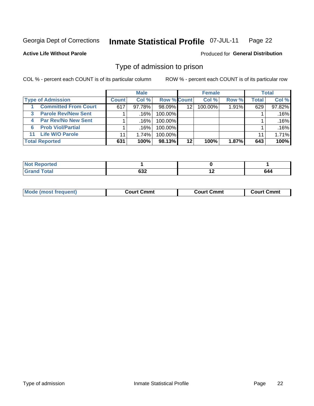#### Inmate Statistical Profile 07-JUL-11 Page 22

**Active Life Without Parole** 

**Produced for General Distribution** 

## Type of admission to prison

COL % - percent each COUNT is of its particular column

|                                 |              | <b>Male</b> |                    |         | <b>Female</b> |       |       | <b>Total</b> |
|---------------------------------|--------------|-------------|--------------------|---------|---------------|-------|-------|--------------|
| <b>Type of Admission</b>        | <b>Count</b> | Col%        | <b>Row % Count</b> |         | Col %         | Row % | Total | Col %        |
| <b>Committed From Court</b>     | 617          | 97.78%      | 98.09%             | 12      | $100.00\%$    | 1.91% | 629   | 97.82%       |
| <b>Parole Rev/New Sent</b><br>3 |              | .16%        | 100.00%            |         |               |       |       | .16%         |
| <b>Par Rev/No New Sent</b><br>4 |              | ا 16%.      | 100.00%            |         |               |       |       | .16%         |
| <b>Prob Viol/Partial</b><br>6   |              | ا 16%.      | 100.00%            |         |               |       |       | .16%         |
| <b>Life W/O Parole</b><br>11    | 11           | 1.74%       | 100.00%            |         |               |       | 11    | 1.71%        |
| <b>Total Reported</b>           | 631          | 100%        | 98.13%             | $12 \,$ | 100%          | 1.87% | 643   | 100%         |

| <b>Not Repc</b><br><b>Enorted</b> |                   |     |     |
|-----------------------------------|-------------------|-----|-----|
| <b>Total</b><br>Croy              | <b>000</b><br>∠כס | . . | 644 |

| Mode (most frequent) | Court Cmmt | Court Cmmt | Court Cmmt |
|----------------------|------------|------------|------------|
|                      |            |            |            |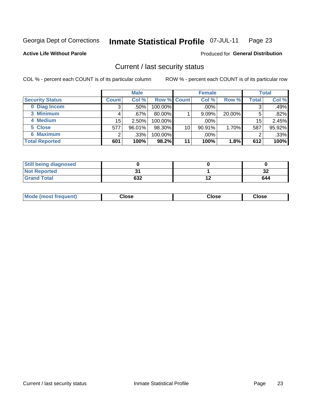#### Inmate Statistical Profile 07-JUL-11 Page 23

**Active Life Without Parole** 

**Produced for General Distribution** 

### Current / last security status

COL % - percent each COUNT is of its particular column

|                        |                 | <b>Male</b> |             |    | <b>Female</b> |        |              | <b>Total</b> |
|------------------------|-----------------|-------------|-------------|----|---------------|--------|--------------|--------------|
| <b>Security Status</b> | <b>Count</b>    | Col %       | Row % Count |    | Col %         | Row %  | <b>Total</b> | Col %        |
| 0 Diag Incom           | 3               | .50%        | 100.00%     |    | .00%          |        | 3            | .49%         |
| 3 Minimum              |                 | .67%        | $80.00\%$   |    | 9.09%         | 20.00% | 5            | .82%         |
| 4 Medium               | 15 <sub>2</sub> | 2.50%       | 100.00%     |    | .00%          |        | 15           | 2.45%        |
| 5 Close                | 577             | 96.01%      | 98.30%      | 10 | 90.91%        | 1.70%  | 587          | 95.92%       |
| 6 Maximum              |                 | .33%        | 100.00%     |    | .00%          |        | 2            | .33%         |
| <b>Total Reported</b>  | 601             | 100%        | 98.2%       | 11 | 100%          | 1.8%   | 612          | 100%         |

| <b>Still being diagnosed</b> |     |          |
|------------------------------|-----|----------|
| <b>Not Reported</b>          |     | ^^<br>JZ |
| <b>Grand Total</b>           | 632 | 644      |

| Mode (my<br>Close<br>Close<br>Close<br>frequent)<br>nst |
|---------------------------------------------------------|
|---------------------------------------------------------|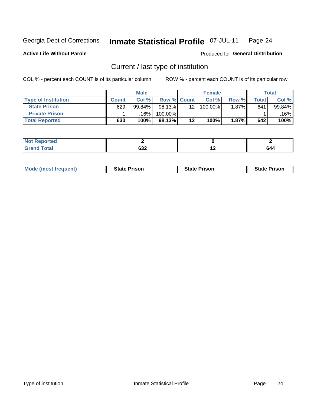#### Inmate Statistical Profile 07-JUL-11 Page 24

**Active Life Without Parole** 

Produced for General Distribution

## Current / last type of institution

COL % - percent each COUNT is of its particular column

|                            |              | <b>Male</b> |             |         | <b>Female</b> |          |       | <b>Total</b> |
|----------------------------|--------------|-------------|-------------|---------|---------------|----------|-------|--------------|
| <b>Type of Institution</b> | <b>Count</b> | Col%        | Row % Count |         | Col %         | Row %    | Total | Col %        |
| <b>State Prison</b>        | 629          | $99.84\%$   | 98.13%      | 12      | 100.00%       | $1.87\%$ | 641   | 99.84%       |
| <b>Private Prison</b>      |              | .16% l      | 100.00%     |         |               |          |       | $.16\%$      |
| <b>Total Reported</b>      | 630          | 100%        | 98.13%      | $12 \,$ | 100%          | 1.87%    | 642   | 100%         |

| د حا<br>rea |                      |                    |  |
|-------------|----------------------|--------------------|--|
| $m = 1$     | $\sim$<br><b>OJZ</b> | . .<br><u>. . </u> |  |

| <b>Mode (most frequent)</b> | <b>State Prison</b> | <b>State Prison</b> | <b>State Prison</b> |
|-----------------------------|---------------------|---------------------|---------------------|
|                             |                     |                     |                     |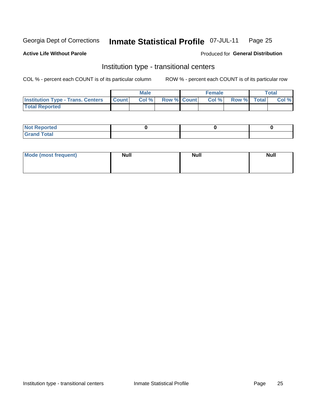#### Inmate Statistical Profile 07-JUL-11 Page 25

#### **Active Life Without Parole**

#### Produced for General Distribution

## Institution type - transitional centers

COL % - percent each COUNT is of its particular column

|                                                | Male  |                    | <b>Female</b> |                   | Total |
|------------------------------------------------|-------|--------------------|---------------|-------------------|-------|
| <b>Institution Type - Trans. Centers Count</b> | Col % | <b>Row % Count</b> |               | Col % Row % Total | Col % |
| <b>Total Reported</b>                          |       |                    |               |                   |       |

| <b>Reported</b><br><b>NOT</b><br>$\sim$            |  |  |
|----------------------------------------------------|--|--|
| $f$ $f \circ f \circ f$<br>$C = 1$<br><b>TULAI</b> |  |  |

| Mode (most frequent) | <b>Null</b> | <b>Null</b> | <b>Null</b> |
|----------------------|-------------|-------------|-------------|
|                      |             |             |             |
|                      |             |             |             |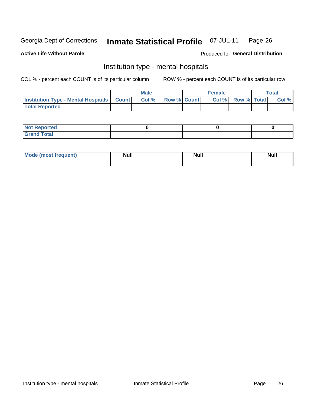#### **Inmate Statistical Profile 07-JUL-11** Page 26

#### **Active Life Without Parole**

#### Produced for General Distribution

## Institution type - mental hospitals

COL % - percent each COUNT is of its particular column

|                                                  | Male |                    | <b>Female</b> |                   | <b>Total</b> |
|--------------------------------------------------|------|--------------------|---------------|-------------------|--------------|
| <b>Institution Type - Mental Hospitals Count</b> | Col% | <b>Row % Count</b> |               | Col % Row % Total | Col %        |
| <b>Total Reported</b>                            |      |                    |               |                   |              |

| <b>Not Reported</b>                     |  |  |
|-----------------------------------------|--|--|
| <b>otal</b><br>C <sub>r</sub><br>______ |  |  |

| Mode.<br>frequent) | <b>Nul</b><br>_____ | <b>Null</b> | <b>Null</b> |
|--------------------|---------------------|-------------|-------------|
|                    |                     |             |             |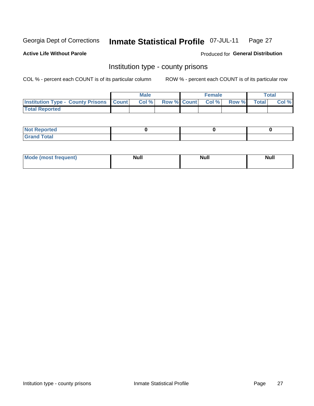#### Inmate Statistical Profile 07-JUL-11 Page 27

**Active Life Without Parole** 

**Produced for General Distribution** 

### Institution type - county prisons

COL % - percent each COUNT is of its particular column

|                                                    | <b>Male</b> |  | <b>Female</b>            |             | <b>Total</b> |
|----------------------------------------------------|-------------|--|--------------------------|-------------|--------------|
| <b>Institution Type - County Prisons   Count  </b> | Col %       |  | <b>Row % Count Col %</b> | Row % Total | Col %        |
| <b>Total Reported</b>                              |             |  |                          |             |              |

| <b>Not Reported</b>   |  |  |
|-----------------------|--|--|
| <b>Total</b><br>Granc |  |  |

| Mode (most frequent) | <b>Null</b> | <b>Null</b> | <b>Null</b> |
|----------------------|-------------|-------------|-------------|
|                      |             |             |             |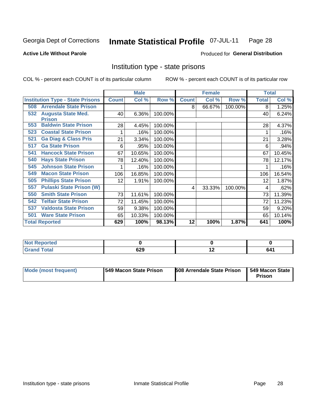#### Inmate Statistical Profile 07-JUL-11 Page 28

#### **Active Life Without Parole**

#### **Produced for General Distribution**

## Institution type - state prisons

COL % - percent each COUNT is of its particular column

|                                                   |              | <b>Male</b> |         |              | <b>Female</b> |         | <b>Total</b> |        |
|---------------------------------------------------|--------------|-------------|---------|--------------|---------------|---------|--------------|--------|
| <b>Institution Type - State Prisons</b>           | <b>Count</b> | Col %       | Row %   | <b>Count</b> | Col %         | Row %   | Total        | Col %  |
| <b>Arrendale State Prison</b><br>508              |              |             |         | 8            | 66.67%        | 100.00% | 8            | 1.25%  |
| <b>Augusta State Med.</b><br>532<br><b>Prison</b> | 40           | 6.36%       | 100.00% |              |               |         | 40           | 6.24%  |
| <b>Baldwin State Prison</b><br>553                | 28           | 4.45%       | 100.00% |              |               |         | 28           | 4.37%  |
| <b>Coastal State Prison</b><br>523                |              | .16%        | 100.00% |              |               |         |              | .16%   |
| <b>Ga Diag &amp; Class Pris</b><br>521            | 21           | 3.34%       | 100.00% |              |               |         | 21           | 3.28%  |
| <b>Ga State Prison</b><br>517                     | 6            | .95%        | 100.00% |              |               |         | 6            | .94%   |
| <b>Hancock State Prison</b><br>541                | 67           | 10.65%      | 100.00% |              |               |         | 67           | 10.45% |
| <b>Hays State Prison</b><br>540                   | 78           | 12.40%      | 100.00% |              |               |         | 78           | 12.17% |
| <b>Johnson State Prison</b><br>545                |              | .16%        | 100.00% |              |               |         |              | .16%   |
| <b>Macon State Prison</b><br>549                  | 106          | 16.85%      | 100.00% |              |               |         | 106          | 16.54% |
| <b>Phillips State Prison</b><br>505               | 12           | 1.91%       | 100.00% |              |               |         | 12           | 1.87%  |
| <b>Pulaski State Prison (W)</b><br>557            |              |             |         | 4            | 33.33%        | 100.00% | 4            | .62%   |
| <b>Smith State Prison</b><br>550                  | 73           | 11.61%      | 100.00% |              |               |         | 73           | 11.39% |
| <b>Telfair State Prison</b><br>542                | 72           | 11.45%      | 100.00% |              |               |         | 72           | 11.23% |
| <b>Valdosta State Prison</b><br>537               | 59           | 9.38%       | 100.00% |              |               |         | 59           | 9.20%  |
| <b>Ware State Prison</b><br>501                   | 65           | 10.33%      | 100.00% |              |               |         | 65           | 10.14% |
| <b>Total Reported</b>                             | 629          | 100%        | 98.13%  | 12           | 100%          | 1.87%   | 641          | 100%   |

| : Reported<br><b>NOT</b><br>$\sim$ |     |     |     |
|------------------------------------|-----|-----|-----|
| <b>c</b> otal                      | 629 | . . | 641 |

| Mode (most frequent) | 1549 Macon State Prison | <b>508 Arrendale State Prison</b> | I 549 Macon State I<br>Prison |
|----------------------|-------------------------|-----------------------------------|-------------------------------|
|----------------------|-------------------------|-----------------------------------|-------------------------------|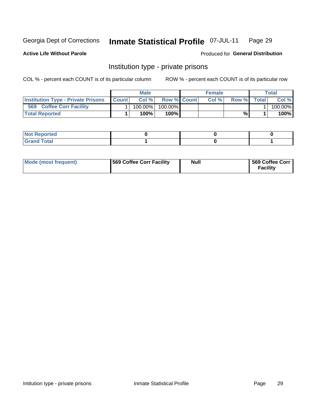#### Inmate Statistical Profile 07-JUL-11 Page 29

**Active Life Without Parole** 

Produced for General Distribution

## Institution type - private prisons

COL % - percent each COUNT is of its particular column

|                                           |              | <b>Male</b> |                    | <b>Female</b> |       |              | Total   |
|-------------------------------------------|--------------|-------------|--------------------|---------------|-------|--------------|---------|
| <b>Institution Type - Private Prisons</b> | <b>Count</b> | Col%        | <b>Row % Count</b> | Col%          | Row % | <b>Total</b> | Col %   |
| 569<br><b>Coffee Corr Facility</b>        |              | $100.00\%$  | 100.00%            |               |       |              | 100.00% |
| <b>Total Reported</b>                     |              | $100\%$ .   | 100%               |               | %     |              | 100%    |

| Not Reported |  |  |
|--------------|--|--|
|              |  |  |

| Mode (most frequent) | 569 Coffee Corr Facility | <b>Null</b> | 569 Coffee Corr<br><b>Facility</b> |
|----------------------|--------------------------|-------------|------------------------------------|
|----------------------|--------------------------|-------------|------------------------------------|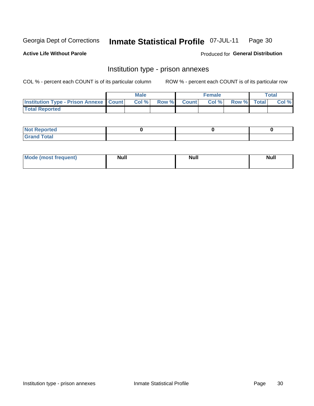#### Inmate Statistical Profile 07-JUL-11 Page 30

**Active Life Without Parole** 

Produced for General Distribution

## Institution type - prison annexes

COL % - percent each COUNT is of its particular column

|                                                   | <b>Male</b> |              |       | <b>Female</b> |                    | <b>Total</b> |
|---------------------------------------------------|-------------|--------------|-------|---------------|--------------------|--------------|
| <b>Institution Type - Prison Annexe   Count  </b> | Col %       | <b>Row %</b> | Count | Col %         | <b>Row %</b> Total | Col %        |
| <b>Total Reported</b>                             |             |              |       |               |                    |              |

| <b>Reported</b><br>I NOT                      |  |  |
|-----------------------------------------------|--|--|
| <b>Total</b><br>Carar<br>$\sim$ . When $\sim$ |  |  |

| <b>Mode</b>     | <b>Null</b> | <b>Null</b> | <b>Null</b> |
|-----------------|-------------|-------------|-------------|
| most frequent). |             |             |             |
|                 |             |             |             |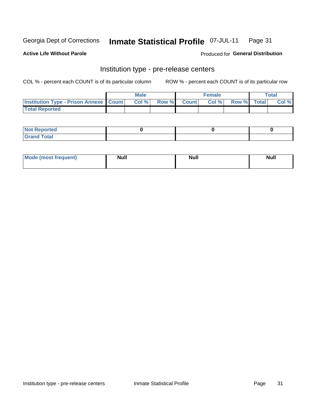#### Inmate Statistical Profile 07-JUL-11 Page 31

**Active Life Without Parole** 

Produced for General Distribution

## Institution type - pre-release centers

COL % - percent each COUNT is of its particular column

|                                                   | <b>Male</b> |              |              | Female |             | <b>Total</b> |
|---------------------------------------------------|-------------|--------------|--------------|--------|-------------|--------------|
| <b>Institution Type - Prison Annexe   Count  </b> | Col %       | <b>Row %</b> | <b>Count</b> | Col %  | Row % Total | Col %        |
| <b>Total Reported</b>                             |             |              |              |        |             |              |

| <b>Reported</b><br>I NOT |  |  |
|--------------------------|--|--|
| <b>Total</b><br>$C$ ren  |  |  |

| <b>Mo</b><br>frequent)<br>(most | <b>Null</b> | <b>Null</b> | <b>Null</b> |
|---------------------------------|-------------|-------------|-------------|
|                                 |             |             |             |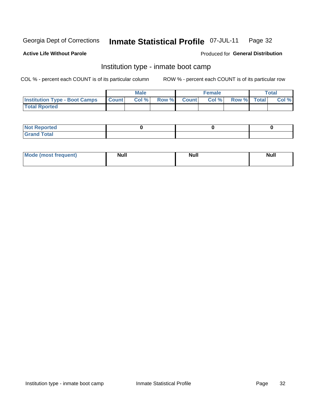#### Inmate Statistical Profile 07-JUL-11 Page 32

#### **Active Life Without Parole**

#### Produced for General Distribution

## Institution type - inmate boot camp

COL % - percent each COUNT is of its particular column

|                                      |                  | <b>Male</b> |              |              | <b>Female</b> |             | <b>Total</b> |
|--------------------------------------|------------------|-------------|--------------|--------------|---------------|-------------|--------------|
| <b>Institution Type - Boot Camps</b> | <b>I</b> Count I | Col %       | <b>Row %</b> | <b>Count</b> | Col %         | Row % Total | Col %        |
| <b>Total Rported</b>                 |                  |             |              |              |               |             |              |

| <b>Not Reported</b>            |  |  |
|--------------------------------|--|--|
| <b>Total</b><br>C <sub>r</sub> |  |  |

| <b>I Mode (most frequent)</b> | <b>Null</b> | <b>Null</b> | <b>Null</b> |
|-------------------------------|-------------|-------------|-------------|
|                               |             |             |             |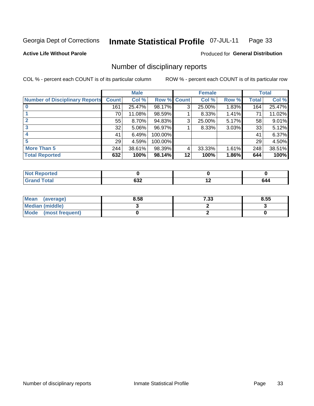#### Inmate Statistical Profile 07-JUL-11 Page 33

**Active Life Without Parole** 

Produced for General Distribution

## Number of disciplinary reports

COL % - percent each COUNT is of its particular column

|                                       |              | <b>Male</b> |                    |    | <b>Female</b> |       |       | <b>Total</b> |
|---------------------------------------|--------------|-------------|--------------------|----|---------------|-------|-------|--------------|
| <b>Number of Disciplinary Reports</b> | <b>Count</b> | Col %       | <b>Row % Count</b> |    | Col %         | Row % | Total | Col %        |
|                                       | 161          | 25.47%      | 98.17%             | 3  | 25.00%        | 1.83% | 164   | 25.47%       |
|                                       | 70           | 11.08%      | 98.59%             |    | 8.33%         | 1.41% | 71    | 11.02%       |
|                                       | 55           | 8.70%       | 94.83%             | 3  | 25.00%        | 5.17% | 58    | 9.01%        |
| 3                                     | 32           | 5.06%       | 96.97%             |    | 8.33%         | 3.03% | 33    | 5.12%        |
|                                       | 41           | 6.49%       | 100.00%            |    |               |       | 41    | 6.37%        |
| 5                                     | 29           | 4.59%       | 100.00%            |    |               |       | 29    | 4.50%        |
| <b>More Than 5</b>                    | 244          | 38.61%      | 98.39%             | 4  | 33.33%        | 1.61% | 248   | 38.51%       |
| <b>Total Reported</b>                 | 632          | 100%        | 98.14%             | 12 | 100%          | 1.86% | 644   | 100%         |

| NO<br>него |             |             |     |
|------------|-------------|-------------|-----|
| Total      | cor.<br>99Z | $\cdot$ $-$ | 644 |

| Mean (average)       | 8.58 | 7.33 | 8.55 |
|----------------------|------|------|------|
| Median (middle)      |      |      |      |
| Mode (most frequent) |      |      |      |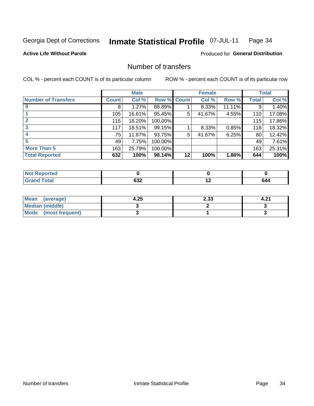#### Inmate Statistical Profile 07-JUL-11 Page 34

#### **Active Life Without Parole**

#### **Produced for General Distribution**

## Number of transfers

COL % - percent each COUNT is of its particular column

|                            |              | <b>Male</b> |             |    | <b>Female</b> |        |              | <b>Total</b> |
|----------------------------|--------------|-------------|-------------|----|---------------|--------|--------------|--------------|
| <b>Number of Transfers</b> | <b>Count</b> | Col %       | Row % Count |    | Col %         | Row %  | <b>Total</b> | Col %        |
|                            | 8            | 1.27%       | 88.89%      |    | 8.33%         | 11.11% | 9            | 1.40%        |
|                            | 105          | 16.61%      | 95.45%      | 5  | 41.67%        | 4.55%  | 110          | 17.08%       |
|                            | 115          | 18.20%      | 100.00%     |    |               |        | 115          | 17.86%       |
| 3                          | 117          | 18.51%      | 99.15%      |    | 8.33%         | 0.85%  | 118          | 18.32%       |
|                            | 75           | 11.87%      | 93.75%      | 5  | 41.67%        | 6.25%  | 80           | 12.42%       |
| 5                          | 49           | 7.75%       | 100.00%     |    |               |        | 49           | 7.61%        |
| <b>More Than 5</b>         | 163          | 25.79%      | 100.00%     |    |               |        | 163          | 25.31%       |
| <b>Total Reported</b>      | 632          | 100%        | 98.14%      | 12 | 100%          | 1.86%  | 644          | 100%         |

| N<br>тес |               |                          |                                                         |
|----------|---------------|--------------------------|---------------------------------------------------------|
| Total    | $\sim$<br>তত∠ | $\overline{\phantom{0}}$ | O44<br>$\sim$ $\sim$ $\sim$ $\sim$ $\sim$ $\sim$ $\sim$ |

| Mean (average)       | 4.25 | 2.33 | 4.2. |
|----------------------|------|------|------|
| Median (middle)      |      |      |      |
| Mode (most frequent) |      |      |      |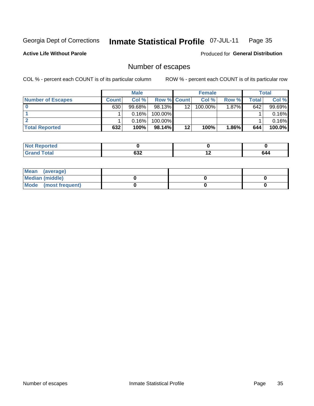#### Inmate Statistical Profile 07-JUL-11 Page 35

**Active Life Without Parole** 

**Produced for General Distribution** 

## Number of escapes

COL % - percent each COUNT is of its particular column

|                          |              | <b>Male</b> |                    |    | <b>Female</b> |          |       | <b>Total</b> |
|--------------------------|--------------|-------------|--------------------|----|---------------|----------|-------|--------------|
| <b>Number of Escapes</b> | <b>Count</b> | Col%        | <b>Row % Count</b> |    | Col %         | Row %    | Total | Col %        |
|                          | 630          | $99.68\%$   | 98.13%             | 12 | $100.00\%$    | $1.87\%$ | 642   | 99.69%       |
|                          |              | 0.16%       | 100.00%            |    |               |          |       | 0.16%        |
|                          |              | 0.16%       | 100.00%            |    |               |          |       | 0.16%        |
| <b>Total Reported</b>    | 632          | 100%        | $98.14\%$          | 12 | 100%          | 1.86%    | 644   | 100.0%       |

| <b>Not Reported</b> |                   |     |     |
|---------------------|-------------------|-----|-----|
| <b>Grand Total</b>  | <b>COM</b><br>∠כס | . . | 644 |

| Mean (average)         |  |  |
|------------------------|--|--|
| <b>Median (middle)</b> |  |  |
| Mode (most frequent)   |  |  |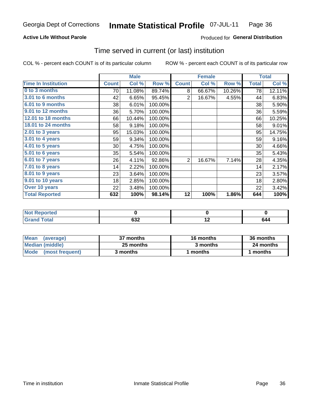### **Active Life Without Parole**

### Produced for General Distribution

## Time served in current (or last) institution

COL % - percent each COUNT is of its particular column

|                            |              | <b>Male</b> |         |              | <b>Female</b> |        |                 | <b>Total</b> |
|----------------------------|--------------|-------------|---------|--------------|---------------|--------|-----------------|--------------|
| <b>Time In Institution</b> | <b>Count</b> | Col %       | Row %   | <b>Count</b> | Col %         | Row %  | <b>Total</b>    | Col %        |
| 0 to 3 months              | 70           | 11.08%      | 89.74%  | 8            | 66.67%        | 10.26% | 78              | 12.11%       |
| <b>3.01 to 6 months</b>    | 42           | 6.65%       | 95.45%  | 2            | 16.67%        | 4.55%  | 44              | 6.83%        |
| 6.01 to 9 months           | 38           | 6.01%       | 100.00% |              |               |        | 38              | 5.90%        |
| 9.01 to 12 months          | 36           | 5.70%       | 100.00% |              |               |        | 36              | 5.59%        |
| 12.01 to 18 months         | 66           | 10.44%      | 100.00% |              |               |        | 66              | 10.25%       |
| 18.01 to 24 months         | 58           | 9.18%       | 100.00% |              |               |        | 58              | 9.01%        |
| $2.01$ to 3 years          | 95           | 15.03%      | 100.00% |              |               |        | 95              | 14.75%       |
| $3.01$ to 4 years          | 59           | 9.34%       | 100.00% |              |               |        | 59              | 9.16%        |
| $4.01$ to 5 years          | 30           | 4.75%       | 100.00% |              |               |        | 30 <sup>1</sup> | 4.66%        |
| $5.01$ to 6 years          | 35           | 5.54%       | 100.00% |              |               |        | 35              | 5.43%        |
| 6.01 to 7 years            | 26           | 4.11%       | 92.86%  | 2            | 16.67%        | 7.14%  | 28              | 4.35%        |
| 7.01 to 8 years            | 14           | 2.22%       | 100.00% |              |               |        | 14              | 2.17%        |
| 8.01 to 9 years            | 23           | 3.64%       | 100.00% |              |               |        | 23              | 3.57%        |
| 9.01 to 10 years           | 18           | 2.85%       | 100.00% |              |               |        | 18              | 2.80%        |
| Over 10 years              | 22           | 3.48%       | 100.00% |              |               |        | 22              | 3.42%        |
| <b>Total Reported</b>      | 632          | 100%        | 98.14%  | 12           | 100%          | 1.86%  | 644             | 100%         |

| <b>Not F</b><br>Reported |                  |                          |     |
|--------------------------|------------------|--------------------------|-----|
| <b>Total</b>             | <b>000</b><br>פט | $\overline{\phantom{0}}$ | 044 |

| <b>Mean</b><br>(average) | 37 months | 16 months | 36 months |
|--------------------------|-----------|-----------|-----------|
| Median (middle)          | 25 months | 3 months  | 24 months |
| Mode (most frequent)     | 3 months  | 1 months  | 1 months  |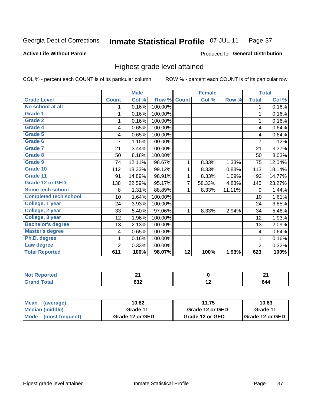#### Inmate Statistical Profile 07-JUL-11 Page 37

#### **Active Life Without Parole**

### Produced for General Distribution

## Highest grade level attained

COL % - percent each COUNT is of its particular column

|                              |                | <b>Male</b> |         |                 | <b>Female</b> |        |                | <b>Total</b> |
|------------------------------|----------------|-------------|---------|-----------------|---------------|--------|----------------|--------------|
| <b>Grade Level</b>           | <b>Count</b>   | Col %       | Row %   | <b>Count</b>    | Col %         | Row %  | <b>Total</b>   | Col %        |
| No school at all             | 1              | 0.16%       | 100.00% |                 |               |        | 1              | 0.16%        |
| <b>Grade 1</b>               |                | 0.16%       | 100.00% |                 |               |        | 1              | 0.16%        |
| Grade 2                      | 1              | 0.16%       | 100.00% |                 |               |        | 1              | 0.16%        |
| <b>Grade 4</b>               | 4              | 0.65%       | 100.00% |                 |               |        | 4              | 0.64%        |
| Grade 5                      | 4              | 0.65%       | 100.00% |                 |               |        | 4              | 0.64%        |
| Grade 6                      | 7              | 1.15%       | 100.00% |                 |               |        | $\overline{7}$ | 1.12%        |
| <b>Grade 7</b>               | 21             | 3.44%       | 100.00% |                 |               |        | 21             | 3.37%        |
| <b>Grade 8</b>               | 50             | 8.18%       | 100.00% |                 |               |        | 50             | 8.03%        |
| Grade 9                      | 74             | 12.11%      | 98.67%  | 1               | 8.33%         | 1.33%  | 75             | 12.04%       |
| Grade 10                     | 112            | 18.33%      | 99.12%  | 1               | 8.33%         | 0.88%  | 113            | 18.14%       |
| Grade 11                     | 91             | 14.89%      | 98.91%  | 1               | 8.33%         | 1.09%  | 92             | 14.77%       |
| <b>Grade 12 or GED</b>       | 138            | 22.59%      | 95.17%  | 7               | 58.33%        | 4.83%  | 145            | 23.27%       |
| <b>Some tech school</b>      | 8              | 1.31%       | 88.89%  | 1               | 8.33%         | 11.11% | 9              | 1.44%        |
| <b>Completed tech school</b> | 10             | 1.64%       | 100.00% |                 |               |        | 10             | 1.61%        |
| College, 1 year              | 24             | 3.93%       | 100.00% |                 |               |        | 24             | 3.85%        |
| College, 2 year              | 33             | 5.40%       | 97.06%  | 1               | 8.33%         | 2.94%  | 34             | 5.46%        |
| College, 3 year              | 12             | 1.96%       | 100.00% |                 |               |        | 12             | 1.93%        |
| <b>Bachelor's degree</b>     | 13             | 2.13%       | 100.00% |                 |               |        | 13             | 2.09%        |
| <b>Master's degree</b>       | 4              | 0.65%       | 100.00% |                 |               |        | 4              | 0.64%        |
| Ph.D. degree                 |                | 0.16%       | 100.00% |                 |               |        | 1              | 0.16%        |
| Law degree                   | $\overline{2}$ | 0.33%       | 100.00% |                 |               |        | $\overline{2}$ | 0.32%        |
| <b>Total Reported</b>        | 611            | 100%        | 98.07%  | $\overline{12}$ | 100%          | 1.93%  | 623            | 100%         |

| neo<br>N. | $ -$       |     | <b></b><br>- - |
|-----------|------------|-----|----------------|
|           | cor.<br>פט | . . | 644            |

| Mean<br>(average)    | 11.75<br>10.82  |                 | 10.83                    |
|----------------------|-----------------|-----------------|--------------------------|
| Median (middle)      | Grade 11        | Grade 12 or GED | Grade 11                 |
| Mode (most frequent) | Grade 12 or GED | Grade 12 or GED | <b>I</b> Grade 12 or GED |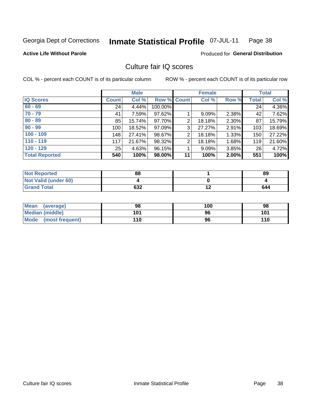#### Inmate Statistical Profile 07-JUL-11 Page 38

### **Active Life Without Parole**

#### Produced for General Distribution

## Culture fair IQ scores

COL % - percent each COUNT is of its particular column

|                       |              | <b>Male</b> |                    |                | <b>Female</b> |          |              | <b>Total</b> |
|-----------------------|--------------|-------------|--------------------|----------------|---------------|----------|--------------|--------------|
| <b>IQ Scores</b>      | <b>Count</b> | Col %       | <b>Row % Count</b> |                | Col %         | Row %    | <b>Total</b> | Col %        |
| $60 - 69$             | 24           | 4.44%       | 100.00%            |                |               |          | 24           | 4.36%        |
| $70 - 79$             | 41           | 7.59%       | 97.62%             |                | 9.09%         | 2.38%    | 42           | 7.62%        |
| $80 - 89$             | 85           | 15.74%      | 97.70%             | $\overline{2}$ | 18.18%        | 2.30%    | 87           | 15.79%       |
| $90 - 99$             | 100          | 18.52%      | 97.09%             | 3              | 27.27%        | 2.91%    | 103          | 18.69%       |
| $100 - 109$           | 148          | 27.41%      | 98.67%             | $\overline{2}$ | 18.18%        | 1.33%    | 150          | 27.22%       |
| $110 - 119$           | 117          | 21.67%      | 98.32%             | 2              | 18.18%        | 1.68%    | 119          | 21.60%       |
| $120 - 129$           | 25           | 4.63%       | 96.15%             |                | 9.09%         | $3.85\%$ | 26           | 4.72%        |
| <b>Total Reported</b> | 540          | 100%        | 98.00%             | 11             | 100%          | 2.00%    | 551          | 100%         |

| <b>Not Reported</b>         | 88  | 89  |
|-----------------------------|-----|-----|
| <b>Not Valid (under 60)</b> |     |     |
| <b>Grand Total</b>          | 632 | 644 |

| Mean (average)       | 98  | 100 | 98  |
|----------------------|-----|-----|-----|
| Median (middle)      | 101 | 96  | 101 |
| Mode (most frequent) | 110 | 96  | 110 |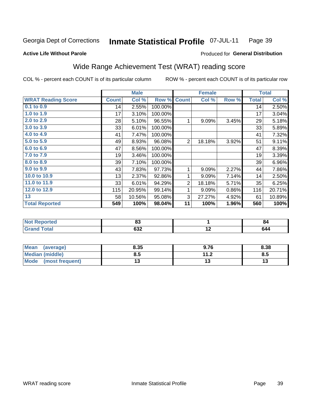#### **Inmate Statistical Profile 07-JUL-11** Page 39

Produced for General Distribution

#### **Active Life Without Parole**

## Wide Range Achievement Test (WRAT) reading score

COL % - percent each COUNT is of its particular column

|                           |              | <b>Male</b> |         |                | <b>Female</b> |       |              | <b>Total</b> |
|---------------------------|--------------|-------------|---------|----------------|---------------|-------|--------------|--------------|
| <b>WRAT Reading Score</b> | <b>Count</b> | Col %       | Row %   | <b>Count</b>   | Col %         | Row % | <b>Total</b> | Col %        |
| $0.1$ to $0.9$            | 14           | 2.55%       | 100.00% |                |               |       | 14           | 2.50%        |
| 1.0 to 1.9                | 17           | 3.10%       | 100.00% |                |               |       | 17           | 3.04%        |
| 2.0 to 2.9                | 28           | 5.10%       | 96.55%  | 1              | 9.09%         | 3.45% | 29           | 5.18%        |
| 3.0 to 3.9                | 33           | 6.01%       | 100.00% |                |               |       | 33           | 5.89%        |
| 4.0 to 4.9                | 41           | 7.47%       | 100.00% |                |               |       | 41           | 7.32%        |
| 5.0 to 5.9                | 49           | 8.93%       | 96.08%  | $\overline{2}$ | 18.18%        | 3.92% | 51           | 9.11%        |
| 6.0 to 6.9                | 47           | 8.56%       | 100.00% |                |               |       | 47           | 8.39%        |
| 7.0 to 7.9                | 19           | 3.46%       | 100.00% |                |               |       | 19           | 3.39%        |
| 8.0 to 8.9                | 39           | 7.10%       | 100.00% |                |               |       | 39           | 6.96%        |
| 9.0 to 9.9                | 43           | 7.83%       | 97.73%  | 1              | 9.09%         | 2.27% | 44           | 7.86%        |
| 10.0 to 10.9              | 13           | 2.37%       | 92.86%  | 1              | 9.09%         | 7.14% | 14           | 2.50%        |
| 11.0 to 11.9              | 33           | 6.01%       | 94.29%  | $\overline{2}$ | 18.18%        | 5.71% | 35           | 6.25%        |
| 12.0 to 12.9              | 115          | 20.95%      | 99.14%  | 1              | 9.09%         | 0.86% | 116          | 20.71%       |
| 13                        | 58           | 10.56%      | 95.08%  | 3              | 27.27%        | 4.92% | 61           | 10.89%       |
| <b>Total Reported</b>     | 549          | 100%        | 98.04%  | 11             | 100%          | 1.96% | 560          | 100%         |

| <b>Not Reported</b>          | n.<br>oJ |     | 84  |
|------------------------------|----------|-----|-----|
| <b>Total</b><br><b>Grand</b> | 632      | . . | 644 |

| <b>Mean</b><br>(average)       | 8.35 | 9.76                | 8.38 |
|--------------------------------|------|---------------------|------|
| Median (middle)                | ช. ა | 112<br>. . <u>.</u> | Ծ.J  |
| <b>Mode</b><br>(most frequent) |      |                     | יי   |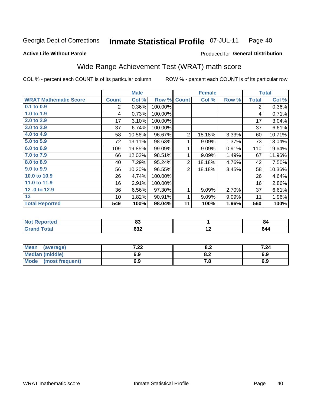#### **Inmate Statistical Profile 07-JUL-11** Page 40

### **Active Life Without Parole**

## Produced for General Distribution

## Wide Range Achievement Test (WRAT) math score

COL % - percent each COUNT is of its particular column

|                              |              | <b>Male</b> |         |                | <b>Female</b> |       |              | <b>Total</b> |
|------------------------------|--------------|-------------|---------|----------------|---------------|-------|--------------|--------------|
| <b>WRAT Mathematic Score</b> | <b>Count</b> | Col %       | Row %   | <b>Count</b>   | Col %         | Row % | <b>Total</b> | Col %        |
| $0.1$ to $0.9$               | 2            | 0.36%       | 100.00% |                |               |       | 2            | 0.36%        |
| 1.0 to 1.9                   | 4            | 0.73%       | 100.00% |                |               |       | 4            | 0.71%        |
| 2.0 to 2.9                   | 17           | 3.10%       | 100.00% |                |               |       | 17           | 3.04%        |
| 3.0 to 3.9                   | 37           | 6.74%       | 100.00% |                |               |       | 37           | 6.61%        |
| 4.0 to 4.9                   | 58           | 10.56%      | 96.67%  | $\overline{2}$ | 18.18%        | 3.33% | 60           | 10.71%       |
| 5.0 to 5.9                   | 72           | 13.11%      | 98.63%  | 1              | 9.09%         | 1.37% | 73           | 13.04%       |
| 6.0 to 6.9                   | 109          | 19.85%      | 99.09%  | 1              | 9.09%         | 0.91% | 110          | 19.64%       |
| 7.0 to 7.9                   | 66           | 12.02%      | 98.51%  | 1              | 9.09%         | 1.49% | 67           | 11.96%       |
| 8.0 to 8.9                   | 40           | 7.29%       | 95.24%  | $\overline{2}$ | 18.18%        | 4.76% | 42           | 7.50%        |
| 9.0 to 9.9                   | 56           | 10.20%      | 96.55%  | $\overline{2}$ | 18.18%        | 3.45% | 58           | 10.36%       |
| 10.0 to 10.9                 | 26           | 4.74%       | 100.00% |                |               |       | 26           | 4.64%        |
| 11.0 to 11.9                 | 16           | 2.91%       | 100.00% |                |               |       | 16           | 2.86%        |
| 12.0 to 12.9                 | 36           | 6.56%       | 97.30%  | 1              | 9.09%         | 2.70% | 37           | 6.61%        |
| $\overline{13}$              | 10           | 1.82%       | 90.91%  | 1              | 9.09%         | 9.09% | 11           | 1.96%        |
| <b>Total Reported</b>        | 549          | 100%        | 98.04%  | 11             | 100%          | 1.96% | 560          | 100%         |
|                              |              |             |         |                |               |       |              |              |
| <b>Not Reported</b>          |              | 83          |         |                | 1             |       |              | 84           |
| <b>Grand Total</b>           |              | 632         |         |                | 12            |       |              | 644          |

| Mean (average)         | ר ר<br>. 22 | 0.Z         | 7.24 |
|------------------------|-------------|-------------|------|
| <b>Median (middle)</b> | 6.9         | 0.Z         | 6.9  |
| Mode (most frequent)   | 6.9         | $\cdot$ . O | 6.9  |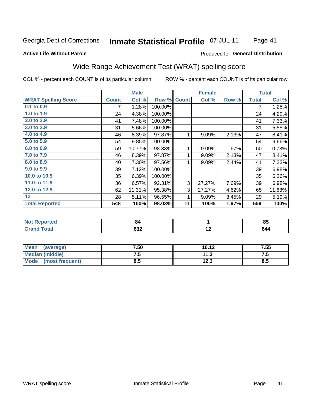#### Inmate Statistical Profile 07-JUL-11 Page 41

### **Active Life Without Parole**

#### Produced for General Distribution

## Wide Range Achievement Test (WRAT) spelling score

COL % - percent each COUNT is of its particular column

|                            |              | <b>Male</b> |         |              | <b>Female</b> |       |              | <b>Total</b> |
|----------------------------|--------------|-------------|---------|--------------|---------------|-------|--------------|--------------|
| <b>WRAT Spelling Score</b> | <b>Count</b> | Col %       | Row %   | <b>Count</b> | Col %         | Row % | <b>Total</b> | Col %        |
| $0.1$ to $0.9$             | 7            | 1.28%       | 100.00% |              |               |       | 7            | 1.25%        |
| 1.0 to 1.9                 | 24           | 4.38%       | 100.00% |              |               |       | 24           | 4.29%        |
| 2.0 to 2.9                 | 41           | 7.48%       | 100.00% |              |               |       | 41           | 7.33%        |
| 3.0 t <sub>0</sub> 3.9     | 31           | 5.66%       | 100.00% |              |               |       | 31           | 5.55%        |
| 4.0 to 4.9                 | 46           | 8.39%       | 97.87%  | 1            | 9.09%         | 2.13% | 47           | 8.41%        |
| 5.0 to 5.9                 | 54           | 9.85%       | 100.00% |              |               |       | 54           | 9.66%        |
| 6.0 to 6.9                 | 59           | 10.77%      | 98.33%  | 1            | 9.09%         | 1.67% | 60           | 10.73%       |
| 7.0 to 7.9                 | 46           | 8.39%       | 97.87%  | 1            | 9.09%         | 2.13% | 47           | 8.41%        |
| 8.0 to 8.9                 | 40           | 7.30%       | 97.56%  | $\mathbf{1}$ | 9.09%         | 2.44% | 41           | 7.33%        |
| 9.0 to 9.9                 | 39           | 7.12%       | 100.00% |              |               |       | 39           | 6.98%        |
| 10.0 to 10.9               | 35           | 6.39%       | 100.00% |              |               |       | 35           | 6.26%        |
| 11.0 to 11.9               | 36           | 6.57%       | 92.31%  | 3            | 27.27%        | 7.69% | 39           | 6.98%        |
| 12.0 to 12.9               | 62           | 11.31%      | 95.38%  | 3            | 27.27%        | 4.62% | 65           | 11.63%       |
| 13                         | 28           | 5.11%       | 96.55%  | 1            | 9.09%         | 3.45% | 29           | 5.19%        |
| <b>Total Reported</b>      | 548          | 100%        | 98.03%  | 11           | 100%          | 1.97% | 559          | 100%         |
|                            |              |             |         |              |               |       |              |              |
| <b>Not Reported</b>        |              | 84          |         |              | 1             |       |              | 85           |
| <b>Grand Total</b>         |              | 632         |         |              | 12            |       |              | 644          |

| <b>Mean</b><br>(average) | 7.50 | 10.12     | 7.55 |
|--------------------------|------|-----------|------|
| <b>Median (middle)</b>   | ں ،  | 11 S<br>. | ن. ا |
| Mode<br>(most frequent)  | o.J  | 12.3      | 8.5  |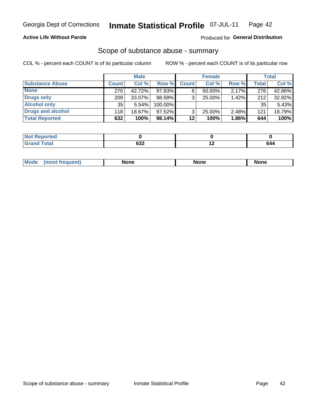### **Active Life Without Parole**

#### Produced for General Distribution

### Scope of substance abuse - summary

COL % - percent each COUNT is of its particular column

|                        |              | <b>Male</b> |           |              | <b>Female</b> |          |              | Total  |
|------------------------|--------------|-------------|-----------|--------------|---------------|----------|--------------|--------|
| <b>Substance Abuse</b> | <b>Count</b> | Col %       | Row %     | <b>Count</b> | Col %         | Row %    | <b>Total</b> | Col %  |
| <b>None</b>            | 270          | 42.72%      | 97.83%    | 6            | $50.00\%$     | $2.17\%$ | 276          | 42.86% |
| <b>Drugs only</b>      | 209          | 33.07%      | 98.58%    |              | 25.00%        | 1.42%    | 212          | 32.92% |
| <b>Alcohol only</b>    | 35           | $5.54\%$    | 100.00%   |              |               |          | 35           | 5.43%  |
| Drugs and alcohol      | 118          | 18.67%      | $97.52\%$ |              | 25.00%        | 2.48%    | 121          | 18.79% |
| <b>Total Reported</b>  | 632          | 100%        | $98.14\%$ | 12           | 100%          | 1.86%    | 644          | 100%   |

| ' Not<br>keportea            |     |     |
|------------------------------|-----|-----|
| <b>Total</b><br><b>Grand</b> | אטס | 644 |

| nuem | <b>Mo</b> | None | <b>None</b> | None |
|------|-----------|------|-------------|------|
|------|-----------|------|-------------|------|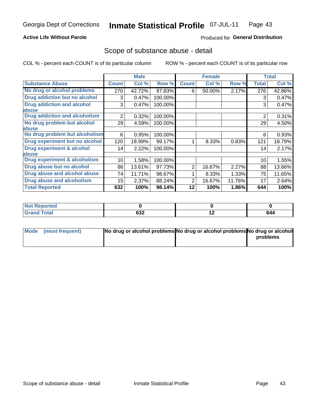### **Active Life Without Parole**

### Produced for General Distribution

## Scope of substance abuse - detail

COL % - percent each COUNT is of its particular column

|                                         |              | <b>Male</b> |         |              | <b>Female</b> |        |                | <b>Total</b> |
|-----------------------------------------|--------------|-------------|---------|--------------|---------------|--------|----------------|--------------|
| <b>Substance Abuse</b>                  | <b>Count</b> | Col %       | Row %   | <b>Count</b> | Col %         | Row %  | <b>Total</b>   | Col %        |
| No drug or alcohol problems             | 270          | 42.72%      | 97.83%  | 6            | 50.00%        | 2.17%  | 276            | 42.86%       |
| Drug addiction but no alcohol           | 3            | 0.47%       | 100.00% |              |               |        | 3              | 0.47%        |
| <b>Drug addiction and alcohol</b>       | 3            | 0.47%       | 100.00% |              |               |        | 3              | 0.47%        |
| abuse                                   |              |             |         |              |               |        |                |              |
| <b>Drug addiction and alcoholism</b>    | 2            | 0.32%       | 100.00% |              |               |        | $\overline{2}$ | 0.31%        |
| No drug problem but alcohol             | 29           | 4.59%       | 100.00% |              |               |        | 29             | 4.50%        |
| abuse                                   |              |             |         |              |               |        |                |              |
| No drug problem but alcoholism          | 6            | 0.95%       | 100.00% |              |               |        | 6              | 0.93%        |
| Drug experiment but no alcohol          | 120          | 18.99%      | 99.17%  |              | 8.33%         | 0.83%  | 121            | 18.79%       |
| <b>Drug experiment &amp; alcohol</b>    | 14           | 2.22%       | 100.00% |              |               |        | 14             | 2.17%        |
| abuse                                   |              |             |         |              |               |        |                |              |
| <b>Drug experiment &amp; alcoholism</b> | 10           | 1.58%       | 100.00% |              |               |        | 10             | 1.55%        |
| Drug abuse but no alcohol               | 86           | 13.61%      | 97.73%  | 2            | 16.67%        | 2.27%  | 88             | 13.66%       |
| Drug abuse and alcohol abuse            | 74           | 11.71%      | 98.67%  |              | 8.33%         | 1.33%  | 75             | 11.65%       |
| <b>Drug abuse and alcoholism</b>        | 15           | 2.37%       | 88.24%  | 2            | 16.67%        | 11.76% | 17             | 2.64%        |
| <b>Total Reported</b>                   | 632          | 100%        | 98.14%  | 12           | 100%          | 1.86%  | 644            | 100%         |

| ported<br><b>NOT</b>   |     |                          |     |
|------------------------|-----|--------------------------|-----|
| $\sim$ $\sim$<br>_____ | 632 | $\overline{\phantom{0}}$ | 644 |

| Mode (most frequent) | No drug or alcohol problems No drug or alcohol problems No drug or alcohol |          |
|----------------------|----------------------------------------------------------------------------|----------|
|                      |                                                                            | problems |
|                      |                                                                            |          |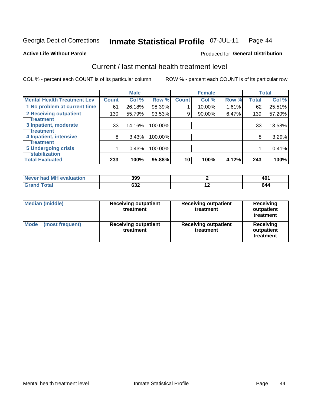#### **Inmate Statistical Profile 07-JUL-11** Page 44

#### **Active Life Without Parole**

### **Produced for General Distribution**

## Current / last mental health treatment level

COL % - percent each COUNT is of its particular column

|                                           |              | <b>Male</b> |         |              | <b>Female</b> |       |              | <b>Total</b> |
|-------------------------------------------|--------------|-------------|---------|--------------|---------------|-------|--------------|--------------|
| <b>Mental Health Treatment Lev</b>        | <b>Count</b> | Col %       | Row %   | <b>Count</b> | Col %         | Row % | <b>Total</b> | Col %        |
| 1 No problem at current time              | 61           | 26.18%      | 98.39%  |              | 10.00%        | 1.61% | 62           | 25.51%       |
| 2 Receiving outpatient                    | 130          | 55.79%      | 93.53%  | 9            | 90.00%        | 6.47% | 139          | 57.20%       |
| <b>Treatment</b><br>3 Inpatient, moderate |              |             |         |              |               |       |              |              |
| Treatment                                 | 33           | 14.16%      | 100.00% |              |               |       | 33           | 13.58%       |
| 4 Inpatient, intensive                    | 8            | 3.43%       | 100.00% |              |               |       | 8            | 3.29%        |
| Treatment                                 |              |             |         |              |               |       |              |              |
| <b>5 Undergoing crisis</b>                |              | 0.43%       | 100.00% |              |               |       |              | 0.41%        |
| <b>stabilization</b>                      |              |             |         |              |               |       |              |              |
| <b>Total Evaluated</b>                    | 233          | 100%        | 95.88%  | 10           | 100%          | 4.12% | 243          | 100%         |

| evaluation<br>IМ<br>Never I<br>nan | 399       |     | 40.<br>᠇᠊<br>$ -$ |
|------------------------------------|-----------|-----|-------------------|
| Cotol                              | con<br>פט | . . | 644               |

| <b>Median (middle)</b>         | <b>Receiving outpatient</b><br>treatment | <b>Receiving outpatient</b><br>treatment | <b>Receiving</b><br>outpatient<br>treatment |  |
|--------------------------------|------------------------------------------|------------------------------------------|---------------------------------------------|--|
| <b>Mode</b><br>(most frequent) | <b>Receiving outpatient</b><br>treatment | <b>Receiving outpatient</b><br>treatment | <b>Receiving</b><br>outpatient<br>treatment |  |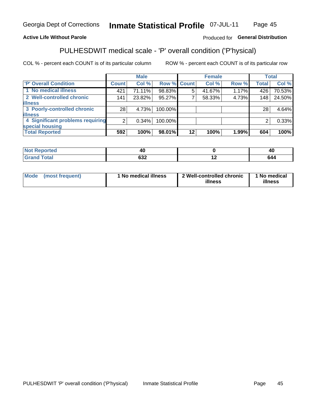#### **Inmate Statistical Profile 07-JUL-11** Page 45

### **Active Life Without Parole**

### Produced for General Distribution

## PULHESDWIT medical scale - 'P' overall condition ('P'hysical)

COL % - percent each COUNT is of its particular column

|                                  |         | <b>Male</b> |                    |         | <b>Female</b> |       |              | <b>Total</b> |
|----------------------------------|---------|-------------|--------------------|---------|---------------|-------|--------------|--------------|
| 'P' Overall Condition            | Count l | Col %       | <b>Row % Count</b> |         | Col %         | Row % | <b>Total</b> | Col %        |
| 1 No medical illness             | 421     | 71.11%      | 98.83%             | 5       | 41.67%        | 1.17% | 426          | 70.53%       |
| 2 Well-controlled chronic        | 141     | 23.82%      | 95.27%             |         | 58.33%        | 4.73% | 148          | 24.50%       |
| <b>illness</b>                   |         |             |                    |         |               |       |              |              |
| 3 Poorly-controlled chronic      | 28      | 4.73%       | 100.00%            |         |               |       | 28           | 4.64%        |
| <b>illness</b>                   |         |             |                    |         |               |       |              |              |
| 4 Significant problems requiring | ົ       | 0.34%       | 100.00%            |         |               |       | 2            | 0.33%        |
| special housing                  |         |             |                    |         |               |       |              |              |
| <b>Total Reported</b>            | 592     | 100%        | 98.01%             | $12 \,$ | 100%          | 1.99% | 604          | 100%         |

|       | лı<br>- 1  |                          | 40 |
|-------|------------|--------------------------|----|
| _____ | cor<br>שטע | $\overline{\phantom{0}}$ | ли |

| <b>Mode</b> | (most frequent) | 1 No medical illness | 2 Well-controlled chronic<br>illness | 1 No medical<br>illness |
|-------------|-----------------|----------------------|--------------------------------------|-------------------------|
|-------------|-----------------|----------------------|--------------------------------------|-------------------------|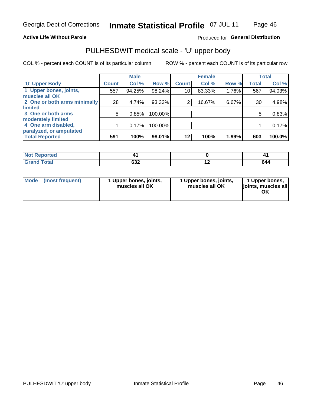#### **Active Life Without Parole**

### Produced for General Distribution

# PULHESDWIT medical scale - 'U' upper body

COL % - percent each COUNT is of its particular column

|                              |              | <b>Male</b> |           |              | <b>Female</b> |       |              | <b>Total</b> |
|------------------------------|--------------|-------------|-----------|--------------|---------------|-------|--------------|--------------|
| <b>'U' Upper Body</b>        | <b>Count</b> | Col %       | Row %     | <b>Count</b> | Col %         | Row % | <b>Total</b> | Col %        |
| 1 Upper bones, joints,       | 557          | 94.25%      | 98.24%    | 10           | 83.33%        | 1.76% | 567          | 94.03%       |
| muscles all OK               |              |             |           |              |               |       |              |              |
| 2 One or both arms minimally | 28           | 4.74%       | $93.33\%$ | 2            | 16.67%        | 6.67% | 30           | 4.98%        |
| limited                      |              |             |           |              |               |       |              |              |
| 3 One or both arms           | 5            | 0.85%       | 100.00%   |              |               |       | 5            | 0.83%        |
| <b>moderately limited</b>    |              |             |           |              |               |       |              |              |
| 4 One arm disabled,          |              | 0.17%       | 100.00%   |              |               |       |              | 0.17%        |
| paralyzed, or amputated      |              |             |           |              |               |       |              |              |
| <b>Total Reported</b>        | 591          | 100%        | $98.01\%$ | $12 \,$      | 100%          | 1.99% | 603          | 100.0%       |

| <b>Not Reported</b> |             |     |
|---------------------|-------------|-----|
| <b>Grand Total</b>  | よつつ<br>⊿כּס | 644 |

| Mode | (most frequent) | 1 Upper bones, joints,<br>muscles all OK | 1 Upper bones, joints,<br>muscles all OK | 1 Upper bones,<br>ljoints, muscles all<br>OK |
|------|-----------------|------------------------------------------|------------------------------------------|----------------------------------------------|
|------|-----------------|------------------------------------------|------------------------------------------|----------------------------------------------|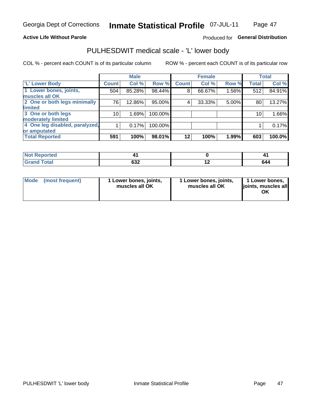#### **Active Life Without Parole**

### Produced for General Distribution

## PULHESDWIT medical scale - 'L' lower body

COL % - percent each COUNT is of its particular column

|                                |              | <b>Male</b> |         |              | <b>Female</b> |       |              | <b>Total</b> |
|--------------------------------|--------------|-------------|---------|--------------|---------------|-------|--------------|--------------|
| 'L' Lower Body                 | <b>Count</b> | Col %       | Row %   | <b>Count</b> | Col %         | Row % | <b>Total</b> | Col %        |
| 1 Lower bones, joints,         | 504          | 85.28%      | 98.44%  | 8            | 66.67%        | 1.56% | 512          | 84.91%       |
| muscles all OK                 |              |             |         |              |               |       |              |              |
| 2 One or both legs minimally   | 76           | 12.86%      | 95.00%  | 4            | 33.33%        | 5.00% | 80           | 13.27%       |
| limited                        |              |             |         |              |               |       |              |              |
| 3 One or both legs             | 10           | 1.69%       | 100.00% |              |               |       | 10           | 1.66%        |
| moderately limited             |              |             |         |              |               |       |              |              |
| 4 One leg disabled, paralyzed, |              | 0.17%       | 100.00% |              |               |       |              | 0.17%        |
| or amputated                   |              |             |         |              |               |       |              |              |
| <b>Total Reported</b>          | 591          | 100%        | 98.01%  | 12           | 100%          | 1.99% | 603          | 100.0%       |

| <b>Not Reported</b> |             |     |
|---------------------|-------------|-----|
| <b>Grand Total</b>  | よつつ<br>⊿כּס | 644 |

|  | Mode (most frequent) | 1 Lower bones, joints,<br>muscles all OK | 1 Lower bones, joints,<br>muscles all OK | 1 Lower bones,<br>ljoints, muscles all<br>ΟK |
|--|----------------------|------------------------------------------|------------------------------------------|----------------------------------------------|
|--|----------------------|------------------------------------------|------------------------------------------|----------------------------------------------|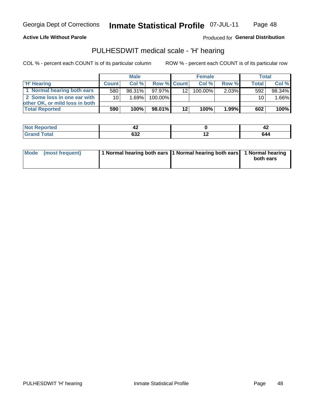#### **Active Life Without Parole**

Produced for General Distribution

## PULHESDWIT medical scale - 'H' hearing

COL % - percent each COUNT is of its particular column

|                                |                 | <b>Male</b> |                    |                 | <b>Female</b> |          | Total        |        |
|--------------------------------|-----------------|-------------|--------------------|-----------------|---------------|----------|--------------|--------|
| <b>H' Hearing</b>              | <b>Count</b>    | Col%        | <b>Row % Count</b> |                 | Col%          | Row %    | <b>Total</b> | Col %  |
| 1 Normal hearing both ears     | 580             | 98.31%      | 97.97%             | 12              | $100.00\%$    | 2.03%    | 592          | 98.34% |
| 2 Some loss in one ear with    | 10 <sup>1</sup> | 1.69%       | 100.00%            |                 |               |          | 10           | 1.66%  |
| other OK, or mild loss in both |                 |             |                    |                 |               |          |              |        |
| <b>Total Reported</b>          | 590             | 100%        | 98.01%             | 12 <sub>1</sub> | 100%          | $1.99\%$ | 602          | 100%   |

| . | . .<br>- 73    |                          | 74                                                      |
|---|----------------|--------------------------|---------------------------------------------------------|
|   | $\sim$<br>$ -$ | $\overline{\phantom{a}}$ | 644<br>$\sim$ $\sim$ $\sim$ $\sim$ $\sim$ $\sim$ $\sim$ |

| Mode (most frequent) | 1 Normal hearing both ears 1 Normal hearing both ears 1 Normal hearing | both ears |
|----------------------|------------------------------------------------------------------------|-----------|
|                      |                                                                        |           |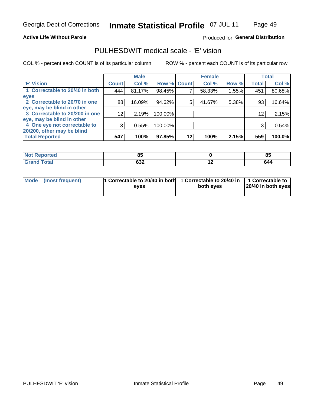Page 49

#### **Active Life Without Parole**

## Produced for General Distribution

## PULHESDWIT medical scale - 'E' vision

COL % - percent each COUNT is of its particular column

|                                |                 | <b>Male</b> |             |    | <b>Female</b> |       |              | <b>Total</b> |
|--------------------------------|-----------------|-------------|-------------|----|---------------|-------|--------------|--------------|
| <b>E' Vision</b>               | <b>Count</b>    | Col %       | Row % Count |    | Col %         | Row % | <b>Total</b> | Col %        |
| 1 Correctable to 20/40 in both | 444             | 81.17%      | 98.45%      |    | 58.33%        | 1.55% | 451          | 80.68%       |
| eyes                           |                 |             |             |    |               |       |              |              |
| 2 Correctable to 20/70 in one  | 88              | 16.09%      | 94.62%      | 5  | 41.67%        | 5.38% | 93           | 16.64%       |
| eye, may be blind in other     |                 |             |             |    |               |       |              |              |
| 3 Correctable to 20/200 in one | 12 <sub>1</sub> | 2.19%       | 100.00%     |    |               |       | 12           | 2.15%        |
| eye, may be blind in other     |                 |             |             |    |               |       |              |              |
| 4 One eye not correctable to   | 3               | 0.55%       | 100.00%     |    |               |       | 3            | 0.54%        |
| 20/200, other may be blind     |                 |             |             |    |               |       |              |              |
| <b>Total Reported</b>          | 547             | 100%        | 97.85%      | 12 | 100%          | 2.15% | 559          | 100.0%       |

| neo          | --<br>ou    |     | ОE<br> |
|--------------|-------------|-----|--------|
| <b>Total</b> | coc<br>⊿כּס | . . | 644    |

| Mode (most frequent) | 1 Correctable to 20/40 in both<br>eves | 1 Correctable to 20/40 in   1 Correctable to<br>both eyes | 20/40 in both eyes |
|----------------------|----------------------------------------|-----------------------------------------------------------|--------------------|
|                      |                                        |                                                           |                    |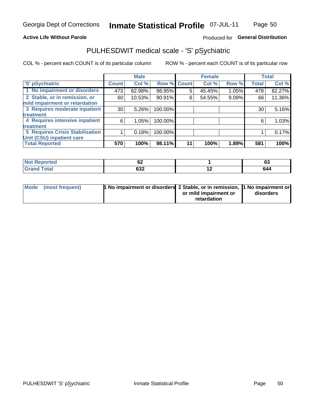### **Active Life Without Parole**

### Produced for General Distribution

## PULHESDWIT medical scale - 'S' pSychiatric

COL % - percent each COUNT is of its particular column

|                                        |              | <b>Male</b> |             |    | <b>Female</b> |       |              | <b>Total</b> |
|----------------------------------------|--------------|-------------|-------------|----|---------------|-------|--------------|--------------|
| 'S' pSychiatric                        | <b>Count</b> | Col %       | Row % Count |    | Col %         | Row % | <b>Total</b> | Col %        |
| 1 No impairment or disorders           | 473          | 82.98%      | 98.95%      | 5  | 45.45%        | 1.05% | 478          | 82.27%       |
| 2 Stable, or in remission, or          | 60           | 10.53%      | 90.91%      | 6  | 54.55%        | 9.09% | 66           | 11.36%       |
| mild impairment or retardation         |              |             |             |    |               |       |              |              |
| 3 Requires moderate inpatient          | 30           | 5.26%       | 100.00%     |    |               |       | 30           | 5.16%        |
| treatment                              |              |             |             |    |               |       |              |              |
| 4 Requires intensive inpatient         | 6            | 1.05%       | 100.00%     |    |               |       | 6            | 1.03%        |
| <b>treatment</b>                       |              |             |             |    |               |       |              |              |
| <b>5 Requires Crisis Stabilization</b> |              | 0.18%       | 100.00%     |    |               |       |              | 0.17%        |
| Unit (CSU) inpatient care              |              |             |             |    |               |       |              |              |
| <b>Total Reported</b>                  | 570          | 100%        | 98.11%      | 11 | 100%          | 1.89% | 581          | 100%         |

| <b>Not Reported</b>  | $\overline{\phantom{a}}$<br>VŁ |     | r.<br>03 |
|----------------------|--------------------------------|-----|----------|
| <b>Total</b><br>Gran | 632                            | . . | 644      |

| Mode (most frequent) | <b>1 No impairment or disorders 2 Stable, or in remission, 1 No impairment or</b> |                       |           |
|----------------------|-----------------------------------------------------------------------------------|-----------------------|-----------|
|                      |                                                                                   | or mild impairment or | disorders |
|                      |                                                                                   | retardation           |           |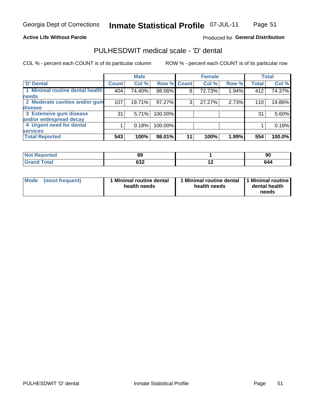Page 51

#### **Active Life Without Parole**

### Produced for General Distribution

## PULHESDWIT medical scale - 'D' dental

COL % - percent each COUNT is of its particular column

|                                 |              | <b>Male</b> |         |             | <b>Female</b> |       |              | <b>Total</b> |
|---------------------------------|--------------|-------------|---------|-------------|---------------|-------|--------------|--------------|
| <b>D'</b> Dental                | <b>Count</b> | Col %       |         | Row % Count | Col %         | Row % | <b>Total</b> | Col %        |
| 1 Minimal routine dental health | 404          | 74.40%      | 98.06%  | 8           | 72.73%        | 1.94% | 412          | 74.37%       |
| <b>needs</b>                    |              |             |         |             |               |       |              |              |
| 2 Moderate cavities and/or gum  | 107          | 19.71%      | 97.27%  | 3           | 27.27%        | 2.73% | 110          | 19.86%       |
| disease                         |              |             |         |             |               |       |              |              |
| 3 Extensive gum disease         | 31           | 5.71%       | 100.00% |             |               |       | 31           | 5.60%        |
| and/or widespread decay         |              |             |         |             |               |       |              |              |
| 4 Urgent need for dental        |              | 0.18%       | 100.00% |             |               |       |              | 0.18%        |
| <b>services</b>                 |              |             |         |             |               |       |              |              |
| <b>Total Reported</b>           | 543          | 100%        | 98.01%  | 11          | 100%          | 1.99% | 554          | 100.0%       |

| <b>rreo</b>  | o3         |     | ุฮน |
|--------------|------------|-----|-----|
| <b>Total</b> | 62c<br>⊿כס | . . | 644 |

| <b>Mode</b> | (most frequent) | <b>Minimal routine dental</b><br>health needs | 1 Minimal routine dental<br>health needs | <b>11 Minimal routine I</b><br>dental health<br>needs |
|-------------|-----------------|-----------------------------------------------|------------------------------------------|-------------------------------------------------------|
|-------------|-----------------|-----------------------------------------------|------------------------------------------|-------------------------------------------------------|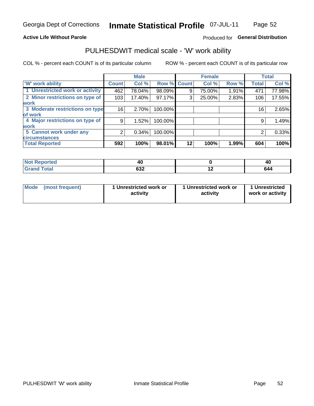### **Active Life Without Parole**

### Produced for General Distribution

## PULHESDWIT medical scale - 'W' work ability

COL % - percent each COUNT is of its particular column

|                                 |              | <b>Male</b> |         |             | <b>Female</b> |       |              | <b>Total</b> |
|---------------------------------|--------------|-------------|---------|-------------|---------------|-------|--------------|--------------|
| <b>W' work ability</b>          | <b>Count</b> | Col %       |         | Row % Count | Col %         | Row % | <b>Total</b> | Col %        |
| 1 Unrestricted work or activity | 462          | 78.04%      | 98.09%  | 9           | 75.00%        | 1.91% | 471          | 77.98%       |
| 2 Minor restrictions on type of | 103          | 17.40%      | 97.17%  | 3           | 25.00%        | 2.83% | 106          | 17.55%       |
| <b>work</b>                     |              |             |         |             |               |       |              |              |
| 3 Moderate restrictions on type | 16           | 2.70%       | 100.00% |             |               |       | 16           | 2.65%        |
| of work                         |              |             |         |             |               |       |              |              |
| 4 Major restrictions on type of | 9            | 1.52%       | 100.00% |             |               |       | 9            | 1.49%        |
| <b>work</b>                     |              |             |         |             |               |       |              |              |
| 5 Cannot work under any         | 2            | $0.34\%$    | 100.00% |             |               |       | 2            | 0.33%        |
| <b>circumstances</b>            |              |             |         |             |               |       |              |              |
| <b>Total Reported</b>           | 592          | 100%        | 98.01%  | 12          | 100%          | 1.99% | 604          | 100%         |

| <b>Not Reported</b>        | 4U        |     | Λſ<br>᠇៶ |
|----------------------------|-----------|-----|----------|
| <b>Grand Total</b><br>Cron | ດາາ<br>פט | . . | 644      |

| <b>Mode</b>     | 1 Unrestricted work or | 1 Unrestricted work or | 1 Unrestricted   |
|-----------------|------------------------|------------------------|------------------|
| (most frequent) | activity               | activity               | work or activity |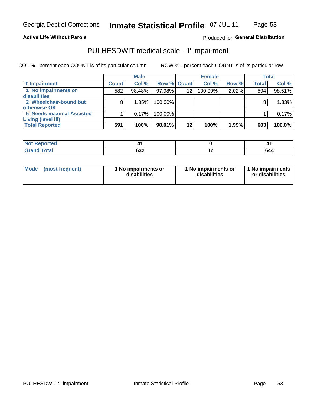#### **Active Life Without Parole**

#### Produced for General Distribution

## PULHESDWIT medical scale - 'I' impairment

COL % - percent each COUNT is of its particular column ROW % - percent each COUNT is of its particular row

**Male Female Total T** Impairment **Count Count** Col % Row % Col % Row % **Total** Col % 1 No impairments or 98.48% 97.98% 100.00% 594 98.51%  $582$  $\overline{12}$ 2.02% disabilities 2 Wheelchair-bound but  $\overline{8}$ 1.35% 100.00%  $\overline{8}$ 1.33% otherwise OK **5 Needs maximal Assisted**  $\overline{1}$  $0.17%$ 100.00%  $\overline{1}$ 0.17% **Living (level III) Total Reported**  $591$ 100% 98.01%  $\overline{12}$ 100% 1.99%  $\overline{603}$ 100.0%

| Reported     |            |                          | ,,,<br>т. |
|--------------|------------|--------------------------|-----------|
| <b>Total</b> | cog<br>⊾כס | $\overline{\phantom{0}}$ | 644       |

| <b>Mode</b>     | 1 No impairments or | 1 No impairments or | 1 No impairments |
|-----------------|---------------------|---------------------|------------------|
| (most frequent) | disabilities        | disabilities        | or disabilities  |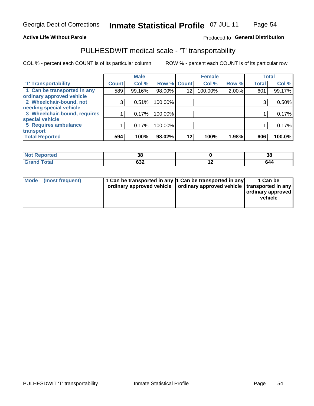#### **Active Life Without Parole**

### Produced fo General Distribution

## PULHESDWIT medical scale - 'T' transportability

COL % - percent each COUNT is of its particular column

|                              |              | <b>Male</b> |         |             | <b>Female</b> |       |              | <b>Total</b> |
|------------------------------|--------------|-------------|---------|-------------|---------------|-------|--------------|--------------|
| <b>T' Transportability</b>   | <b>Count</b> | Col %       |         | Row % Count | Col %         | Row % | <b>Total</b> | Col %        |
| 1 Can be transported in any  | 589          | 99.16%      | 98.00%  | 12          | 100.00%       | 2.00% | 601          | 99.17%       |
| ordinary approved vehicle    |              |             |         |             |               |       |              |              |
| 2 Wheelchair-bound, not      | 3            | 0.51%       | 100.00% |             |               |       |              | 0.50%        |
| needing special vehicle      |              |             |         |             |               |       |              |              |
| 3 Wheelchair-bound, requires |              | 0.17%       | 100.00% |             |               |       |              | 0.17%        |
| special vehicle              |              |             |         |             |               |       |              |              |
| 5 Requires ambulance         |              | 0.17%       | 100.00% |             |               |       |              | 0.17%        |
| transport                    |              |             |         |             |               |       |              |              |
| <b>Total Reported</b>        | 594          | 100%        | 98.02%  | 12          | 100%          | 1.98% | 606          | 100.0%       |

| w<br>neo | n,<br>38          |     | 38  |
|----------|-------------------|-----|-----|
|          | <b>000</b><br>⊿כס | . . | 644 |

| <b>Mode</b> | (most frequent) | 1 Can be transported in any 1 Can be transported in any | ordinary approved vehicle   ordinary approved vehicle   transported in any | 1 Can be<br>  ordinary approved  <br>vehicle |
|-------------|-----------------|---------------------------------------------------------|----------------------------------------------------------------------------|----------------------------------------------|
|-------------|-----------------|---------------------------------------------------------|----------------------------------------------------------------------------|----------------------------------------------|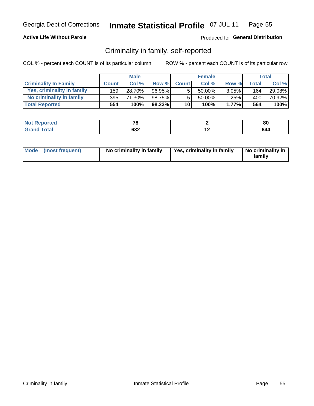### **Active Life Without Parole**

### Produced for General Distribution

## Criminality in family, self-reported

COL % - percent each COUNT is of its particular column

|                              |              | <b>Male</b> |        |                 | <b>Female</b> |          |       | Total  |
|------------------------------|--------------|-------------|--------|-----------------|---------------|----------|-------|--------|
| <b>Criminality In Family</b> | <b>Count</b> | Col%        | Row %  | <b>Count</b>    | Col %         | Row %    | Total | Col %  |
| Yes, criminality in family   | 159          | 28.70%      | 96.95% | 5               | $50.00\%$ ,   | $3.05\%$ | 164   | 29.08% |
| No criminality in family     | 395          | 71.30%      | 98.75% | 5               | $50.00\%$     | $1.25\%$ | 400 l | 70.92% |
| <b>Total Reported</b>        | 554          | 100%        | 98.23% | 10 <sup>1</sup> | 100%          | 1.77%    | 564   | 100%   |

| المنتبط المتعاد<br>$\bullet$ ) at ( $\bullet$ ) $\bullet$ | $-$ |                          | n,<br>ou |
|-----------------------------------------------------------|-----|--------------------------|----------|
| Total                                                     | ◡◡▴ | $\overline{\phantom{0}}$ |          |

|  | Mode (most frequent) | No criminality in family | Yes, criminality in family | No criminality in<br>family |
|--|----------------------|--------------------------|----------------------------|-----------------------------|
|--|----------------------|--------------------------|----------------------------|-----------------------------|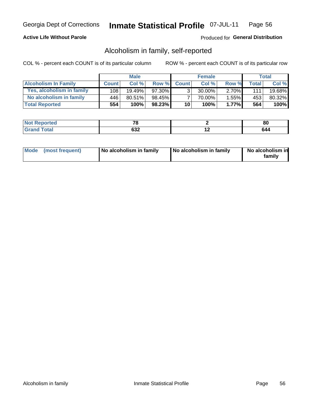### **Active Life Without Parole**

### Produced for General Distribution

## Alcoholism in family, self-reported

COL % - percent each COUNT is of its particular column

|                             |              | <b>Male</b> |           |                 | <b>Female</b> |          |       | Total  |
|-----------------------------|--------------|-------------|-----------|-----------------|---------------|----------|-------|--------|
| <b>Alcoholism In Family</b> | <b>Count</b> | Col%        | Row %     | <b>Count</b>    | Col%          | Row %    | Total | Col %  |
| Yes, alcoholism in family   | 108          | $19.49\%$   | 97.30%    | $\mathbf{r}$    | 30.00%        | $2.70\%$ | 111   | 19.68% |
| No alcoholism in family     | 446          | 80.51%      | 98.45%    |                 | 70.00%        | $1.55\%$ | 453   | 80.32% |
| <b>Total Reported</b>       | 554          | 100%        | $98.23\%$ | 10 <sub>1</sub> | 100%          | $1.77\%$ | 564   | 100%   |

| <b>Not Reported</b>        | --                |                          | 80 |
|----------------------------|-------------------|--------------------------|----|
| $\lambda$<br>Grar<br>_____ | <b>000</b><br>◡◡▵ | $\overline{\phantom{0}}$ | b4 |

|  | Mode (most frequent) | No alcoholism in family | No alcoholism in family | No alcoholism in<br>family |
|--|----------------------|-------------------------|-------------------------|----------------------------|
|--|----------------------|-------------------------|-------------------------|----------------------------|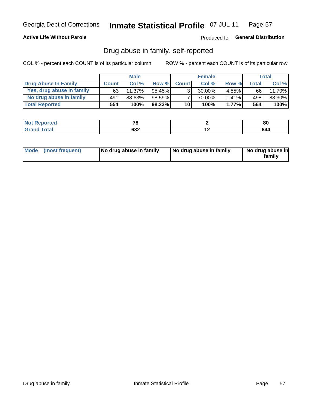### **Active Life Without Parole**

#### Produced for General Distribution

## Drug abuse in family, self-reported

COL % - percent each COUNT is of its particular column

|                           |              | <b>Male</b> |           |                 | <b>Female</b> |          |              | Total  |
|---------------------------|--------------|-------------|-----------|-----------------|---------------|----------|--------------|--------|
| Drug Abuse In Family      | <b>Count</b> | Col %       | Row %     | <b>Count</b>    | Col %         | Row %    | <b>Total</b> | Col %  |
| Yes, drug abuse in family | 63           | 11.37%      | $95.45\%$ | 3 <sub>1</sub>  | $30.00\%$     | $4.55\%$ | 66           | 11.70% |
| No drug abuse in family   | 491          | 88.63%      | 98.59%    | $\overline{ }$  | 70.00%        | 1.41%    | 498          | 88.30% |
| <b>Total Reported</b>     | 554          | 100%        | $98.23\%$ | 10 <sub>1</sub> | 100%          | 1.77%    | 564          | 100%   |

| <b>Not Reported</b>    | $-$             |     | 80  |
|------------------------|-----------------|-----|-----|
| <b>Total</b><br>l Gran | <u>__</u><br>∡ט | . . | 64ہ |

|  | Mode (most frequent) | No drug abuse in family | No drug abuse in family | No drug abuse in<br>family |
|--|----------------------|-------------------------|-------------------------|----------------------------|
|--|----------------------|-------------------------|-------------------------|----------------------------|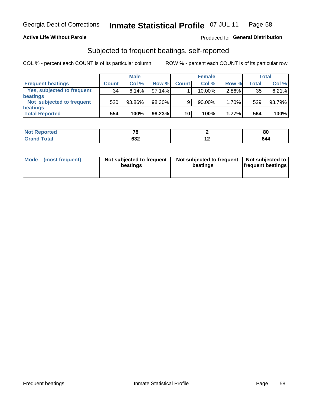#### **Active Life Without Parole**

### Produced for General Distribution

## Subjected to frequent beatings, self-reported

COL % - percent each COUNT is of its particular column

|                                   |              | <b>Male</b> |        |              | <b>Female</b> |       |       | Total  |
|-----------------------------------|--------------|-------------|--------|--------------|---------------|-------|-------|--------|
| <b>Frequent beatings</b>          | <b>Count</b> | Col%        | Row %  | <b>Count</b> | Col %         | Row % | Total | Col %  |
| <b>Yes, subjected to frequent</b> | 34           | 6.14%       | 97.14% |              | 10.00%        | 2.86% | 35    | 6.21%  |
| <b>beatings</b>                   |              |             |        |              |               |       |       |        |
| Not subjected to frequent         | 520          | 93.86%      | 98.30% | 9            | 90.00%        | 1.70% | 529   | 93.79% |
| <b>beatings</b>                   |              |             |        |              |               |       |       |        |
| <b>Total Reported</b>             | 554          | 100%        | 98.23% | 10           | 100%          | 1.77% | 564   | 100%   |

| <b>Not Reported</b>   | $\sim$     |     | or<br>ou |
|-----------------------|------------|-----|----------|
| <b>Total</b><br>Grand | con<br>ےدہ | . . | 644      |

| Mode (most frequent) | Not subjected to frequent<br>beatings | Not subjected to frequent<br>beatings | Not subjected to<br><b>frequent beatings</b> |
|----------------------|---------------------------------------|---------------------------------------|----------------------------------------------|
|                      |                                       |                                       |                                              |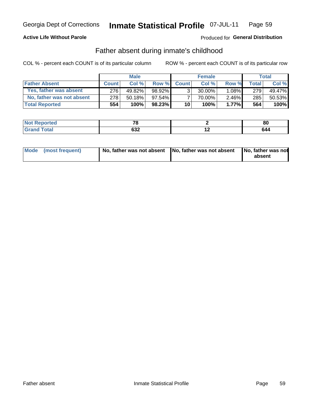### **Active Life Without Parole**

### Produced for General Distribution

## Father absent during inmate's childhood

COL % - percent each COUNT is of its particular column

|                           |              | <b>Male</b> |           |                 | <b>Female</b> |          |         | Total   |
|---------------------------|--------------|-------------|-----------|-----------------|---------------|----------|---------|---------|
| <b>Father Absent</b>      | <b>Count</b> | Col%        | Row %     | <b>Count</b>    | Col %         | Row %    | Total i | Col %   |
| Yes, father was absent    | 276          | 49.82%      | 98.92%    | 3 <sub>1</sub>  | $30.00\%$     | $1.08\%$ | 279     | 49.47%  |
| No, father was not absent | 278          | $50.18\%$   | $97.54\%$ |                 | 70.00%        | $2.46\%$ | 285     | 50.53%  |
| <b>Total Reported</b>     | 554          | 100%        | 98.23%    | 10 <sup>1</sup> | 100%          | 1.77%    | 564     | $100\%$ |

| ≺eported<br>NOT | $-$       |     | or<br>ou |
|-----------------|-----------|-----|----------|
| <b>otal</b>     | cog<br>שט | . . | 644      |

|  | Mode (most frequent) | No, father was not absent No, father was not absent |  | No, father was not<br>absent |
|--|----------------------|-----------------------------------------------------|--|------------------------------|
|--|----------------------|-----------------------------------------------------|--|------------------------------|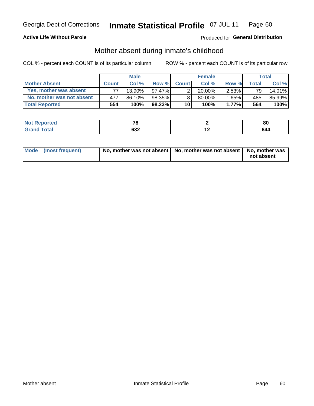### **Active Life Without Parole**

### Produced for General Distribution

## Mother absent during inmate's childhood

COL % - percent each COUNT is of its particular column

|                           |              | <b>Male</b> |           |              | <b>Female</b> |          |       | Total  |
|---------------------------|--------------|-------------|-----------|--------------|---------------|----------|-------|--------|
| <b>Mother Absent</b>      | <b>Count</b> | Col%        | Row %     | <b>Count</b> | Col%          | Row %    | Total | Col %  |
| Yes, mother was absent    | 77.          | $13.90\%$   | 97.47%    | ົ            | $20.00\%$     | $2.53\%$ | 791   | 14.01% |
| No, mother was not absent | 477          | 86.10%      | 98.35%    | 8            | 80.00%        | 1.65%    | 485   | 85.99% |
| <b>Total Reported</b>     | 554          | $100\%$     | $98.23\%$ | 10           | 100%          | 1.77%    | 564   | 100%   |

| <b>Not Reported</b> | $-$       | 80  |
|---------------------|-----------|-----|
| <b>Total</b>        | con<br>פט | 644 |

| Mode (most frequent) | No, mother was not absent   No, mother was not absent   No, mother was | not absent |
|----------------------|------------------------------------------------------------------------|------------|
|----------------------|------------------------------------------------------------------------|------------|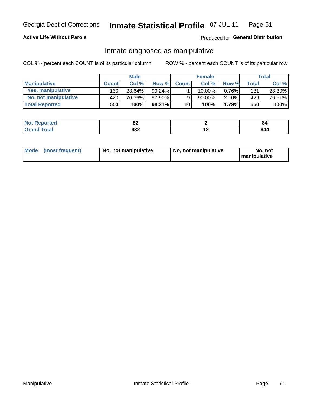### **Active Life Without Parole**

### Produced for General Distribution

## Inmate diagnosed as manipulative

COL % - percent each COUNT is of its particular column

|                          |              | <b>Male</b> |           |                 | <b>Female</b> |       |              | Total  |
|--------------------------|--------------|-------------|-----------|-----------------|---------------|-------|--------------|--------|
| <b>Manipulative</b>      | <b>Count</b> | Col %       | Row %     | <b>Count</b>    | Col %         | Row % | <b>Total</b> | Col %  |
| <b>Yes, manipulative</b> | 130          | 23.64%      | 99.24% ∎  |                 | $10.00\%$ ,   | 0.76% | 131          | 23.39% |
| No, not manipulative     | 420          | 76.36%      | 97.90%    | 9               | 90.00%        | 2.10% | 429          | 76.61% |
| <b>Total Reported</b>    | 550          | 100%        | $98.21\%$ | 10 <sup>1</sup> | 100%          | 1.79% | 560          | 100%   |

| <b>Not Reported</b>    | UZ               | O۴  |
|------------------------|------------------|-----|
| <b>Total</b><br>l Gran | <u>__</u><br>אטט | 644 |

|  | Mode (most frequent) | No, not manipulative | No, not manipulative | No. not<br><b>I</b> manipulative |
|--|----------------------|----------------------|----------------------|----------------------------------|
|--|----------------------|----------------------|----------------------|----------------------------------|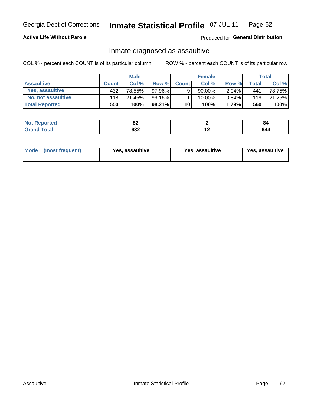#### Inmate Statistical Profile 07-JUL-11 Page 62

### **Active Life Without Parole**

Produced for General Distribution

## Inmate diagnosed as assaultive

COL % - percent each COUNT is of its particular column

|                       |              | <b>Male</b> |           |              | <b>Female</b> |          |       | <b>Total</b> |
|-----------------------|--------------|-------------|-----------|--------------|---------------|----------|-------|--------------|
| <b>Assaultive</b>     | <b>Count</b> | Col%        | Row %     | <b>Count</b> | Col %         | Row %    | Total | Col %        |
| Yes, assaultive       | 432          | 78.55%      | 97.96%    | 9            | $90.00\%$     | $2.04\%$ | 441   | 78.75%       |
| No, not assaultive    | 118          | 21.45%      | $99.16\%$ |              | 10.00%        | $0.84\%$ | 119   | 21.25%       |
| <b>Total Reported</b> | 550          | 100%        | $98.21\%$ | 10           | 100%          | 1.79%    | 560   | 100%         |

| ----<br><b>NO</b> t<br>Reported<br>. | UZ.       |     | O4 |
|--------------------------------------|-----------|-----|----|
| <b>otal</b>                          | ົາ<br>ນປ∠ | . . | 64 |

| Mode (most frequent)<br>Yes, assaultive | Yes, assaultive | <b>Yes, assaultive</b> |
|-----------------------------------------|-----------------|------------------------|
|-----------------------------------------|-----------------|------------------------|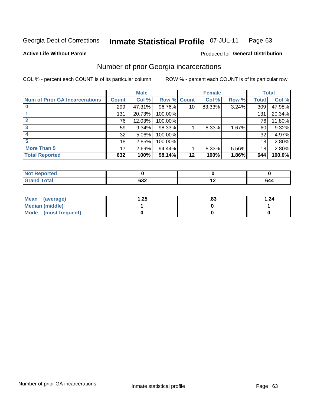#### Inmate Statistical Profile 07-JUL-11 Page 63

#### **Active Life Without Parole**

## **Produced for General Distribution**

## Number of prior Georgia incarcerations

COL % - percent each COUNT is of its particular column

|                                       |              | <b>Male</b> |             |    | <b>Female</b> |       |       | <b>Total</b> |
|---------------------------------------|--------------|-------------|-------------|----|---------------|-------|-------|--------------|
| <b>Num of Prior GA Incarcerations</b> | <b>Count</b> | Col %       | Row % Count |    | Col %         | Row % | Total | Col %        |
|                                       | 299          | 47.31%      | 96.76%      | 10 | 83.33%        | 3.24% | 309   | 47.98%       |
|                                       | 131          | 20.73%      | 100.00%     |    |               |       | 131   | 20.34%       |
|                                       | 76           | 12.03%      | 100.00%     |    |               |       | 76    | 11.80%       |
| 3                                     | 59           | 9.34%       | 98.33%      |    | 8.33%         | 1.67% | 60    | 9.32%        |
|                                       | 32           | 5.06%       | 100.00%     |    |               |       | 32    | 4.97%        |
|                                       | 18           | 2.85%       | 100.00%     |    |               |       | 18    | 2.80%        |
| <b>More Than 5</b>                    | 17           | 2.69%       | 94.44%      |    | 8.33%         | 5.56% | 18    | 2.80%        |
| <b>Total Reported</b>                 | 632          | 100%        | 98.14%      | 12 | 100%          | 1.86% | 644   | 100.0%       |

| <b>YOFTEO</b>                   |                  |     |
|---------------------------------|------------------|-----|
| <b>otal</b><br>$\mathbf{v}$ and | <b>000</b><br>שט | 644 |

| Mean (average)       | .25.، | ده. | 1.24 |
|----------------------|-------|-----|------|
| Median (middle)      |       |     |      |
| Mode (most frequent) |       |     |      |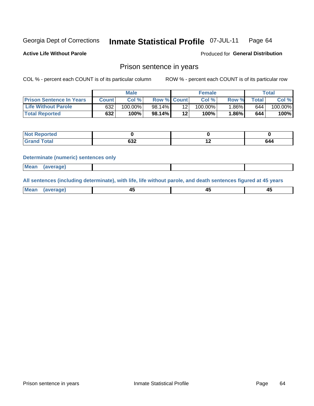#### Inmate Statistical Profile 07-JUL-11 Page 64

**Active Life Without Parole** 

Produced for General Distribution

### Prison sentence in years

COL % - percent each COUNT is of its particular column

ROW % - percent each COUNT is of its particular row

|                                 |         | <b>Male</b> |                    |    | <b>Female</b> |       |             | Total   |
|---------------------------------|---------|-------------|--------------------|----|---------------|-------|-------------|---------|
| <b>Prison Sentence In Years</b> | Count l | Col %       | <b>Row % Count</b> |    | Col %         | Row % | $\tau$ otal | Col %   |
| <b>Life Without Parole</b>      | 632     | $100.00\%$  | $98.14\%$          |    | $100.00\%$    | 1.86% | 644         | 100.00% |
| <b>Total Reported</b>           | 632     | 100%        | 98.14%             | 12 | 100%          | 1.86% | 644         | 100%    |

| Not Reported |     |     |     |
|--------------|-----|-----|-----|
| <b>otal</b>  | OJZ | . . | 644 |

#### **Determinate (numeric) sentences only**

| <b>Mean</b><br><i>(average)</i> |  |
|---------------------------------|--|
|---------------------------------|--|

All sentences (including determinate), with life, life without parole, and death sentences figured at 45 years

| $M$ ea<br>(average) | $\sim$ | ,,<br>т. |
|---------------------|--------|----------|
|                     |        |          |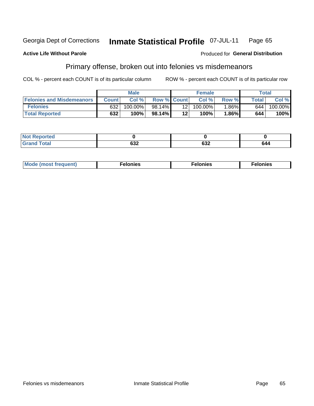#### **Inmate Statistical Profile 07-JUL-11** Georgia Dept of Corrections Page 65

#### **Active Life Without Parole**

#### Produced for General Distribution

## Primary offense, broken out into felonies vs misdemeanors

COL % - percent each COUNT is of its particular column

|                                  |              | <b>Male</b> |                    |                 | <b>Female</b> |          |              | Total   |
|----------------------------------|--------------|-------------|--------------------|-----------------|---------------|----------|--------------|---------|
| <b>Felonies and Misdemeanors</b> | <b>Count</b> | Col%        | <b>Row % Count</b> |                 | Col%          | Row %    | <b>Total</b> | Col %   |
| <b>Felonies</b>                  | 632          | 100.00%     | 98.14%             | 12 <sub>1</sub> | 100.00%       | $1.86\%$ | 644          | 100.00% |
| <b>Total Reported</b>            | 632          | $100\%$     | 98.14%             | 12'             | 100%          | $.86\%$  | 644          | 100%    |

| <b>Not Reported</b>         |     |                    |     |
|-----------------------------|-----|--------------------|-----|
| <b>Total</b><br>Gran<br>uuu | ∠טט | <b>000</b><br>⊿כּס | 644 |

| $Mc$<br>equent)<br>нез<br>$\sim$<br>. | onies<br>. | <b>onies</b><br>. |
|---------------------------------------|------------|-------------------|
|---------------------------------------|------------|-------------------|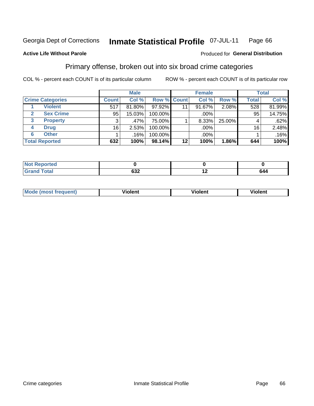### **Active Life Without Parole**

#### Produced for **General Distribution**

## Primary offense, broken out into six broad crime categories

|                         | <b>Male</b>  |        |         | <b>Female</b>      |        |        | <b>Total</b> |        |
|-------------------------|--------------|--------|---------|--------------------|--------|--------|--------------|--------|
| <b>Crime Categories</b> | <b>Count</b> | Col %  |         | <b>Row % Count</b> | Col %  | Row %  | <b>Total</b> | Col %  |
| <b>Violent</b>          | 517          | 81.80% | 97.92%  | 11                 | 91.67% | 2.08%  | 528          | 81.99% |
| <b>Sex Crime</b>        | 95           | 15.03% | 100.00% |                    | .00%   |        | 95           | 14.75% |
| <b>Property</b><br>3    | 3            | .47%   | 75.00%  |                    | 8.33%  | 25.00% |              | .62%   |
| <b>Drug</b><br>4        | 16           | 2.53%  | 100.00% |                    | .00%   |        | 16           | 2.48%  |
| <b>Other</b><br>6       |              | .16%   | 100.00% |                    | .00%   |        |              | .16%   |
| <b>Total Reported</b>   | 632          |        | 98.14%  | 12                 | 100%   | 1.86%  | 644          | 100%   |

| <b>Not Reported</b> |                 |     |     |
|---------------------|-----------------|-----|-----|
| Total               | <u>__</u><br>פט | . . | 644 |

| M | . | 40 O |
|---|---|------|
|   |   |      |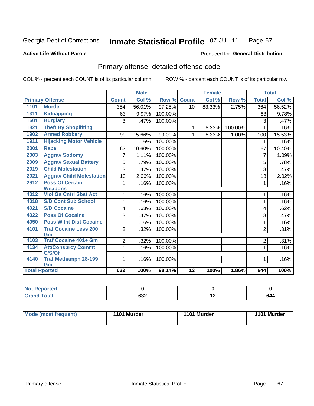#### **Active Life Without Parole**

### Produced for **General Distribution**

## Primary offense, detailed offense code

|                                  |                                 |                | <b>Male</b> |         |                 | <b>Female</b>              |         |                | <b>Total</b> |
|----------------------------------|---------------------------------|----------------|-------------|---------|-----------------|----------------------------|---------|----------------|--------------|
| <b>Primary Offense</b>           |                                 | <b>Count</b>   | Col %       | Row %   | <b>Count</b>    | $\overline{\text{Col }^9}$ | Row %   | <b>Total</b>   | Col %        |
| <b>Murder</b><br>1101            |                                 | 354            | 56.01%      | 97.25%  | 10              | 83.33%                     | 2.75%   | 364            | 56.52%       |
| 1311<br><b>Kidnapping</b>        |                                 | 63             | 9.97%       | 100.00% |                 |                            |         | 63             | 9.78%        |
| 1601<br><b>Burglary</b>          |                                 | 3              | .47%        | 100.00% |                 |                            |         | 3              | .47%         |
| 1821                             | <b>Theft By Shoplifting</b>     |                |             |         | 1               | 8.33%                      | 100.00% | 1              | .16%         |
| <b>Armed Robbery</b><br>1902     |                                 | 99             | 15.66%      | 99.00%  | 1               | 8.33%                      | 1.00%   | 100            | 15.53%       |
| 1911                             | <b>Hijacking Motor Vehicle</b>  | 1              | .16%        | 100.00% |                 |                            |         | 1              | .16%         |
| 2001<br>Rape                     |                                 | 67             | 10.60%      | 100.00% |                 |                            |         | 67             | 10.40%       |
| 2003<br><b>Aggrav Sodomy</b>     |                                 | 7              | 1.11%       | 100.00% |                 |                            |         | 7              | 1.09%        |
| 2009                             | <b>Aggrav Sexual Battery</b>    | 5              | .79%        | 100.00% |                 |                            |         | 5              | .78%         |
| <b>Child Molestation</b><br>2019 |                                 | 3              | .47%        | 100.00% |                 |                            |         | 3              | $.47\%$      |
| 2021                             | <b>Aggrav Child Molestation</b> | 13             | 2.06%       | 100.00% |                 |                            |         | 13             | 2.02%        |
| <b>Poss Of Certain</b><br>2912   |                                 | 1              | .16%        | 100.00% |                 |                            |         | 1              | .16%         |
| <b>Weapons</b>                   |                                 |                |             |         |                 |                            |         |                |              |
| 4012                             | <b>Viol Ga Cntrl Sbst Act</b>   | 1              | .16%        | 100.00% |                 |                            |         | 1              | .16%         |
| 4018                             | <b>S/D Cont Sub School</b>      | 1              | .16%        | 100.00% |                 |                            |         | 1              | .16%         |
| 4021<br><b>S/D Cocaine</b>       |                                 | 4              | .63%        | 100.00% |                 |                            |         | 4              | .62%         |
| <b>Poss Of Cocaine</b><br>4022   |                                 | 3              | .47%        | 100.00% |                 |                            |         | 3              | .47%         |
| 4050                             | <b>Poss W Int Dist Cocaine</b>  | 1              | .16%        | 100.00% |                 |                            |         | 1              | .16%         |
| 4101                             | <b>Traf Cocaine Less 200</b>    | $\overline{2}$ | .32%        | 100.00% |                 |                            |         | $\overline{2}$ | .31%         |
| Gm                               |                                 |                |             |         |                 |                            |         |                |              |
| 4103                             | <b>Traf Cocaine 401+ Gm</b>     | $\overline{2}$ | .32%        | 100.00% |                 |                            |         | $\overline{2}$ | .31%         |
| 4134                             | <b>Att/Consprcy Commt</b>       | 1              | .16%        | 100.00% |                 |                            |         | 1              | .16%         |
| C/S/Of<br>4140                   |                                 |                |             |         |                 |                            |         |                |              |
| Gm                               | <b>Traf Methamph 28-199</b>     | 1 <sup>1</sup> | .16%        | 100.00% |                 |                            |         | 1              | .16%         |
| <b>Total Rported</b>             |                                 | 632            | 100%        | 98.14%  | $\overline{12}$ | 100%                       | 1.86%   | 644            | 100%         |

| <b>NOT Reported</b> |                       |                          |                                                         |
|---------------------|-----------------------|--------------------------|---------------------------------------------------------|
| <b>otal</b>         | $\sim$<br>◡◡▵<br>$ -$ | $\overline{\phantom{a}}$ | 644<br>$\sim$ $\sim$ $\sim$ $\sim$ $\sim$ $\sim$ $\sim$ |

| Mode (most frequent) | 1101 Murder | 1101 Murder | 1101 Murder |
|----------------------|-------------|-------------|-------------|
|                      |             |             |             |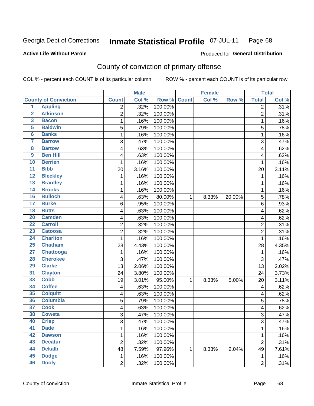#### **Active Life Without Parole**

### Produced for **General Distribution**

## County of conviction of primary offense

|                         |                             |                         | <b>Male</b> |         |              | <b>Female</b> |        |                | <b>Total</b> |
|-------------------------|-----------------------------|-------------------------|-------------|---------|--------------|---------------|--------|----------------|--------------|
|                         | <b>County of Conviction</b> | <b>Count</b>            | Col %       | Row %   | <b>Count</b> | Col %         | Row %  | <b>Total</b>   | Col %        |
| 1                       | <b>Appling</b>              | 2                       | .32%        | 100.00% |              |               |        | $\overline{2}$ | .31%         |
| $\overline{2}$          | <b>Atkinson</b>             | $\overline{2}$          | .32%        | 100.00% |              |               |        | $\overline{2}$ | .31%         |
| $\overline{\mathbf{3}}$ | <b>Bacon</b>                | 1                       | .16%        | 100.00% |              |               |        | $\mathbf{1}$   | .16%         |
| $\overline{5}$          | <b>Baldwin</b>              | $\overline{5}$          | .79%        | 100.00% |              |               |        | 5              | .78%         |
| $\overline{\mathbf{6}}$ | <b>Banks</b>                | 1                       | .16%        | 100.00% |              |               |        | $\mathbf{1}$   | .16%         |
| $\overline{\mathbf{7}}$ | <b>Barrow</b>               | 3                       | .47%        | 100.00% |              |               |        | 3              | .47%         |
| $\overline{\mathbf{8}}$ | <b>Bartow</b>               | 4                       | .63%        | 100.00% |              |               |        | 4              | .62%         |
| $\overline{9}$          | <b>Ben Hill</b>             | 4                       | .63%        | 100.00% |              |               |        | 4              | .62%         |
| 10                      | <b>Berrien</b>              | 1                       | .16%        | 100.00% |              |               |        | 1              | .16%         |
| $\overline{11}$         | <b>Bibb</b>                 | 20                      | 3.16%       | 100.00% |              |               |        | 20             | 3.11%        |
| $\overline{12}$         | <b>Bleckley</b>             | 1                       | .16%        | 100.00% |              |               |        | $\mathbf 1$    | .16%         |
| 13                      | <b>Brantley</b>             | 1                       | .16%        | 100.00% |              |               |        | 1              | .16%         |
| 14                      | <b>Brooks</b>               | 1                       | .16%        | 100.00% |              |               |        | $\mathbf{1}$   | .16%         |
| 16                      | <b>Bulloch</b>              | 4                       | .63%        | 80.00%  | $\mathbf{1}$ | 8.33%         | 20.00% | 5              | .78%         |
| $\overline{17}$         | <b>Burke</b>                | $\,6$                   | .95%        | 100.00% |              |               |        | 6              | .93%         |
| $\overline{18}$         | <b>Butts</b>                | 4                       | .63%        | 100.00% |              |               |        | 4              | .62%         |
| 20                      | <b>Camden</b>               | 4                       | .63%        | 100.00% |              |               |        | 4              | .62%         |
| $\overline{22}$         | <b>Carroll</b>              | $\overline{\mathbf{c}}$ | .32%        | 100.00% |              |               |        | $\overline{c}$ | .31%         |
| $\overline{23}$         | <b>Catoosa</b>              | 2                       | .32%        | 100.00% |              |               |        | $\overline{2}$ | .31%         |
| $\overline{24}$         | <b>Charlton</b>             | 1                       | .16%        | 100.00% |              |               |        | $\mathbf{1}$   | .16%         |
| 25                      | <b>Chatham</b>              | 28                      | 4.43%       | 100.00% |              |               |        | 28             | 4.35%        |
| $\overline{27}$         | <b>Chattooga</b>            | 1                       | .16%        | 100.00% |              |               |        | 1              | .16%         |
| 28                      | <b>Cherokee</b>             | 3                       | .47%        | 100.00% |              |               |        | 3              | .47%         |
| 29                      | <b>Clarke</b>               | 13                      | 2.06%       | 100.00% |              |               |        | 13             | 2.02%        |
| $\overline{31}$         | <b>Clayton</b>              | 24                      | 3.80%       | 100.00% |              |               |        | 24             | 3.73%        |
| 33                      | <b>Cobb</b>                 | 19                      | 3.01%       | 95.00%  | 1            | 8.33%         | 5.00%  | 20             | 3.11%        |
| 34                      | <b>Coffee</b>               | 4                       | .63%        | 100.00% |              |               |        | 4              | .62%         |
| 35                      | <b>Colquitt</b>             | 4                       | .63%        | 100.00% |              |               |        | 4              | .62%         |
| 36                      | <b>Columbia</b>             | 5                       | .79%        | 100.00% |              |               |        | 5              | .78%         |
| 37                      | <b>Cook</b>                 | 4                       | .63%        | 100.00% |              |               |        | 4              | .62%         |
| 38                      | <b>Coweta</b>               | 3                       | .47%        | 100.00% |              |               |        | 3              | .47%         |
| 40                      | <b>Crisp</b>                | 3                       | .47%        | 100.00% |              |               |        | 3              | .47%         |
| 41                      | <b>Dade</b>                 | $\mathbf 1$             | .16%        | 100.00% |              |               |        | $\mathbf{1}$   | .16%         |
| 42                      | <b>Dawson</b>               | $\mathbf 1$             | .16%        | 100.00% |              |               |        | 1              | .16%         |
| 43                      | <b>Decatur</b>              | $\overline{2}$          | .32%        | 100.00% |              |               |        | $\overline{2}$ | .31%         |
| 44                      | <b>Dekalb</b>               | 48                      | 7.59%       | 97.96%  | 1            | 8.33%         | 2.04%  | 49             | 7.61%        |
| 45                      | <b>Dodge</b>                | $\mathbf 1$             | .16%        | 100.00% |              |               |        | 1              | .16%         |
| 46                      | <b>Dooly</b>                | $\overline{2}$          | .32%        | 100.00% |              |               |        | $\overline{2}$ | .31%         |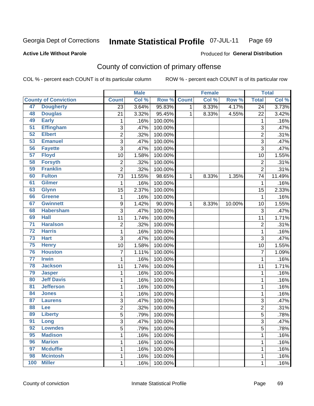#### **Active Life Without Parole**

### Produced for **General Distribution**

## County of conviction of primary offense

|                 |                             |                         | <b>Male</b> |         |              | <b>Female</b> |        |                 | <b>Total</b> |
|-----------------|-----------------------------|-------------------------|-------------|---------|--------------|---------------|--------|-----------------|--------------|
|                 | <b>County of Conviction</b> | <b>Count</b>            | Col %       | Row %   | <b>Count</b> | Col %         | Row %  | <b>Total</b>    | Col%         |
| 47              | <b>Dougherty</b>            | $\overline{23}$         | 3.64%       | 95.83%  | 1            | 8.33%         | 4.17%  | $\overline{24}$ | 3.73%        |
| 48              | <b>Douglas</b>              | 21                      | 3.32%       | 95.45%  | 1            | 8.33%         | 4.55%  | 22              | 3.42%        |
| 49              | <b>Early</b>                | 1                       | .16%        | 100.00% |              |               |        | 1               | .16%         |
| $\overline{51}$ | <b>Effingham</b>            | $\sqrt{3}$              | .47%        | 100.00% |              |               |        | $\overline{3}$  | .47%         |
| 52              | <b>Elbert</b>               | $\overline{\mathbf{c}}$ | .32%        | 100.00% |              |               |        | $\overline{c}$  | .31%         |
| 53              | <b>Emanuel</b>              | 3                       | .47%        | 100.00% |              |               |        | $\overline{3}$  | .47%         |
| 56              | <b>Fayette</b>              | $\overline{3}$          | .47%        | 100.00% |              |               |        | $\overline{3}$  | .47%         |
| 57              | <b>Floyd</b>                | 10                      | 1.58%       | 100.00% |              |               |        | 10              | 1.55%        |
| 58              | <b>Forsyth</b>              | 2                       | .32%        | 100.00% |              |               |        | $\overline{2}$  | .31%         |
| 59              | <b>Franklin</b>             | $\overline{2}$          | .32%        | 100.00% |              |               |        | $\overline{2}$  | .31%         |
| 60              | <b>Fulton</b>               | 73                      | 11.55%      | 98.65%  | 1            | 8.33%         | 1.35%  | 74              | 11.49%       |
| 61              | <b>Gilmer</b>               | 1                       | .16%        | 100.00% |              |               |        | 1               | .16%         |
| 63              | <b>Glynn</b>                | 15                      | 2.37%       | 100.00% |              |               |        | 15              | 2.33%        |
| 66              | Greene                      | 1                       | .16%        | 100.00% |              |               |        | $\mathbf{1}$    | .16%         |
| 67              | <b>Gwinnett</b>             | 9                       | 1.42%       | 90.00%  | 1            | 8.33%         | 10.00% | 10              | 1.55%        |
| 68              | <b>Habersham</b>            | $\overline{3}$          | .47%        | 100.00% |              |               |        | 3               | .47%         |
| 69              | <b>Hall</b>                 | 11                      | 1.74%       | 100.00% |              |               |        | 11              | 1.71%        |
| $\overline{71}$ | <b>Haralson</b>             | $\overline{c}$          | .32%        | 100.00% |              |               |        | $\overline{c}$  | .31%         |
| $\overline{72}$ | <b>Harris</b>               | 1                       | .16%        | 100.00% |              |               |        | 1               | .16%         |
| 73              | <b>Hart</b>                 | $\overline{3}$          | .47%        | 100.00% |              |               |        | $\overline{3}$  | .47%         |
| 75              | <b>Henry</b>                | 10                      | 1.58%       | 100.00% |              |               |        | 10              | 1.55%        |
| 76              | <b>Houston</b>              | $\overline{7}$          | 1.11%       | 100.00% |              |               |        | $\overline{7}$  | 1.09%        |
| $\overline{77}$ | <b>Irwin</b>                | 1                       | .16%        | 100.00% |              |               |        | 1               | .16%         |
| 78              | <b>Jackson</b>              | 11                      | 1.74%       | 100.00% |              |               |        | 11              | 1.71%        |
| 79              | <b>Jasper</b>               | 1                       | .16%        | 100.00% |              |               |        | 1               | .16%         |
| 80              | <b>Jeff Davis</b>           | 1                       | .16%        | 100.00% |              |               |        | 1               | .16%         |
| 81              | <b>Jefferson</b>            | 1                       | .16%        | 100.00% |              |               |        | 1               | .16%         |
| 84              | <b>Jones</b>                | 1                       | .16%        | 100.00% |              |               |        | 1               | .16%         |
| 87              | <b>Laurens</b>              | 3                       | .47%        | 100.00% |              |               |        | 3               | .47%         |
| 88              | Lee                         | $\overline{c}$          | .32%        | 100.00% |              |               |        | $\overline{2}$  | .31%         |
| 89              | <b>Liberty</b>              | 5                       | .79%        | 100.00% |              |               |        | 5               | .78%         |
| 91              | Long                        | 3                       | .47%        | 100.00% |              |               |        | 3               | .47%         |
| 92              | <b>Lowndes</b>              | $\overline{5}$          | .79%        | 100.00% |              |               |        | 5               | .78%         |
| 95              | <b>Madison</b>              | $\mathbf 1$             | .16%        | 100.00% |              |               |        | 1               | .16%         |
| 96              | <b>Marion</b>               | 1                       | .16%        | 100.00% |              |               |        | 1               | .16%         |
| 97              | <b>Mcduffie</b>             | 1                       | .16%        | 100.00% |              |               |        | 1               | .16%         |
| 98              | <b>Mcintosh</b>             | 1                       | .16%        | 100.00% |              |               |        | 1               | .16%         |
| 100             | <b>Miller</b>               | $\mathbf 1$             | .16%        | 100.00% |              |               |        | 1               | .16%         |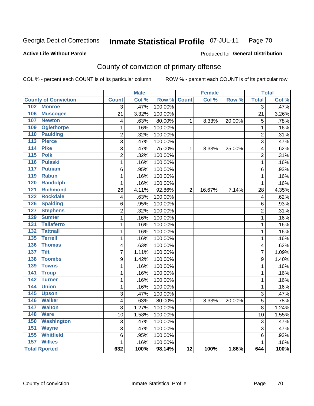#### **Active Life Without Parole**

#### Produced for **General Distribution**

## County of conviction of primary offense

|                                     |                         | <b>Male</b> |         |                 | <b>Female</b> |        |                         | <b>Total</b> |
|-------------------------------------|-------------------------|-------------|---------|-----------------|---------------|--------|-------------------------|--------------|
| <b>County of Conviction</b>         | <b>Count</b>            | Col %       | Row %   | <b>Count</b>    | Col %         | Row %  | <b>Total</b>            | Col %        |
| 102 Monroe                          | $\overline{3}$          | .47%        | 100.00% |                 |               |        | $\overline{3}$          | .47%         |
| 106<br><b>Muscogee</b>              | 21                      | 3.32%       | 100.00% |                 |               |        | 21                      | 3.26%        |
| 107<br><b>Newton</b>                | 4                       | .63%        | 80.00%  | $\mathbf{1}$    | 8.33%         | 20.00% | 5                       | .78%         |
| 109<br><b>Oglethorpe</b>            | $\mathbf{1}$            | .16%        | 100.00% |                 |               |        | $\mathbf{1}$            | .16%         |
| 110<br><b>Paulding</b>              | $\overline{2}$          | .32%        | 100.00% |                 |               |        | $\overline{2}$          | .31%         |
| 113<br><b>Pierce</b>                | 3                       | .47%        | 100.00% |                 |               |        | $\overline{3}$          | .47%         |
| 114<br><b>Pike</b>                  | 3                       | .47%        | 75.00%  | $\mathbf{1}$    | 8.33%         | 25.00% | 4                       | .62%         |
| <b>Polk</b><br>115                  | $\overline{c}$          | .32%        | 100.00% |                 |               |        | $\overline{2}$          | .31%         |
| <b>Pulaski</b><br>116               | $\mathbf 1$             | .16%        | 100.00% |                 |               |        | $\mathbf{1}$            | .16%         |
| 117<br><b>Putnam</b>                | 6                       | .95%        | 100.00% |                 |               |        | 6                       | .93%         |
| 119<br><b>Rabun</b>                 | $\overline{1}$          | .16%        | 100.00% |                 |               |        | $\mathbf{1}$            | .16%         |
| <b>Randolph</b><br>120              | $\mathbf 1$             | .16%        | 100.00% |                 |               |        | $\mathbf{1}$            | .16%         |
| <b>Richmond</b><br>121              | 26                      | 4.11%       | 92.86%  | $\overline{2}$  | 16.67%        | 7.14%  | 28                      | 4.35%        |
| 122<br><b>Rockdale</b>              | $\overline{\mathbf{4}}$ | .63%        | 100.00% |                 |               |        | $\overline{\mathbf{4}}$ | .62%         |
| <b>Spalding</b><br>126              | 6                       | .95%        | 100.00% |                 |               |        | 6                       | .93%         |
| <b>Stephens</b><br>127              | $\overline{2}$          | .32%        | 100.00% |                 |               |        | $\overline{2}$          | .31%         |
| <b>Sumter</b><br>129                | $\mathbf{1}$            | .16%        | 100.00% |                 |               |        | $\mathbf{1}$            | .16%         |
| <b>Taliaferro</b><br>131            | $\mathbf{1}$            | .16%        | 100.00% |                 |               |        | $\mathbf{1}$            | .16%         |
| $\overline{132}$<br><b>Tattnall</b> | $\mathbf{1}$            | .16%        | 100.00% |                 |               |        | $\mathbf 1$             | .16%         |
| 135<br><b>Terrell</b>               | $\mathbf{1}$            | .16%        | 100.00% |                 |               |        | $\mathbf{1}$            | .16%         |
| 136<br><b>Thomas</b>                | 4                       | .63%        | 100.00% |                 |               |        | 4                       | .62%         |
| 137<br><b>Tift</b>                  | $\overline{7}$          | 1.11%       | 100.00% |                 |               |        | $\overline{7}$          | 1.09%        |
| 138<br><b>Toombs</b>                | 9                       | 1.42%       | 100.00% |                 |               |        | 9                       | 1.40%        |
| <b>Towns</b><br>139                 | $\mathbf 1$             | .16%        | 100.00% |                 |               |        | $\mathbf 1$             | .16%         |
| 141<br><b>Troup</b>                 | $\mathbf{1}$            | .16%        | 100.00% |                 |               |        | $\mathbf{1}$            | .16%         |
| 142<br><b>Turner</b>                | $\overline{1}$          | .16%        | 100.00% |                 |               |        | $\mathbf{1}$            | .16%         |
| <b>Union</b><br>144                 | $\mathbf 1$             | .16%        | 100.00% |                 |               |        | $\mathbf{1}$            | .16%         |
| 145<br><b>Upson</b>                 | 3                       | .47%        | 100.00% |                 |               |        | $\overline{3}$          | .47%         |
| 146<br><b>Walker</b>                | 4                       | .63%        | 80.00%  | $\mathbf{1}$    | 8.33%         | 20.00% | 5                       | .78%         |
| 147<br><b>Walton</b>                | 8                       | 1.27%       | 100.00% |                 |               |        | 8                       | 1.24%        |
| 148<br><b>Ware</b>                  | 10                      | 1.58%       | 100.00% |                 |               |        | 10                      | 1.55%        |
| <b>Washington</b><br>150            | $\overline{3}$          | .47%        | 100.00% |                 |               |        | 3                       | .47%         |
| 151<br><b>Wayne</b>                 | $\overline{3}$          | .47%        | 100.00% |                 |               |        | 3                       | .47%         |
| <b>Whitfield</b><br>155             | 6                       | .95%        | 100.00% |                 |               |        | 6                       | .93%         |
| <b>Wilkes</b><br>157                | $\mathbf 1$             | .16%        | 100.00% |                 |               |        | $\mathbf{1}$            | .16%         |
| <b>Total Rported</b>                | 632                     | 100%        | 98.14%  | $\overline{12}$ | 100%          | 1.86%  | 644                     | 100%         |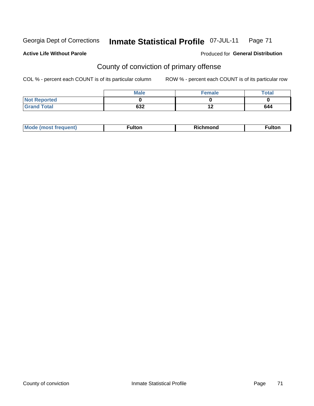#### **Active Life Without Parole**

#### Produced for **General Distribution**

## County of conviction of primary offense

|                     | <b>Male</b> | Female | Total |
|---------------------|-------------|--------|-------|
| <b>Not Reported</b> |             |        |       |
| <b>Grand Total</b>  | 632         |        | 644   |

| ________ | M | .<br>·uποι. | $-1$<br>onu | . |
|----------|---|-------------|-------------|---|
|----------|---|-------------|-------------|---|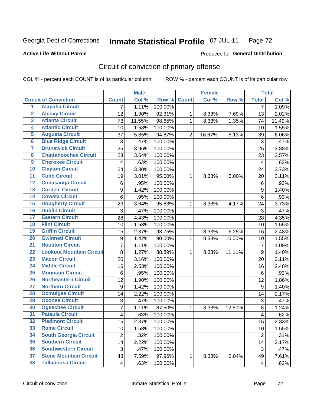#### **Active Life Without Parole**

### Produced for **General Distribution**

## Circuit of conviction of primary offense

|                         |                                 |                | <b>Male</b> |         |                | <b>Female</b> |        |                         | <b>Total</b> |
|-------------------------|---------------------------------|----------------|-------------|---------|----------------|---------------|--------|-------------------------|--------------|
|                         | <b>Circuit of Conviction</b>    | <b>Count</b>   | Col %       | Row %   | <b>Count</b>   | Col %         | Row %  | <b>Total</b>            | Col %        |
| 1                       | <b>Alapaha Circuit</b>          | 7              | 1.11%       | 100.00% |                |               |        | 7                       | 1.09%        |
| $\overline{2}$          | <b>Alcovy Circuit</b>           | 12             | 1.90%       | 92.31%  | $\mathbf{1}$   | 8.33%         | 7.69%  | 13                      | 2.02%        |
| $\overline{\mathbf{3}}$ | <b>Atlanta Circuit</b>          | 73             | 11.55%      | 98.65%  | $\mathbf{1}$   | 8.33%         | 1.35%  | 74                      | 11.49%       |
| 4                       | <b>Atlantic Circuit</b>         | 10             | 1.58%       | 100.00% |                |               |        | 10                      | 1.55%        |
| $\overline{5}$          | <b>Augusta Circuit</b>          | 37             | 5.85%       | 94.87%  | $\overline{2}$ | 16.67%        | 5.13%  | 39                      | 6.06%        |
| $\overline{6}$          | <b>Blue Ridge Circuit</b>       | 3              | .47%        | 100.00% |                |               |        | 3                       | .47%         |
| 7                       | <b>Brunswick Circuit</b>        | 25             | 3.96%       | 100.00% |                |               |        | 25                      | 3.88%        |
| $\overline{\mathbf{8}}$ | <b>Chattahoochee Circuit</b>    | 23             | 3.64%       | 100.00% |                |               |        | 23                      | 3.57%        |
| $\overline{9}$          | <b>Cherokee Circuit</b>         | 4              | .63%        | 100.00% |                |               |        | $\overline{\mathbf{4}}$ | .62%         |
| 10                      | <b>Clayton Circuit</b>          | 24             | 3.80%       | 100.00% |                |               |        | 24                      | 3.73%        |
| $\overline{11}$         | <b>Cobb Circuit</b>             | 19             | 3.01%       | 95.00%  | 1              | 8.33%         | 5.00%  | 20                      | 3.11%        |
| $\overline{12}$         | <b>Conasauga Circuit</b>        | 6              | .95%        | 100.00% |                |               |        | 6                       | .93%         |
| $\overline{13}$         | <b>Cordele Circuit</b>          | 9              | 1.42%       | 100.00% |                |               |        | $\boldsymbol{9}$        | 1.40%        |
| $\overline{14}$         | <b>Coweta Circuit</b>           | 6              | .95%        | 100.00% |                |               |        | $\,6$                   | .93%         |
| 15                      | <b>Dougherty Circuit</b>        | 23             | 3.64%       | 95.83%  | 1              | 8.33%         | 4.17%  | 24                      | 3.73%        |
| $\overline{16}$         | <b>Dublin Circuit</b>           | 3              | .47%        | 100.00% |                |               |        | 3                       | .47%         |
| $\overline{17}$         | <b>Eastern Circuit</b>          | 28             | 4.43%       | 100.00% |                |               |        | 28                      | 4.35%        |
| 18                      | <b>Flint Circuit</b>            | 10             | 1.58%       | 100.00% |                |               |        | 10                      | 1.55%        |
| 19                      | <b>Griffin Circuit</b>          | 15             | 2.37%       | 93.75%  | 1              | 8.33%         | 6.25%  | 16                      | 2.48%        |
| $\overline{20}$         | <b>Gwinnett Circuit</b>         | 9              | 1.42%       | 90.00%  | 1              | 8.33%         | 10.00% | 10                      | 1.55%        |
| $\overline{21}$         | <b>Houston Circuit</b>          | $\overline{7}$ | 1.11%       | 100.00% |                |               |        | $\overline{7}$          | 1.09%        |
| $\overline{22}$         | <b>Lookout Mountain Circuit</b> | 8              | 1.27%       | 88.89%  | $\mathbf{1}$   | 8.33%         | 11.11% | $\boldsymbol{9}$        | 1.40%        |
| 23                      | <b>Macon Circuit</b>            | 20             | 3.16%       | 100.00% |                |               |        | 20                      | 3.11%        |
| $\overline{24}$         | <b>Middle Circuit</b>           | 16             | 2.53%       | 100.00% |                |               |        | 16                      | 2.48%        |
| $\overline{25}$         | <b>Mountain Circuit</b>         | 6              | .95%        | 100.00% |                |               |        | 6                       | .93%         |
| 26                      | <b>Northeastern Circuit</b>     | 12             | 1.90%       | 100.00% |                |               |        | 12                      | 1.86%        |
| $\overline{27}$         | <b>Northern Circuit</b>         | 9              | 1.42%       | 100.00% |                |               |        | $\boldsymbol{9}$        | 1.40%        |
| 28                      | <b>Ocmulgee Circuit</b>         | 14             | 2.22%       | 100.00% |                |               |        | 14                      | 2.17%        |
| 29                      | <b>Oconee Circuit</b>           | 3              | .47%        | 100.00% |                |               |        | 3                       | .47%         |
| 30                      | <b>Ogeechee Circuit</b>         | 7              | 1.11%       | 87.50%  | 1              | 8.33%         | 12.50% | 8                       | 1.24%        |
| $\overline{31}$         | <b>Pataula Circuit</b>          | 4              | .63%        | 100.00% |                |               |        | 4                       | .62%         |
| 32                      | <b>Piedmont Circuit</b>         | 15             | 2.37%       | 100.00% |                |               |        | 15                      | 2.33%        |
| 33                      | <b>Rome Circuit</b>             | 10             | 1.58%       | 100.00% |                |               |        | 10                      | 1.55%        |
| 34                      | <b>South Georgia Circuit</b>    | $\overline{2}$ | .32%        | 100.00% |                |               |        | $\overline{2}$          | .31%         |
| 35                      | <b>Southern Circuit</b>         | 14             | 2.22%       | 100.00% |                |               |        | 14                      | 2.17%        |
| 36                      | <b>Southwestern Circuit</b>     | 3              | .47%        | 100.00% |                |               |        | $\sqrt{3}$              | .47%         |
| 37                      | <b>Stone Mountain Circuit</b>   | 48             | 7.59%       | 97.96%  | 1              | 8.33%         | 2.04%  | 49                      | 7.61%        |
| 38                      | <b>Tallapoosa Circuit</b>       | 4              | .63%        | 100.00% |                |               |        | $\overline{\mathbf{4}}$ | .62%         |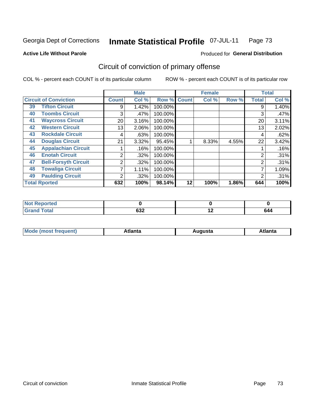#### **Active Life Without Parole**

#### Produced for **General Distribution**

## Circuit of conviction of primary offense

|    |                              |              | <b>Male</b> |         |              | <b>Female</b> |       |                | <b>Total</b> |
|----|------------------------------|--------------|-------------|---------|--------------|---------------|-------|----------------|--------------|
|    | <b>Circuit of Conviction</b> | <b>Count</b> | Col %       | Row %   | <b>Count</b> | Col %         | Row % | <b>Total</b>   | Col %        |
| 39 | <b>Tifton Circuit</b>        | 9            | 1.42%       | 100.00% |              |               |       | 9              | 1.40%        |
| 40 | <b>Toombs Circuit</b>        | 3            | .47%        | 100.00% |              |               |       | 3              | .47%         |
| 41 | <b>Waycross Circuit</b>      | 20           | 3.16%       | 100.00% |              |               |       | 20             | 3.11%        |
| 42 | <b>Western Circuit</b>       | 13           | 2.06%       | 100.00% |              |               |       | 13             | 2.02%        |
| 43 | <b>Rockdale Circuit</b>      | 4            | .63%        | 100.00% |              |               |       | 4              | .62%         |
| 44 | <b>Douglas Circuit</b>       | 21           | 3.32%       | 95.45%  |              | 8.33%         | 4.55% | 22             | 3.42%        |
| 45 | <b>Appalachian Circuit</b>   |              | .16%        | 100.00% |              |               |       |                | .16%         |
| 46 | <b>Enotah Circuit</b>        | 2            | $.32\%$     | 100.00% |              |               |       | 2              | .31%         |
| 47 | <b>Bell-Forsyth Circuit</b>  | 2            | .32%        | 100.00% |              |               |       | $\overline{2}$ | .31%         |
| 48 | <b>Towaliga Circuit</b>      | 7            | 1.11%       | 100.00% |              |               |       |                | 1.09%        |
| 49 | <b>Paulding Circuit</b>      | ◠            | $.32\%$     | 100.00% |              |               |       | 2              | .31%         |
|    | <b>Total Rported</b>         | 632          | 100%        | 98.14%  | 12           | 100%          | 1.86% | 644            | 100%         |

| rted<br>NOT    |            |             |     |
|----------------|------------|-------------|-----|
| n <sup>1</sup> | coo<br>סטע | <u>. . </u> | 544 |

| М<br>. In n tr<br>.<br>.<br>wanta<br>Πū<br>31.<br>$\sim$ $\sim$ $\sim$ |
|------------------------------------------------------------------------|
|------------------------------------------------------------------------|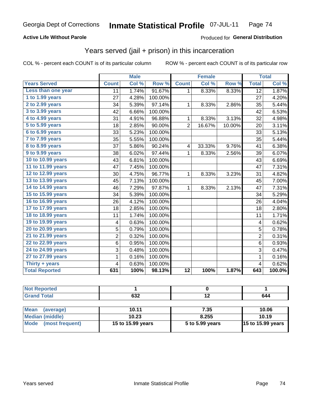#### **Active Life Without Parole**

#### Produced for **General Distribution**

## Years served (jail + prison) in this incarceration

|                        |                  | <b>Male</b> |         |                         | <b>Female</b> |        |                 | <b>Total</b> |
|------------------------|------------------|-------------|---------|-------------------------|---------------|--------|-----------------|--------------|
| <b>Years Served</b>    | <b>Count</b>     | Col %       | Row %   | <b>Count</b>            | Col %         | Row %  | <b>Total</b>    | Col %        |
| Less than one year     | 11               | 1.74%       | 91.67%  | 1                       | 8.33%         | 8.33%  | $\overline{12}$ | 1.87%        |
| 1 to 1.99 years        | 27               | 4.28%       | 100.00% |                         |               |        | 27              | 4.20%        |
| 2 to 2.99 years        | 34               | 5.39%       | 97.14%  | 1                       | 8.33%         | 2.86%  | 35              | 5.44%        |
| 3 to 3.99 years        | 42               | 6.66%       | 100.00% |                         |               |        | 42              | 6.53%        |
| 4 to 4.99 years        | 31               | 4.91%       | 96.88%  | 1                       | 8.33%         | 3.13%  | 32              | 4.98%        |
| 5 to 5.99 years        | 18               | 2.85%       | 90.00%  | $\overline{2}$          | 16.67%        | 10.00% | 20              | 3.11%        |
| 6 to 6.99 years        | 33               | 5.23%       | 100.00% |                         |               |        | 33              | 5.13%        |
| 7 to 7.99 years        | 35               | 5.55%       | 100.00% |                         |               |        | 35              | 5.44%        |
| <b>8 to 8.99 years</b> | 37               | 5.86%       | 90.24%  | $\overline{\mathbf{4}}$ | 33.33%        | 9.76%  | 41              | 6.38%        |
| 9 to 9.99 years        | 38               | 6.02%       | 97.44%  | 1                       | 8.33%         | 2.56%  | 39              | 6.07%        |
| 10 to 10.99 years      | 43               | 6.81%       | 100.00% |                         |               |        | 43              | 6.69%        |
| 11 to 11.99 years      | 47               | 7.45%       | 100.00% |                         |               |        | 47              | 7.31%        |
| 12 to 12.99 years      | 30               | 4.75%       | 96.77%  | 1                       | 8.33%         | 3.23%  | 31              | 4.82%        |
| 13 to 13.99 years      | 45               | 7.13%       | 100.00% |                         |               |        | 45              | 7.00%        |
| 14 to 14.99 years      | 46               | 7.29%       | 97.87%  | 1                       | 8.33%         | 2.13%  | 47              | 7.31%        |
| 15 to 15.99 years      | 34               | 5.39%       | 100.00% |                         |               |        | 34              | 5.29%        |
| 16 to 16.99 years      | 26               | 4.12%       | 100.00% |                         |               |        | 26              | 4.04%        |
| 17 to 17.99 years      | 18               | 2.85%       | 100.00% |                         |               |        | 18              | 2.80%        |
| 18 to 18.99 years      | 11               | 1.74%       | 100.00% |                         |               |        | 11              | 1.71%        |
| 19 to 19.99 years      | 4                | 0.63%       | 100.00% |                         |               |        | 4               | 0.62%        |
| 20 to 20.99 years      | 5                | 0.79%       | 100.00% |                         |               |        | 5               | 0.78%        |
| 21 to 21.99 years      | $\overline{c}$   | 0.32%       | 100.00% |                         |               |        | $\overline{2}$  | 0.31%        |
| 22 to 22.99 years      | 6                | 0.95%       | 100.00% |                         |               |        | $6\phantom{1}$  | 0.93%        |
| 24 to 24.99 years      | 3                | 0.48%       | 100.00% |                         |               |        | $\overline{3}$  | 0.47%        |
| 27 to 27.99 years      | 1                | 0.16%       | 100.00% |                         |               |        | 1               | 0.16%        |
| Thirty + years         | 4                | 0.63%       | 100.00% |                         |               |        | 4               | 0.62%        |
| <b>Total Reported</b>  | $\overline{631}$ | 100%        | 98.13%  | $\overline{12}$         | 100%          | 1.87%  | 643             | 100.0%       |

| <b>Not Reported</b>            |                   |                 |                   |
|--------------------------------|-------------------|-----------------|-------------------|
| <b>Grand Total</b>             | 632               | 19              | 644               |
|                                |                   |                 |                   |
| <b>Mean</b><br>(average)       | 10.11             | 7.35            | 10.06             |
| Median (middle)                | 10.23             | 8.255           | 10.19             |
| <b>Mode</b><br>(most frequent) | 15 to 15.99 years | 5 to 5.99 years | 15 to 15.99 years |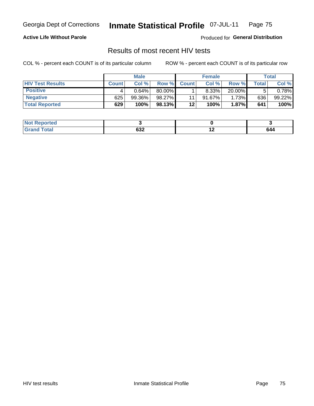#### **Active Life Without Parole**

Produced for **General Distribution**

## Results of most recent HIV tests

|                         |              | <b>Male</b> |        |              | <b>Female</b> |          |             | Total     |
|-------------------------|--------------|-------------|--------|--------------|---------------|----------|-------------|-----------|
| <b>HIV Test Results</b> | <b>Count</b> | Col%        | Row %I | <b>Count</b> | Col%          | Row %    | $\tau$ otal | Col %     |
| <b>Positive</b>         | 4            | $0.64\%$    | 80.00% |              | 8.33%         | 20.00%   |             | $0.78\%$  |
| <b>Negative</b>         | 625          | 99.36%      | 98.27% | 11           | 91.67%        | 1.73%    | 636         | $99.22\%$ |
| <b>Total Reported</b>   | 629          | 100%        | 98.13% | $12 \,$      | 100%          | $1.87\%$ | 641         | 100%      |

| <b>Not Reported</b> |     |                          |                                                  |
|---------------------|-----|--------------------------|--------------------------------------------------|
| ʻotal               | cog | $\overline{\phantom{0}}$ | 644                                              |
| . Great             | 03Z |                          | $\sim$ $\sim$ $\sim$ $\sim$ $\sim$ $\sim$ $\sim$ |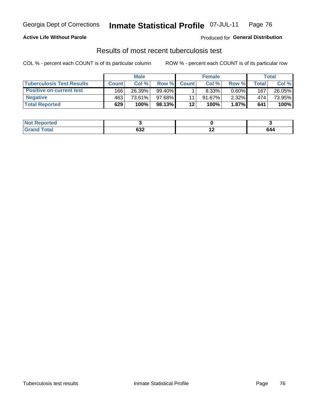#### **Active Life Without Parole**

Produced for **General Distribution**

### Results of most recent tuberculosis test

|                                  |              | <b>Male</b> |           |              | <b>Female</b> |          |              | Total  |
|----------------------------------|--------------|-------------|-----------|--------------|---------------|----------|--------------|--------|
| <b>Tuberculosis Test Results</b> | <b>Count</b> | Col%        | Row %I    | <b>Count</b> | Col%          | Row %    | <b>Total</b> | Col %  |
| <b>Positive on current test</b>  | 166          | 26.39%      | $99.40\%$ |              | 8.33%         | $0.60\%$ | 167          | 26.05% |
| <b>Negative</b>                  | 463          | 73.61%      | 97.68%    |              | $91.67\%$     | $2.32\%$ | 474          | 73.95% |
| <b>Total Reported</b>            | 629          | 100%        | 98.13% L  | $12 \,$      | 100%          | $1.87\%$ | 641          | 100%   |

| ported<br>NOT. |        |     |                                                  |
|----------------|--------|-----|--------------------------------------------------|
| <b>Cotal</b>   | $\sim$ | . . | 644                                              |
| $\sim$         | פט     |     | $\sim$ $\sim$ $\sim$ $\sim$ $\sim$ $\sim$ $\sim$ |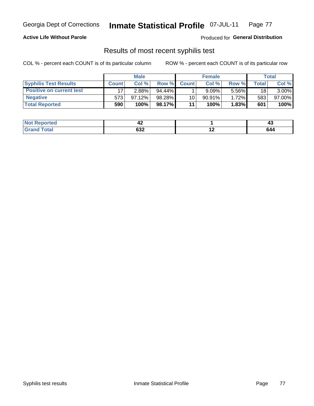#### **Active Life Without Parole**

Produced for **General Distribution**

### Results of most recent syphilis test

|                                 |              | <b>Male</b> |           |              | <b>Female</b> |       |         | Total    |
|---------------------------------|--------------|-------------|-----------|--------------|---------------|-------|---------|----------|
| <b>Syphilis Test Results</b>    | <b>Count</b> | Col%        | Row %I    | <b>Count</b> | Col%          | Row % | ⊤otal ⊦ | Col %    |
| <b>Positive on current test</b> |              | $2.88\%$    | $94.44\%$ |              | 9.09%         | 5.56% | 18      | $3.00\%$ |
| <b>Negative</b>                 | 573          | $97.12\%$   | 98.28%    | 10           | $90.91\%$     | 1.72% | 583     | 97.00%   |
| <b>Total Reported</b>           | 590          | 100%        | 98.17% I  | 11           | 100%          | 1.83% | 601     | 100%     |

| <b>Not Reported</b> | 44            |     | . .<br>᠇៶                                               |
|---------------------|---------------|-----|---------------------------------------------------------|
| <b>c</b> otal       | $\sim$<br>63Z | . . | 644<br>$\sim$ $\sim$ $\sim$ $\sim$ $\sim$ $\sim$ $\sim$ |